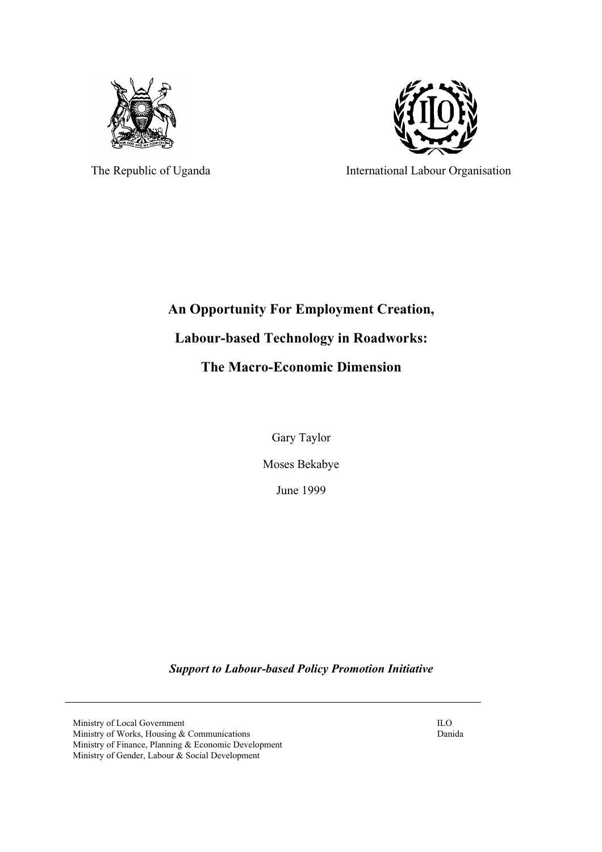



The Republic of Uganda International Labour Organisation

# **An Opportunity For Employment Creation, Labour-based Technology in Roadworks: The Macro-Economic Dimension**

Gary Taylor

Moses Bekabye

June 1999

*Support to Labour-based Policy Promotion Initiative*

Ministry of Local Government<br>
Ministry of Works, Housing & Communications<br>
Danida Ministry of Works, Housing & Communications Ministry of Finance, Planning & Economic Development Ministry of Gender, Labour & Social Development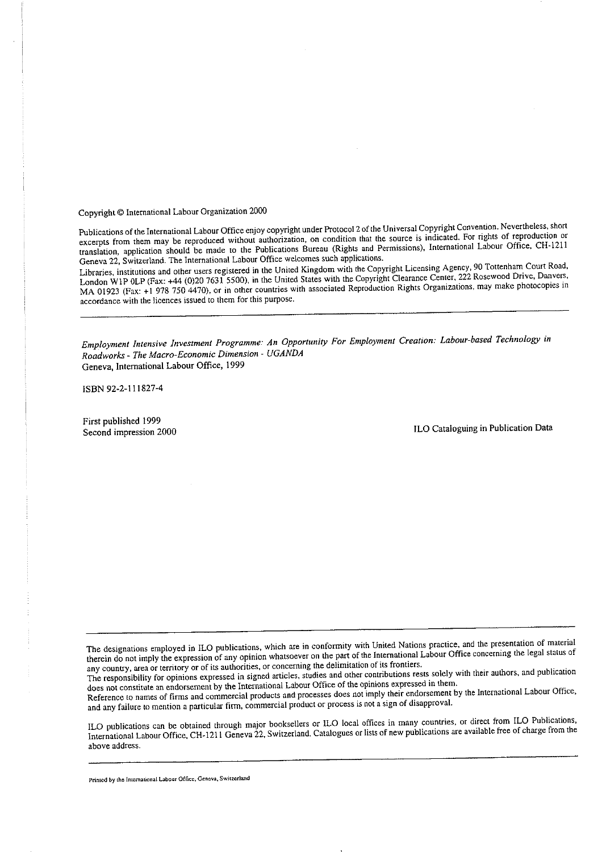Copyright © International Labour Organization 2000

Publications of the International Labour Office enjoy copyright under Protocol 2 of the Universal Copyright Convention. Nevertheless, short excerpts from them may be reproduced without authorization, on condition that the source is indicated. For rights of reproduction or translation, application should be made to the Publications Bureau (Rights and Permissions), International Labour Office, CH-1211 Geneva 22, Switzerland. The International Labour Office welcomes such applications.

Libraries, institutions and other users registered in the United Kingdom with the Copyright Licensing Agency, 90 Tottenham Court Road, London W1P 0LP (Fax: +44 (0)20 7631 5500), in the United States with the Copyright Clearance Center, 222 Rosewood Drive, Danvers, MA 01923 (Fax: +1 978 750 4470), or in other countries with associated Reproduction Rights Organizations, may make photocopies in accordance with the licences issued to them for this purpose.

Employment Intensive Investment Programme: An Opportunity For Employment Creation: Labour-based Technology in Roadworks - The Macro-Economic Dimension - UGANDA Geneva, International Labour Office, 1999

ISBN 92-2-111827-4

First published 1999 Second impression 2000

ILO Cataloguing in Publication Data

The designations employed in ILO publications, which are in conformity with United Nations practice, and the presentation of material therein do not imply the expression of any opinion whatsoever on the part of the International Labour Office concerning the legal status of any country, area or territory or of its authorities, or concerning the delimitation of its frontiers.

The responsibility for opinions expressed in signed articles, studies and other contributions rests solely with their authors, and publication does not constitute an endorsement by the International Labour Office of the opinions expressed in them.

Reference to names of firms and commercial products and processes does not imply their endorsement by the International Labour Office, and any failure to mention a particular firm, commercial product or process is not a sign of disapproval.

ILO publications can be obtained through major booksellers or ILO local offices in many countries, or direct from ILO Publications, International Labour Office, CH-1211 Geneva 22, Switzerland. Catalogues or lists of new publications are available free of charge from the above address.

Printed by the International Labour Office, Geneva, Switzerland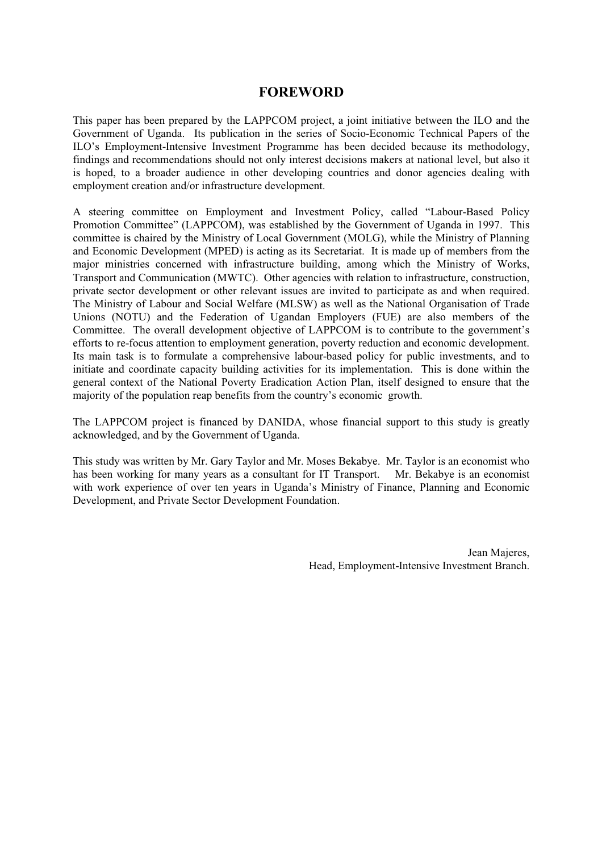#### **FOREWORD**

This paper has been prepared by the LAPPCOM project, a joint initiative between the ILO and the Government of Uganda. Its publication in the series of Socio-Economic Technical Papers of the ILO's Employment-Intensive Investment Programme has been decided because its methodology, findings and recommendations should not only interest decisions makers at national level, but also it is hoped, to a broader audience in other developing countries and donor agencies dealing with employment creation and/or infrastructure development.

A steering committee on Employment and Investment Policy, called "Labour-Based Policy Promotion Committee" (LAPPCOM), was established by the Government of Uganda in 1997. This committee is chaired by the Ministry of Local Government (MOLG), while the Ministry of Planning and Economic Development (MPED) is acting as its Secretariat. It is made up of members from the major ministries concerned with infrastructure building, among which the Ministry of Works, Transport and Communication (MWTC). Other agencies with relation to infrastructure, construction, private sector development or other relevant issues are invited to participate as and when required. The Ministry of Labour and Social Welfare (MLSW) as well as the National Organisation of Trade Unions (NOTU) and the Federation of Ugandan Employers (FUE) are also members of the Committee. The overall development objective of LAPPCOM is to contribute to the government's efforts to re-focus attention to employment generation, poverty reduction and economic development. Its main task is to formulate a comprehensive labour-based policy for public investments, and to initiate and coordinate capacity building activities for its implementation. This is done within the general context of the National Poverty Eradication Action Plan, itself designed to ensure that the majority of the population reap benefits from the country's economic growth.

The LAPPCOM project is financed by DANIDA, whose financial support to this study is greatly acknowledged, and by the Government of Uganda.

This study was written by Mr. Gary Taylor and Mr. Moses Bekabye. Mr. Taylor is an economist who has been working for many years as a consultant for IT Transport. Mr. Bekabye is an economist with work experience of over ten years in Uganda's Ministry of Finance, Planning and Economic Development, and Private Sector Development Foundation.

> Jean Majeres, Head, Employment-Intensive Investment Branch.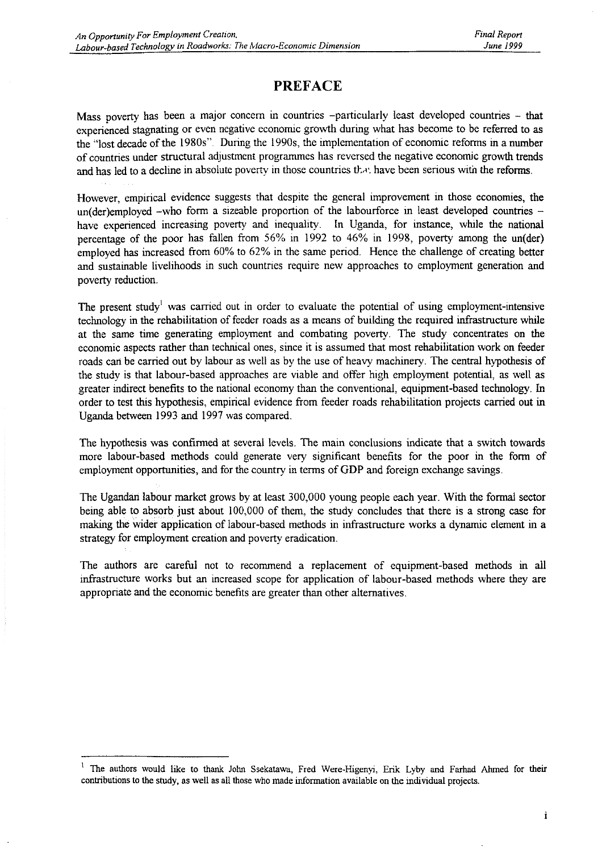### **PREFACE**

Mass poverty has been a major concern in countries -particularly least developed countries - that experienced stagnating or even negative economic growth during what has become to be referred to as the "lost decade of the 1980s". During the 1990s, the implementation of economic reforms in a number of countries under structural adjustment programmes has reversed the negative economic growth trends and has led to a decline in absolute poverty in those countries that have been serious with the reforms.

However, empirical evidence suggests that despite the general improvement in those economies, the un(der)employed -who form a sizeable proportion of the labourforce in least developed countries have experienced increasing poverty and inequality. In Uganda, for instance, while the national percentage of the poor has fallen from 56% in 1992 to 46% in 1998, poverty among the un(der) employed has increased from 60% to 62% in the same period. Hence the challenge of creating better and sustainable livelihoods in such countries require new approaches to employment generation and poverty reduction.

The present study<sup>1</sup> was carried out in order to evaluate the potential of using employment-intensive technology in the rehabilitation of feeder roads as a means of building the required infrastructure while at the same time generating employment and combating poverty. The study concentrates on the economic aspects rather than technical ones, since it is assumed that most rehabilitation work on feeder roads can be carried out by labour as well as by the use of heavy machinery. The central hypothesis of the study is that labour-based approaches are viable and offer high employment potential, as well as greater indirect benefits to the national economy than the conventional, equipment-based technology. In order to test this hypothesis, empirical evidence from feeder roads rehabilitation projects carried out in Uganda between 1993 and 1997 was compared.

The hypothesis was confirmed at several levels. The main conclusions indicate that a switch towards more labour-based methods could generate very significant benefits for the poor in the form of employment opportunities, and for the country in terms of GDP and foreign exchange savings.

The Ugandan labour market grows by at least 300,000 young people each year. With the formal sector being able to absorb just about 100,000 of them, the study concludes that there is a strong case for making the wider application of labour-based methods in infrastructure works a dynamic element in a strategy for employment creation and poverty eradication.

The authors are careful not to recommend a replacement of equipment-based methods in all infrastructure works but an increased scope for application of labour-based methods where they are appropriate and the economic benefits are greater than other alternatives.

 $\mathbf{l}$ The authors would like to thank John Ssekatawa, Fred Were-Higenyi, Erik Lyby and Farhad Ahmed for their contributions to the study, as well as all those who made information available on the individual projects.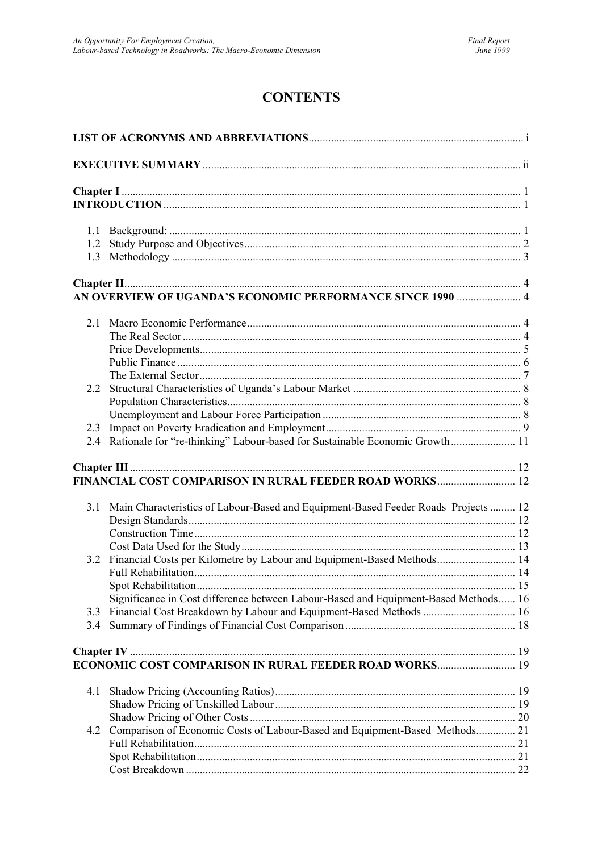## **CONTENTS**

| 1.1<br>1.2 |                                                                                     |  |
|------------|-------------------------------------------------------------------------------------|--|
| 1.3        |                                                                                     |  |
|            | AN OVERVIEW OF UGANDA'S ECONOMIC PERFORMANCE SINCE 1990  4                          |  |
| 2.1        |                                                                                     |  |
|            |                                                                                     |  |
|            |                                                                                     |  |
|            |                                                                                     |  |
|            |                                                                                     |  |
| 2.2        |                                                                                     |  |
|            |                                                                                     |  |
|            |                                                                                     |  |
| 2.3        |                                                                                     |  |
| 2.4        | Rationale for "re-thinking" Labour-based for Sustainable Economic Growth 11         |  |
|            |                                                                                     |  |
|            | FINANCIAL COST COMPARISON IN RURAL FEEDER ROAD WORKS 12                             |  |
|            |                                                                                     |  |
| 3.1        | Main Characteristics of Labour-Based and Equipment-Based Feeder Roads Projects  12  |  |
|            |                                                                                     |  |
|            |                                                                                     |  |
|            |                                                                                     |  |
| 3.2        | Financial Costs per Kilometre by Labour and Equipment-Based Methods 14              |  |
|            |                                                                                     |  |
|            |                                                                                     |  |
|            | Significance in Cost difference between Labour-Based and Equipment-Based Methods 16 |  |
| 3.3        | Financial Cost Breakdown by Labour and Equipment-Based Methods  16                  |  |
|            |                                                                                     |  |
|            |                                                                                     |  |
|            |                                                                                     |  |
|            | ECONOMIC COST COMPARISON IN RURAL FEEDER ROAD WORKS 19                              |  |
|            |                                                                                     |  |
| 4.1        |                                                                                     |  |
|            |                                                                                     |  |
|            |                                                                                     |  |
| 4.2        | Comparison of Economic Costs of Labour-Based and Equipment-Based Methods 21         |  |
|            |                                                                                     |  |
|            |                                                                                     |  |
|            |                                                                                     |  |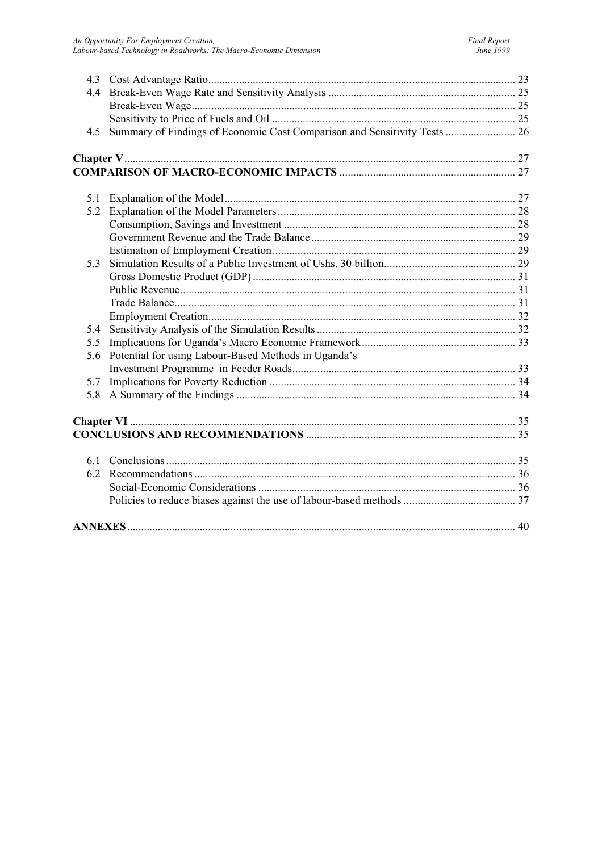| 4.4 |                                                                           |  |
|-----|---------------------------------------------------------------------------|--|
|     |                                                                           |  |
|     |                                                                           |  |
| 4.5 | Summary of Findings of Economic Cost Comparison and Sensitivity Tests  26 |  |
|     |                                                                           |  |
|     |                                                                           |  |
| 5.1 |                                                                           |  |
| 5.2 |                                                                           |  |
|     |                                                                           |  |
|     |                                                                           |  |
|     |                                                                           |  |
| 5.3 |                                                                           |  |
|     |                                                                           |  |
|     |                                                                           |  |
|     |                                                                           |  |
|     |                                                                           |  |
| 5.4 |                                                                           |  |
| 5.5 |                                                                           |  |
| 5.6 | Potential for using Labour-Based Methods in Uganda's                      |  |
|     |                                                                           |  |
| 5.7 |                                                                           |  |
| 5.8 |                                                                           |  |
|     |                                                                           |  |
|     |                                                                           |  |
|     |                                                                           |  |
| 6.2 |                                                                           |  |
|     |                                                                           |  |
|     |                                                                           |  |
|     |                                                                           |  |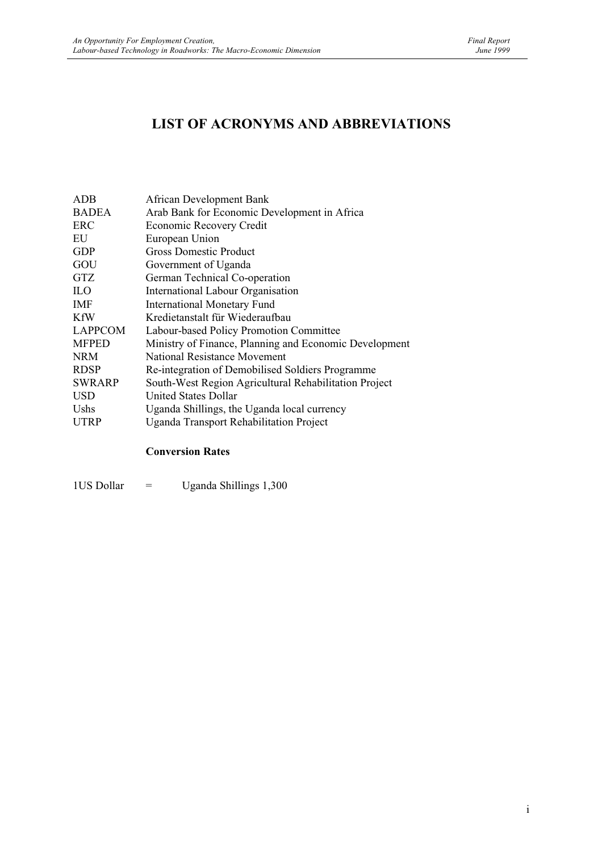## **LIST OF ACRONYMS AND ABBREVIATIONS**

| <b>ADB</b>      | African Development Bank                               |
|-----------------|--------------------------------------------------------|
| <b>BADEA</b>    | Arab Bank for Economic Development in Africa           |
| ERC             | Economic Recovery Credit                               |
| EU              | European Union                                         |
| <b>GDP</b>      | Gross Domestic Product                                 |
| GOU             | Government of Uganda                                   |
| <b>GTZ</b>      | German Technical Co-operation                          |
| ILO <sub></sub> | <b>International Labour Organisation</b>               |
| <b>IMF</b>      | <b>International Monetary Fund</b>                     |
| KfW             | Kredietanstalt für Wiederaufbau                        |
| <b>LAPPCOM</b>  | Labour-based Policy Promotion Committee                |
| <b>MFPED</b>    | Ministry of Finance, Planning and Economic Development |
| <b>NRM</b>      | <b>National Resistance Movement</b>                    |
| <b>RDSP</b>     | Re-integration of Demobilised Soldiers Programme       |
| <b>SWRARP</b>   | South-West Region Agricultural Rehabilitation Project  |
| <b>USD</b>      | United States Dollar                                   |
| Ushs            | Uganda Shillings, the Uganda local currency            |
| <b>UTRP</b>     | Uganda Transport Rehabilitation Project                |

#### **Conversion Rates**

1US Dollar = Uganda Shillings 1,300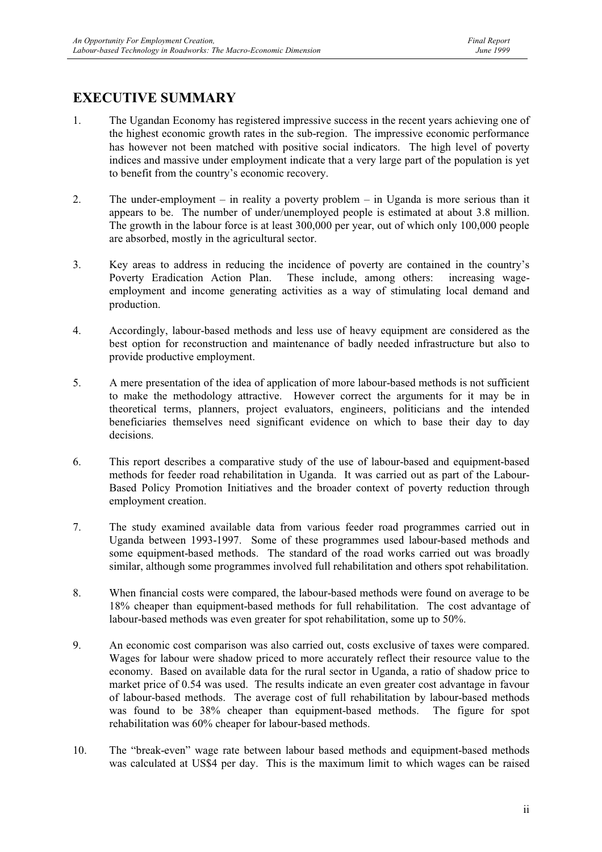## **EXECUTIVE SUMMARY**

- 1. The Ugandan Economy has registered impressive success in the recent years achieving one of the highest economic growth rates in the sub-region. The impressive economic performance has however not been matched with positive social indicators. The high level of poverty indices and massive under employment indicate that a very large part of the population is yet to benefit from the country's economic recovery.
- 2. The under-employment in reality a poverty problem in Uganda is more serious than it appears to be. The number of under/unemployed people is estimated at about 3.8 million. The growth in the labour force is at least 300,000 per year, out of which only 100,000 people are absorbed, mostly in the agricultural sector.
- 3. Key areas to address in reducing the incidence of poverty are contained in the country's Poverty Eradication Action Plan. These include, among others: increasing wageemployment and income generating activities as a way of stimulating local demand and production.
- 4. Accordingly, labour-based methods and less use of heavy equipment are considered as the best option for reconstruction and maintenance of badly needed infrastructure but also to provide productive employment.
- 5. A mere presentation of the idea of application of more labour-based methods is not sufficient to make the methodology attractive. However correct the arguments for it may be in theoretical terms, planners, project evaluators, engineers, politicians and the intended beneficiaries themselves need significant evidence on which to base their day to day decisions.
- 6. This report describes a comparative study of the use of labour-based and equipment-based methods for feeder road rehabilitation in Uganda. It was carried out as part of the Labour-Based Policy Promotion Initiatives and the broader context of poverty reduction through employment creation.
- 7. The study examined available data from various feeder road programmes carried out in Uganda between 1993-1997. Some of these programmes used labour-based methods and some equipment-based methods. The standard of the road works carried out was broadly similar, although some programmes involved full rehabilitation and others spot rehabilitation.
- 8. When financial costs were compared, the labour-based methods were found on average to be 18% cheaper than equipment-based methods for full rehabilitation. The cost advantage of labour-based methods was even greater for spot rehabilitation, some up to 50%.
- 9. An economic cost comparison was also carried out, costs exclusive of taxes were compared. Wages for labour were shadow priced to more accurately reflect their resource value to the economy. Based on available data for the rural sector in Uganda, a ratio of shadow price to market price of 0.54 was used. The results indicate an even greater cost advantage in favour of labour-based methods. The average cost of full rehabilitation by labour-based methods was found to be 38% cheaper than equipment-based methods. The figure for spot rehabilitation was 60% cheaper for labour-based methods.
- 10. The "break-even" wage rate between labour based methods and equipment-based methods was calculated at US\$4 per day. This is the maximum limit to which wages can be raised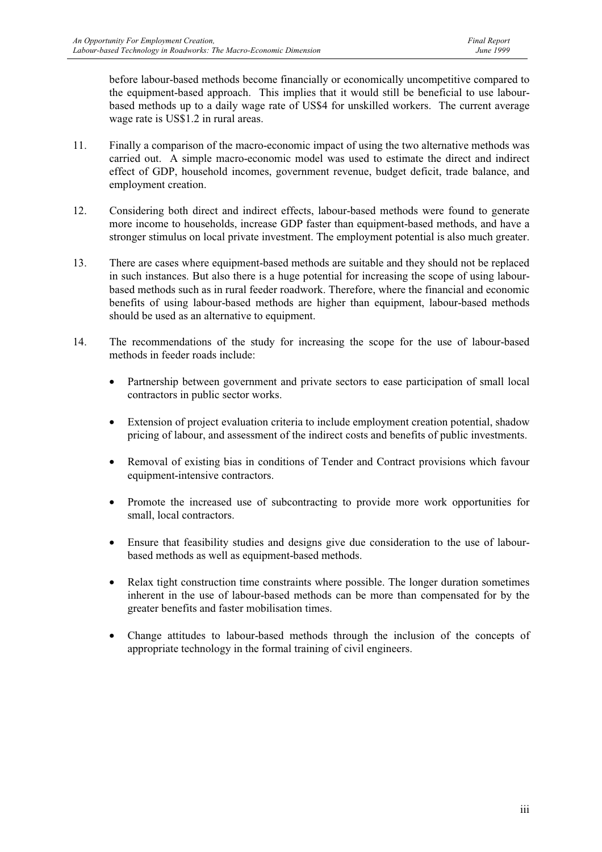before labour-based methods become financially or economically uncompetitive compared to the equipment-based approach. This implies that it would still be beneficial to use labourbased methods up to a daily wage rate of US\$4 for unskilled workers. The current average wage rate is US\$1.2 in rural areas.

- 11. Finally a comparison of the macro-economic impact of using the two alternative methods was carried out. A simple macro-economic model was used to estimate the direct and indirect effect of GDP, household incomes, government revenue, budget deficit, trade balance, and employment creation.
- 12. Considering both direct and indirect effects, labour-based methods were found to generate more income to households, increase GDP faster than equipment-based methods, and have a stronger stimulus on local private investment. The employment potential is also much greater.
- 13. There are cases where equipment-based methods are suitable and they should not be replaced in such instances. But also there is a huge potential for increasing the scope of using labourbased methods such as in rural feeder roadwork. Therefore, where the financial and economic benefits of using labour-based methods are higher than equipment, labour-based methods should be used as an alternative to equipment.
- 14. The recommendations of the study for increasing the scope for the use of labour-based methods in feeder roads include:
	- Partnership between government and private sectors to ease participation of small local contractors in public sector works.
	- Extension of project evaluation criteria to include employment creation potential, shadow pricing of labour, and assessment of the indirect costs and benefits of public investments.
	- Removal of existing bias in conditions of Tender and Contract provisions which favour equipment-intensive contractors.
	- Promote the increased use of subcontracting to provide more work opportunities for small, local contractors.
	- Ensure that feasibility studies and designs give due consideration to the use of labourbased methods as well as equipment-based methods.
	- Relax tight construction time constraints where possible. The longer duration sometimes inherent in the use of labour-based methods can be more than compensated for by the greater benefits and faster mobilisation times.
	- Change attitudes to labour-based methods through the inclusion of the concepts of appropriate technology in the formal training of civil engineers.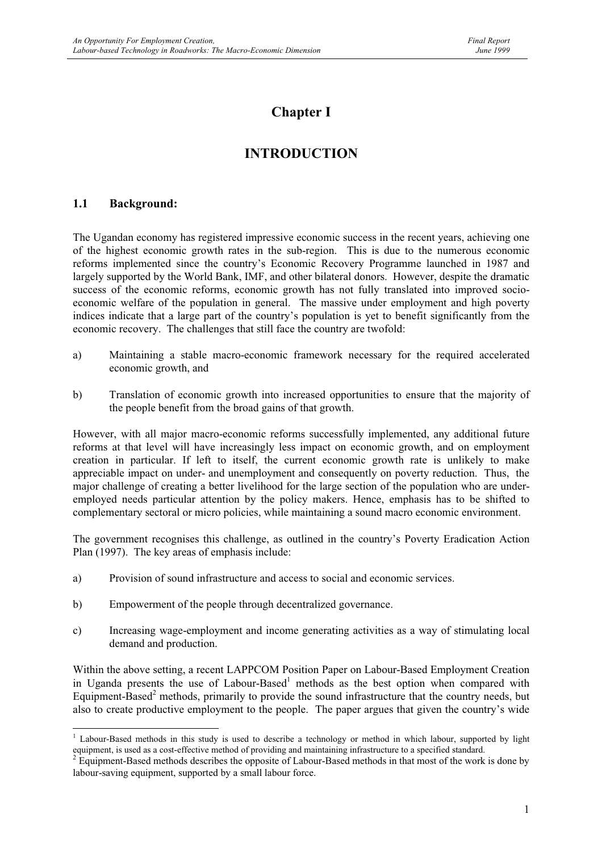## **Chapter I**

### **INTRODUCTION**

#### **1.1 Background:**

The Ugandan economy has registered impressive economic success in the recent years, achieving one of the highest economic growth rates in the sub-region. This is due to the numerous economic reforms implemented since the country's Economic Recovery Programme launched in 1987 and largely supported by the World Bank, IMF, and other bilateral donors. However, despite the dramatic success of the economic reforms, economic growth has not fully translated into improved socioeconomic welfare of the population in general. The massive under employment and high poverty indices indicate that a large part of the country's population is yet to benefit significantly from the economic recovery. The challenges that still face the country are twofold:

- a) Maintaining a stable macro-economic framework necessary for the required accelerated economic growth, and
- b) Translation of economic growth into increased opportunities to ensure that the majority of the people benefit from the broad gains of that growth.

However, with all major macro-economic reforms successfully implemented, any additional future reforms at that level will have increasingly less impact on economic growth, and on employment creation in particular. If left to itself, the current economic growth rate is unlikely to make appreciable impact on under- and unemployment and consequently on poverty reduction. Thus, the major challenge of creating a better livelihood for the large section of the population who are underemployed needs particular attention by the policy makers. Hence, emphasis has to be shifted to complementary sectoral or micro policies, while maintaining a sound macro economic environment.

The government recognises this challenge, as outlined in the country's Poverty Eradication Action Plan (1997). The key areas of emphasis include:

- a) Provision of sound infrastructure and access to social and economic services.
- b) Empowerment of the people through decentralized governance.
- c) Increasing wage-employment and income generating activities as a way of stimulating local demand and production.

Within the above setting, a recent LAPPCOM Position Paper on Labour-Based Employment Creation in Uganda presents the use of Labour-Based<sup>1</sup> methods as the best option when compared with Equipment-Based<sup>2</sup> methods, primarily to provide the sound infrastructure that the country needs, but also to create productive employment to the people. The paper argues that given the country's wide

<sup>&</sup>lt;sup>1</sup> Labour-Based methods in this study is used to describe a technology or method in which labour, supported by light equipment, is used as a cost-effective method of providing and maintaining infrastructure to a specified standard.

 $2^{2}$  Equipment-Based methods describes the opposite of Labour-Based methods in that most of the work is done by labour-saving equipment, supported by a small labour force.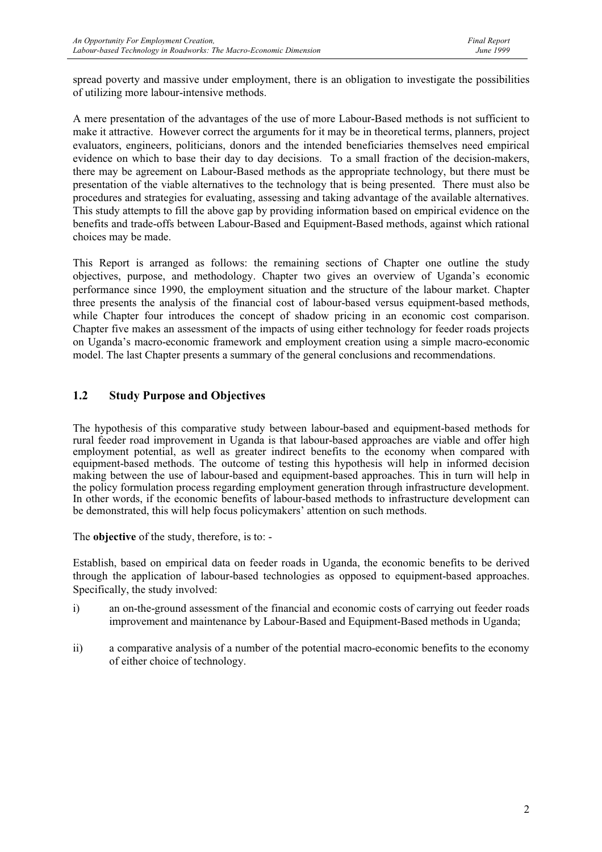spread poverty and massive under employment, there is an obligation to investigate the possibilities of utilizing more labour-intensive methods.

A mere presentation of the advantages of the use of more Labour-Based methods is not sufficient to make it attractive. However correct the arguments for it may be in theoretical terms, planners, project evaluators, engineers, politicians, donors and the intended beneficiaries themselves need empirical evidence on which to base their day to day decisions. To a small fraction of the decision-makers, there may be agreement on Labour-Based methods as the appropriate technology, but there must be presentation of the viable alternatives to the technology that is being presented. There must also be procedures and strategies for evaluating, assessing and taking advantage of the available alternatives. This study attempts to fill the above gap by providing information based on empirical evidence on the benefits and trade-offs between Labour-Based and Equipment-Based methods, against which rational choices may be made.

This Report is arranged as follows: the remaining sections of Chapter one outline the study objectives, purpose, and methodology. Chapter two gives an overview of Uganda's economic performance since 1990, the employment situation and the structure of the labour market. Chapter three presents the analysis of the financial cost of labour-based versus equipment-based methods, while Chapter four introduces the concept of shadow pricing in an economic cost comparison. Chapter five makes an assessment of the impacts of using either technology for feeder roads projects on Uganda's macro-economic framework and employment creation using a simple macro-economic model. The last Chapter presents a summary of the general conclusions and recommendations.

#### **1.2 Study Purpose and Objectives**

The hypothesis of this comparative study between labour-based and equipment-based methods for rural feeder road improvement in Uganda is that labour-based approaches are viable and offer high employment potential, as well as greater indirect benefits to the economy when compared with equipment-based methods. The outcome of testing this hypothesis will help in informed decision making between the use of labour-based and equipment-based approaches. This in turn will help in the policy formulation process regarding employment generation through infrastructure development. In other words, if the economic benefits of labour-based methods to infrastructure development can be demonstrated, this will help focus policymakers' attention on such methods.

The **objective** of the study, therefore, is to: -

Establish, based on empirical data on feeder roads in Uganda, the economic benefits to be derived through the application of labour-based technologies as opposed to equipment-based approaches. Specifically, the study involved:

- i) an on-the-ground assessment of the financial and economic costs of carrying out feeder roads improvement and maintenance by Labour-Based and Equipment-Based methods in Uganda;
- ii) a comparative analysis of a number of the potential macro-economic benefits to the economy of either choice of technology.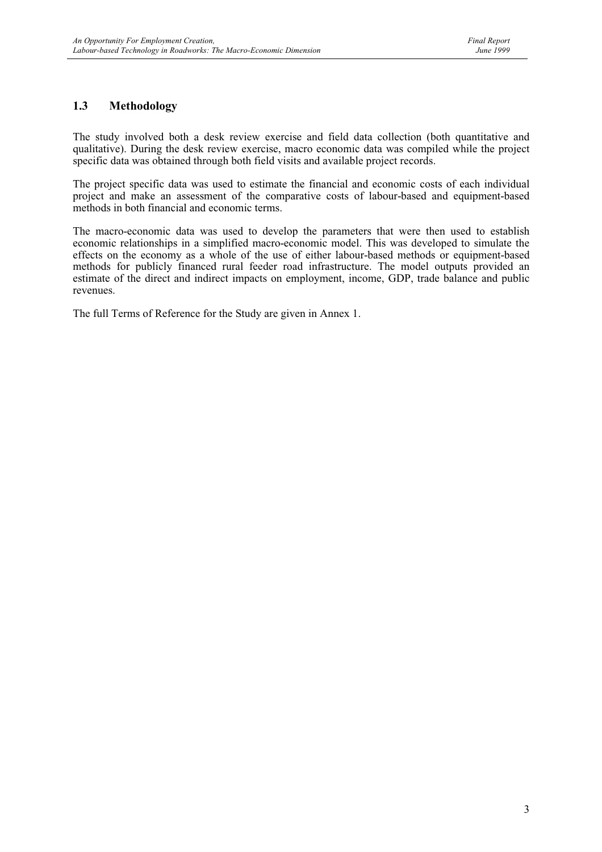#### **1.3 Methodology**

The study involved both a desk review exercise and field data collection (both quantitative and qualitative). During the desk review exercise, macro economic data was compiled while the project specific data was obtained through both field visits and available project records.

The project specific data was used to estimate the financial and economic costs of each individual project and make an assessment of the comparative costs of labour-based and equipment-based methods in both financial and economic terms.

The macro-economic data was used to develop the parameters that were then used to establish economic relationships in a simplified macro-economic model. This was developed to simulate the effects on the economy as a whole of the use of either labour-based methods or equipment-based methods for publicly financed rural feeder road infrastructure. The model outputs provided an estimate of the direct and indirect impacts on employment, income, GDP, trade balance and public revenues.

The full Terms of Reference for the Study are given in Annex 1.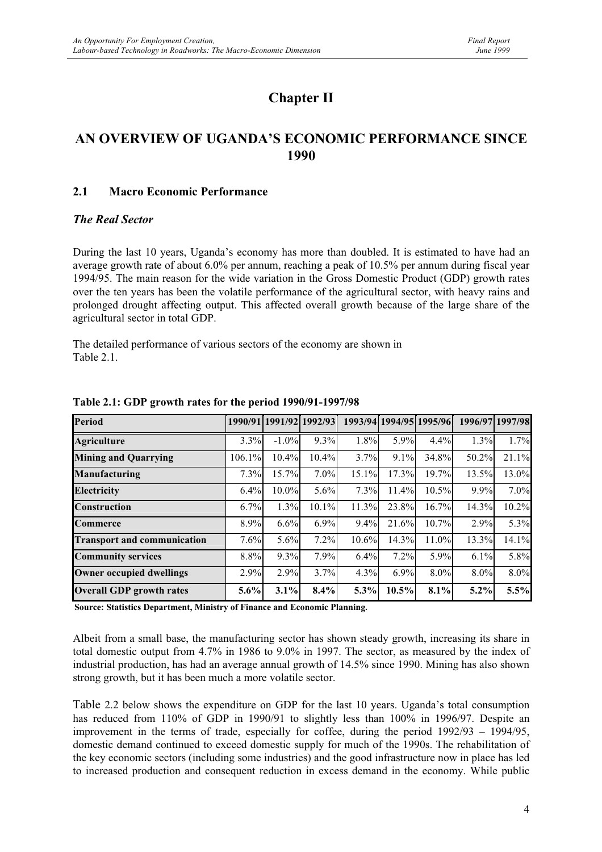## **Chapter II**

### **AN OVERVIEW OF UGANDA'S ECONOMIC PERFORMANCE SINCE 1990**

#### **2.1 Macro Economic Performance**

#### *The Real Sector*

During the last 10 years, Uganda's economy has more than doubled. It is estimated to have had an average growth rate of about 6.0% per annum, reaching a peak of 10.5% per annum during fiscal year 1994/95. The main reason for the wide variation in the Gross Domestic Product (GDP) growth rates over the ten years has been the volatile performance of the agricultural sector, with heavy rains and prolonged drought affecting output. This affected overall growth because of the large share of the agricultural sector in total GDP.

The detailed performance of various sectors of the economy are shown in Table 2.1.

| <b>Period</b>                      |         |          | 1990/91 1991/92 1992/93 |          |         | 1993/94 1994/95 1995/96 |         | 1996/97 1997/98 |
|------------------------------------|---------|----------|-------------------------|----------|---------|-------------------------|---------|-----------------|
| <b>Agriculture</b>                 | $3.3\%$ | $-1.0\%$ | 9.3%                    | 1.8%     | 5.9%    | 4.4%                    | 1.3%    | 1.7%            |
| <b>Mining and Quarrying</b>        | 106.1%  | 10.4%    | 10.4%                   | 3.7%     | 9.1%    | 34.8%                   | 50.2%   | 21.1%           |
| Manufacturing                      | 7.3%    | 15.7%    | 7.0%                    | 15.1%    | 17.3%   | 19.7%                   | 13.5%   | 13.0%           |
| <b>Electricity</b>                 | 6.4%    | 10.0%    | 5.6%                    | 7.3%     | 11.4%   | 10.5%                   | 9.9%    | 7.0%            |
| <b>Construction</b>                | 6.7%    | 1.3%     | 10.1%                   | 11.3%    | 23.8%   | 16.7%                   | 14.3%   | 10.2%           |
| <b>Commerce</b>                    | 8.9%    | 6.6%     | 6.9%                    | 9.4%     | 21.6%   | 10.7%                   | 2.9%    | 5.3%            |
| <b>Transport and communication</b> | 7.6%    | $5.6\%$  | 7.2%                    | $10.6\%$ | 14.3%   | 11.0%                   | 13.3%   | 14.1%           |
| <b>Community services</b>          | 8.8%    | 9.3%     | 7.9%                    | $6.4\%$  | $7.2\%$ | 5.9%                    | $6.1\%$ | 5.8%            |
| <b>Owner occupied dwellings</b>    | 2.9%    | 2.9%     | 3.7%                    | 4.3%     | 6.9%    | 8.0%                    | 8.0%    | 8.0%            |
| <b>Overall GDP growth rates</b>    | 5.6%    | 3.1%     | 8.4%                    | 5.3%     | 10.5%   | 8.1%                    | $5.2\%$ | 5.5%            |

**Table 2.1: GDP growth rates for the period 1990/91-1997/98**

**Source: Statistics Department, Ministry of Finance and Economic Planning.**

Albeit from a small base, the manufacturing sector has shown steady growth, increasing its share in total domestic output from 4.7% in 1986 to 9.0% in 1997. The sector, as measured by the index of industrial production, has had an average annual growth of 14.5% since 1990. Mining has also shown strong growth, but it has been much a more volatile sector.

Table 2.2 below shows the expenditure on GDP for the last 10 years. Uganda's total consumption has reduced from 110% of GDP in 1990/91 to slightly less than 100% in 1996/97. Despite an improvement in the terms of trade, especially for coffee, during the period 1992/93 – 1994/95, domestic demand continued to exceed domestic supply for much of the 1990s. The rehabilitation of the key economic sectors (including some industries) and the good infrastructure now in place has led to increased production and consequent reduction in excess demand in the economy. While public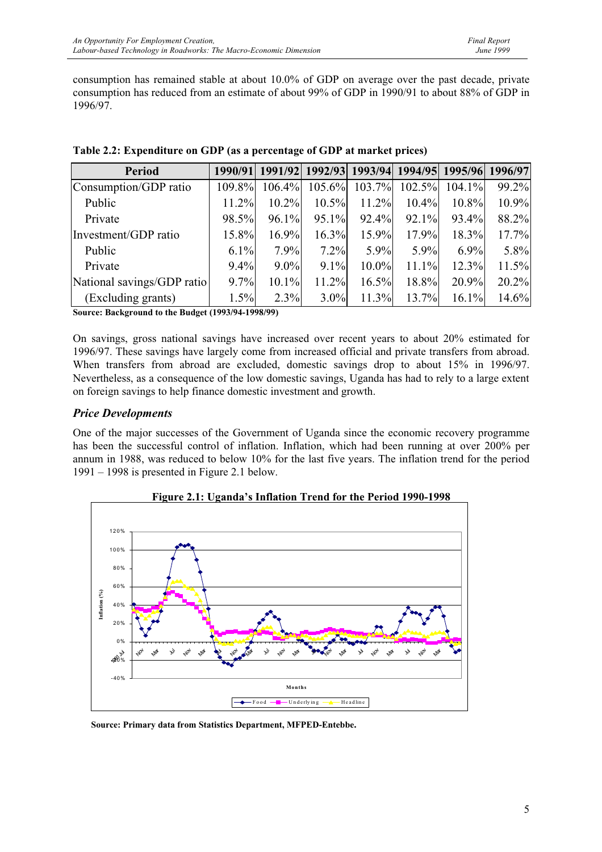consumption has remained stable at about 10.0% of GDP on average over the past decade, private consumption has reduced from an estimate of about 99% of GDP in 1990/91 to about 88% of GDP in 1996/97.

| <b>Period</b>              | 1990/91 |          | 1991/92 1992/93 1993/94 1994/95 1995/96 1996/97 |           |          |          |       |
|----------------------------|---------|----------|-------------------------------------------------|-----------|----------|----------|-------|
| Consumption/GDP ratio      | 109.8%  | 106.4%   | $105.6\%$                                       | $103.7\%$ | 102.5%   | 104.1%   | 99.2% |
| Public                     | 11.2%   | $10.2\%$ | $10.5\%$                                        | 11.2%     | 10.4%    | 10.8%    | 10.9% |
| Private                    | 98.5%   | 96.1%    | 95.1%                                           | 92.4%     | $92.1\%$ | 93.4%    | 88.2% |
| Investment/GDP ratio       | 15.8%   | 16.9%    | 16.3%                                           | 15.9%     | 17.9%    | 18.3%    | 17.7% |
| Public                     | 6.1%    | $7.9\%$  | $7.2\%$                                         | $5.9\%$   | $5.9\%$  | $6.9\%$  | 5.8%  |
| Private                    | $9.4\%$ | $9.0\%$  | $9.1\%$                                         | 10.0%     | 11.1%    | 12.3%    | 11.5% |
| National savings/GDP ratio | 9.7%    | $10.1\%$ | 11.2%                                           | 16.5%     | 18.8%    | 20.9%    | 20.2% |
| (Excluding grants)         | 1.5%    | 2.3%     | $3.0\%$                                         | 11.3%     | 13.7%    | $16.1\%$ | 14.6% |

**Source: Background to the Budget (1993/94-1998/99)**

On savings, gross national savings have increased over recent years to about 20% estimated for 1996/97. These savings have largely come from increased official and private transfers from abroad. When transfers from abroad are excluded, domestic savings drop to about 15% in 1996/97. Nevertheless, as a consequence of the low domestic savings, Uganda has had to rely to a large extent on foreign savings to help finance domestic investment and growth.

#### *Price Developments*

One of the major successes of the Government of Uganda since the economic recovery programme has been the successful control of inflation. Inflation, which had been running at over 200% per annum in 1988, was reduced to below 10% for the last five years. The inflation trend for the period 1991 – 1998 is presented in Figure 2.1 below.



**Figure 2.1: Uganda's Inflation Trend for the Period 1990-1998**

**Source: Primary data from Statistics Department, MFPED-Entebbe.**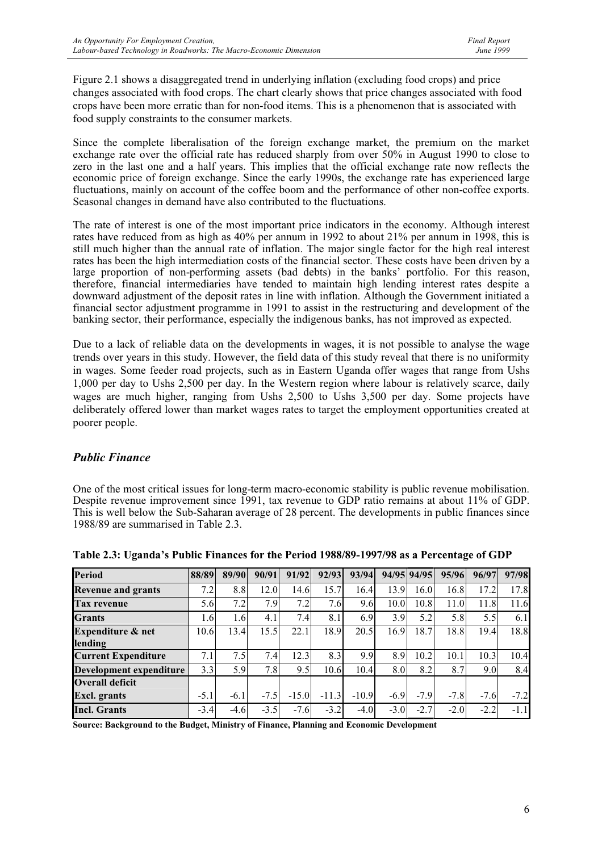Figure 2.1 shows a disaggregated trend in underlying inflation (excluding food crops) and price changes associated with food crops. The chart clearly shows that price changes associated with food crops have been more erratic than for non-food items. This is a phenomenon that is associated with food supply constraints to the consumer markets.

Since the complete liberalisation of the foreign exchange market, the premium on the market exchange rate over the official rate has reduced sharply from over 50% in August 1990 to close to zero in the last one and a half years. This implies that the official exchange rate now reflects the economic price of foreign exchange. Since the early 1990s, the exchange rate has experienced large fluctuations, mainly on account of the coffee boom and the performance of other non-coffee exports. Seasonal changes in demand have also contributed to the fluctuations.

The rate of interest is one of the most important price indicators in the economy. Although interest rates have reduced from as high as 40% per annum in 1992 to about 21% per annum in 1998, this is still much higher than the annual rate of inflation. The major single factor for the high real interest rates has been the high intermediation costs of the financial sector. These costs have been driven by a large proportion of non-performing assets (bad debts) in the banks' portfolio. For this reason, therefore, financial intermediaries have tended to maintain high lending interest rates despite a downward adjustment of the deposit rates in line with inflation. Although the Government initiated a financial sector adjustment programme in 1991 to assist in the restructuring and development of the banking sector, their performance, especially the indigenous banks, has not improved as expected.

Due to a lack of reliable data on the developments in wages, it is not possible to analyse the wage trends over years in this study. However, the field data of this study reveal that there is no uniformity in wages. Some feeder road projects, such as in Eastern Uganda offer wages that range from Ushs 1,000 per day to Ushs 2,500 per day. In the Western region where labour is relatively scarce, daily wages are much higher, ranging from Ushs 2,500 to Ushs 3,500 per day. Some projects have deliberately offered lower than market wages rates to target the employment opportunities created at poorer people.

#### *Public Finance*

One of the most critical issues for long-term macro-economic stability is public revenue mobilisation. Despite revenue improvement since 1991, tax revenue to GDP ratio remains at about 11% of GDP. This is well below the Sub-Saharan average of 28 percent. The developments in public finances since 1988/89 are summarised in Table 2.3.

| <b>Period</b>                | 88/89  | 89/90  | 90/91  | 91/92   | 92/93   | 93/94   |        | 94/95 94/95 | 95/96  | 96/97  | 97/98  |
|------------------------------|--------|--------|--------|---------|---------|---------|--------|-------------|--------|--------|--------|
| <b>Revenue and grants</b>    | 7.2    | 8.8    | 12.0   | 14.6    | 15.7    | 16.4    | 13.9   | 16.0        | 16.8   | 17.2   | 17.8   |
| <b>Tax revenue</b>           | 5.6    | 7.2    | 7.9    | 7.2     | 7.6     | 9.6     | 10.0   | 10.8        | 11.0   | 11.8   | 11.6   |
| <b>Grants</b>                | 1.6    | 1.6    | 4.1    | 7.4     | 8.1     | 6.9     | 3.9    | 5.2         | 5.8    | 5.5    | 6.1    |
| <b>Expenditure &amp; net</b> | 10.6   | 13.4   | 15.5   | 22.1    | 18.9    | 20.5    | 16.9   | 18.7        | 18.8   | 19.4   | 18.8   |
| lending                      |        |        |        |         |         |         |        |             |        |        |        |
| <b>Current Expenditure</b>   | 7.1    | 7.5    | 7.4    | 12.3    | 8.3     | 9.9     | 8.9    | 10.2        | 10.1   | 10.3   | 10.4   |
| Development expenditure      | 3.3    | 5.9    | 7.8    | 9.5     | 10.6    | 10.4    | 8.0    | 8.2         | 8.7    | 9.0    | 8.4    |
| <b>Overall deficit</b>       |        |        |        |         |         |         |        |             |        |        |        |
| <b>Excl.</b> grants          | $-5.1$ | $-6.1$ | $-7.5$ | $-15.0$ | $-11.3$ | $-10.9$ | $-6.9$ | $-7.9$      | $-7.8$ | $-7.6$ | $-7.2$ |
| <b>Incl. Grants</b>          | $-3.4$ | $-4.6$ | $-3.5$ | $-7.6$  | $-3.2$  | $-4.0$  | $-3.0$ | $-2.7$      | $-2.0$ | $-2.2$ | $-1.1$ |

**Table 2.3: Uganda's Public Finances for the Period 1988/89-1997/98 as a Percentage of GDP**

**Source: Background to the Budget, Ministry of Finance, Planning and Economic Development**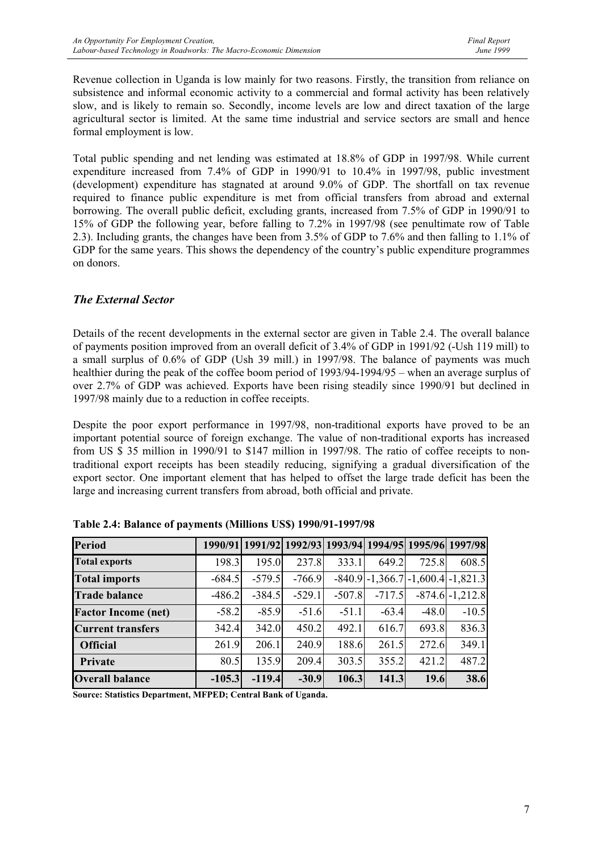Revenue collection in Uganda is low mainly for two reasons. Firstly, the transition from reliance on subsistence and informal economic activity to a commercial and formal activity has been relatively slow, and is likely to remain so. Secondly, income levels are low and direct taxation of the large agricultural sector is limited. At the same time industrial and service sectors are small and hence formal employment is low.

Total public spending and net lending was estimated at 18.8% of GDP in 1997/98. While current expenditure increased from 7.4% of GDP in 1990/91 to 10.4% in 1997/98, public investment (development) expenditure has stagnated at around 9.0% of GDP. The shortfall on tax revenue required to finance public expenditure is met from official transfers from abroad and external borrowing. The overall public deficit, excluding grants, increased from 7.5% of GDP in 1990/91 to 15% of GDP the following year, before falling to 7.2% in 1997/98 (see penultimate row of Table 2.3). Including grants, the changes have been from 3.5% of GDP to 7.6% and then falling to 1.1% of GDP for the same years. This shows the dependency of the country's public expenditure programmes on donors.

#### *The External Sector*

Details of the recent developments in the external sector are given in Table 2.4. The overall balance of payments position improved from an overall deficit of 3.4% of GDP in 1991/92 (-Ush 119 mill) to a small surplus of 0.6% of GDP (Ush 39 mill.) in 1997/98. The balance of payments was much healthier during the peak of the coffee boom period of 1993/94-1994/95 – when an average surplus of over 2.7% of GDP was achieved. Exports have been rising steadily since 1990/91 but declined in 1997/98 mainly due to a reduction in coffee receipts.

Despite the poor export performance in 1997/98, non-traditional exports have proved to be an important potential source of foreign exchange. The value of non-traditional exports has increased from US \$ 35 million in 1990/91 to \$147 million in 1997/98. The ratio of coffee receipts to nontraditional export receipts has been steadily reducing, signifying a gradual diversification of the export sector. One important element that has helped to offset the large trade deficit has been the large and increasing current transfers from abroad, both official and private.

| <b>Period</b>              |          |          | 1990/91 1991/92 1992/93 1993/94 1994/95 1995/96 1997/98 |          |                                           |         |                     |
|----------------------------|----------|----------|---------------------------------------------------------|----------|-------------------------------------------|---------|---------------------|
| <b>Total exports</b>       | 198.3    | 195.0    | 237.8                                                   | 333.1    | 649.2                                     | 725.8   | 608.5               |
| <b>Total imports</b>       | $-684.5$ | $-579.5$ | $-766.9$                                                |          | $-840.9$ $-1,366.7$ $-1,600.4$ $-1,821.3$ |         |                     |
| <b>Trade balance</b>       | $-486.2$ | $-384.5$ | $-529.1$                                                | $-507.8$ | $-717.5$                                  |         | $-874.6$ $-1,212.8$ |
| <b>Factor Income (net)</b> | $-58.2$  | $-85.9$  | $-51.6$                                                 | $-51.1$  | $-63.4$                                   | $-48.0$ | $-10.5$             |
| <b>Current transfers</b>   | 342.4    | 342.0    | 450.2                                                   | 492.1    | 616.7                                     | 693.8   | 836.3               |
| <b>Official</b>            | 261.9    | 206.1    | 240.9                                                   | 188.6    | 261.5                                     | 272.6   | 349.1               |
| Private                    | 80.5     | 135.9    | 209.4                                                   | 303.5    | 355.2                                     | 421.2   | 487.2               |
| <b>Overall balance</b>     | $-105.3$ | $-119.4$ | $-30.9$                                                 | 106.3    | 141.3                                     | 19.6    | 38.6                |

**Table 2.4: Balance of payments (Millions US\$) 1990/91-1997/98**

**Source: Statistics Department, MFPED; Central Bank of Uganda.**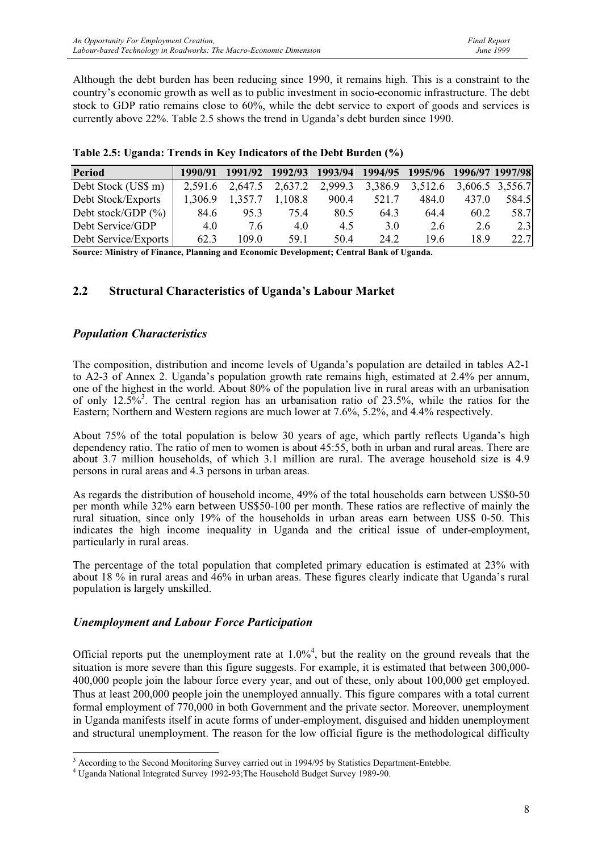Although the debt burden has been reducing since 1990, it remains high. This is a constraint to the country's economic growth as well as to public investment in socio-economic infrastructure. The debt stock to GDP ratio remains close to 60%, while the debt service to export of goods and services is currently above 22%. Table 2.5 shows the trend in Uganda's debt burden since 1990.

| <b>Period</b>          | 1990/91 | 1991/92 |         | 1992/93 1993/94 |         | 1994/95 1995/96 1996/97 1997/98 |       |                 |
|------------------------|---------|---------|---------|-----------------|---------|---------------------------------|-------|-----------------|
| Debt Stock (US\$ m)    | 2.591.6 | 2,647.5 | 2,637.2 | 2,999.3         | 3,386.9 | 3,512.6                         |       | 3,606.5 3,556.7 |
| Debt Stock/Exports     | 1.306.9 | 1,357.7 | 1,108.8 | 900.4           | 521.7   | 484.0                           | 437.0 | 584.5           |
| Debt stock/GDP $(\% )$ | 84.6    | 95.3    | 75.4    | 80.5            | 64.3    | 64.4                            | 60.2  | 58.7            |
| Debt Service/GDP       | 4.0     | 7.6     | 4.0     | 4.5             | 3.0     | 2.6                             | 2.6   | 2.3             |
| Debt Service/Exports   | 62.3    | 109.0   | 59.1    | 50.4            | 24.2    | 19.6                            | 18.9  | 22.7            |

**Source: Ministry of Finance, Planning and Economic Development; Central Bank of Uganda.**

#### **2.2 Structural Characteristics of Uganda's Labour Market**

#### *Population Characteristics*

The composition, distribution and income levels of Uganda's population are detailed in tables A2-1 to A2-3 of Annex 2. Uganda's population growth rate remains high, estimated at 2.4% per annum, one of the highest in the world. About 80% of the population live in rural areas with an urbanisation of only 12.5%<sup>3</sup>. The central region has an urbanisation ratio of 23.5%, while the ratios for the Eastern; Northern and Western regions are much lower at 7.6%, 5.2%, and 4.4% respectively.

About 75% of the total population is below 30 years of age, which partly reflects Uganda's high dependency ratio. The ratio of men to women is about 45:55, both in urban and rural areas. There are about 3.7 million households, of which 3.1 million are rural. The average household size is 4.9 persons in rural areas and 4.3 persons in urban areas.

As regards the distribution of household income, 49% of the total households earn between US\$0-50 per month while 32% earn between US\$50-100 per month. These ratios are reflective of mainly the rural situation, since only 19% of the households in urban areas earn between US\$ 0-50. This indicates the high income inequality in Uganda and the critical issue of under-employment, particularly in rural areas.

The percentage of the total population that completed primary education is estimated at 23% with about 18 % in rural areas and 46% in urban areas. These figures clearly indicate that Uganda's rural population is largely unskilled.

#### *Unemployment and Labour Force Participation*

Official reports put the unemployment rate at  $1.0\%$ <sup>4</sup>, but the reality on the ground reveals that the situation is more severe than this figure suggests. For example, it is estimated that between 300,000- 400,000 people join the labour force every year, and out of these, only about 100,000 get employed. Thus at least 200,000 people join the unemployed annually. This figure compares with a total current formal employment of 770,000 in both Government and the private sector. Moreover, unemployment in Uganda manifests itself in acute forms of under-employment, disguised and hidden unemployment and structural unemployment. The reason for the low official figure is the methodological difficulty

<sup>&</sup>lt;sup>3</sup> According to the Second Monitoring Survey carried out in 1994/95 by Statistics Department-Entebbe.

<sup>&</sup>lt;sup>4</sup> Uganda National Integrated Survey 1992-93; The Household Budget Survey 1989-90.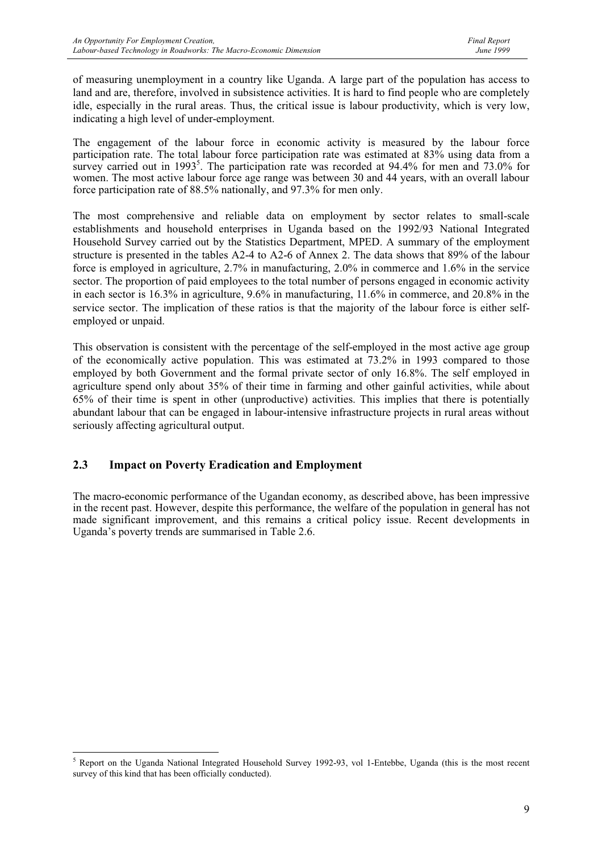of measuring unemployment in a country like Uganda. A large part of the population has access to land and are, therefore, involved in subsistence activities. It is hard to find people who are completely idle, especially in the rural areas. Thus, the critical issue is labour productivity, which is very low, indicating a high level of under-employment.

The engagement of the labour force in economic activity is measured by the labour force participation rate. The total labour force participation rate was estimated at 83% using data from a survey carried out in 1993<sup>5</sup>. The participation rate was recorded at 94.4% for men and 73.0% for women. The most active labour force age range was between 30 and 44 years, with an overall labour force participation rate of 88.5% nationally, and 97.3% for men only.

The most comprehensive and reliable data on employment by sector relates to small-scale establishments and household enterprises in Uganda based on the 1992/93 National Integrated Household Survey carried out by the Statistics Department, MPED. A summary of the employment structure is presented in the tables A2-4 to A2-6 of Annex 2. The data shows that 89% of the labour force is employed in agriculture, 2.7% in manufacturing, 2.0% in commerce and 1.6% in the service sector. The proportion of paid employees to the total number of persons engaged in economic activity in each sector is 16.3% in agriculture, 9.6% in manufacturing, 11.6% in commerce, and 20.8% in the service sector. The implication of these ratios is that the majority of the labour force is either selfemployed or unpaid.

This observation is consistent with the percentage of the self-employed in the most active age group of the economically active population. This was estimated at 73.2% in 1993 compared to those employed by both Government and the formal private sector of only 16.8%. The self employed in agriculture spend only about 35% of their time in farming and other gainful activities, while about 65% of their time is spent in other (unproductive) activities. This implies that there is potentially abundant labour that can be engaged in labour-intensive infrastructure projects in rural areas without seriously affecting agricultural output.

#### **2.3 Impact on Poverty Eradication and Employment**

The macro-economic performance of the Ugandan economy, as described above, has been impressive in the recent past. However, despite this performance, the welfare of the population in general has not made significant improvement, and this remains a critical policy issue. Recent developments in Uganda's poverty trends are summarised in Table 2.6.

<sup>&</sup>lt;sup>5</sup> Report on the Uganda National Integrated Household Survey 1992-93, vol 1-Entebbe, Uganda (this is the most recent survey of this kind that has been officially conducted).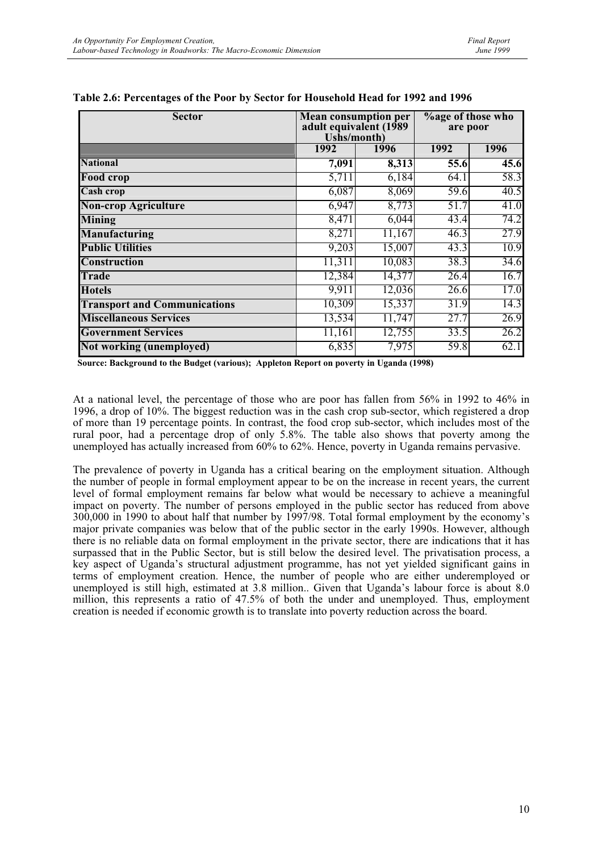| <b>Sector</b>                       | <b>Mean consumption per</b><br>adult equivalent (1989)<br>Ushs/month) |        | <b>%age of those who</b><br>are poor |      |  |
|-------------------------------------|-----------------------------------------------------------------------|--------|--------------------------------------|------|--|
|                                     | 1992                                                                  | 1996   | 1992                                 | 1996 |  |
| <b>National</b>                     | 7,091                                                                 | 8,313  | 55.6                                 | 45.6 |  |
| Food crop                           | 5,711                                                                 | 6,184  | 64.1                                 | 58.3 |  |
| Cash crop                           | 6,087                                                                 | 8,069  | 59.6                                 | 40.5 |  |
| <b>Non-crop Agriculture</b>         | 6,947                                                                 | 8,773  | 51.7                                 | 41.0 |  |
| <b>Mining</b>                       | 8,471                                                                 | 6,044  | 43.4                                 | 74.2 |  |
| <b>Manufacturing</b>                | 8,271                                                                 | 11,167 | 46.3                                 | 27.9 |  |
| <b>Public Utilities</b>             | 9,203                                                                 | 15,007 | 43.3                                 | 10.9 |  |
| <b>Construction</b>                 | 11,311                                                                | 10,083 | 38.3                                 | 34.6 |  |
| Trade                               | 12,384                                                                | 14,377 | 26.4                                 | 16.7 |  |
| <b>Hotels</b>                       | 9,911                                                                 | 12,036 | 26.6                                 | 17.0 |  |
| <b>Transport and Communications</b> | 10,309                                                                | 15,337 | 31.9                                 | 14.3 |  |
| <b>Miscellaneous Services</b>       | 13,534                                                                | 11,747 | 27.7                                 | 26.9 |  |
| <b>Government Services</b>          | 11,161                                                                | 12,755 | 33.5                                 | 26.2 |  |
| Not working (unemployed)            | 6,835                                                                 | 7,975  | 59.8                                 | 62.1 |  |

|  | Table 2.6: Percentages of the Poor by Sector for Household Head for 1992 and 1996 |
|--|-----------------------------------------------------------------------------------|
|  |                                                                                   |

 **Source: Background to the Budget (various); Appleton Report on poverty in Uganda (1998)**

At a national level, the percentage of those who are poor has fallen from 56% in 1992 to 46% in 1996, a drop of 10%. The biggest reduction was in the cash crop sub-sector, which registered a drop of more than 19 percentage points. In contrast, the food crop sub-sector, which includes most of the rural poor, had a percentage drop of only 5.8%. The table also shows that poverty among the unemployed has actually increased from 60% to 62%. Hence, poverty in Uganda remains pervasive.

The prevalence of poverty in Uganda has a critical bearing on the employment situation. Although the number of people in formal employment appear to be on the increase in recent years, the current level of formal employment remains far below what would be necessary to achieve a meaningful impact on poverty. The number of persons employed in the public sector has reduced from above 300,000 in 1990 to about half that number by 1997/98. Total formal employment by the economy's major private companies was below that of the public sector in the early 1990s. However, although there is no reliable data on formal employment in the private sector, there are indications that it has surpassed that in the Public Sector, but is still below the desired level. The privatisation process, a key aspect of Uganda's structural adjustment programme, has not yet yielded significant gains in terms of employment creation. Hence, the number of people who are either underemployed or unemployed is still high, estimated at 3.8 million.. Given that Uganda's labour force is about 8.0 million, this represents a ratio of 47.5% of both the under and unemployed. Thus, employment creation is needed if economic growth is to translate into poverty reduction across the board.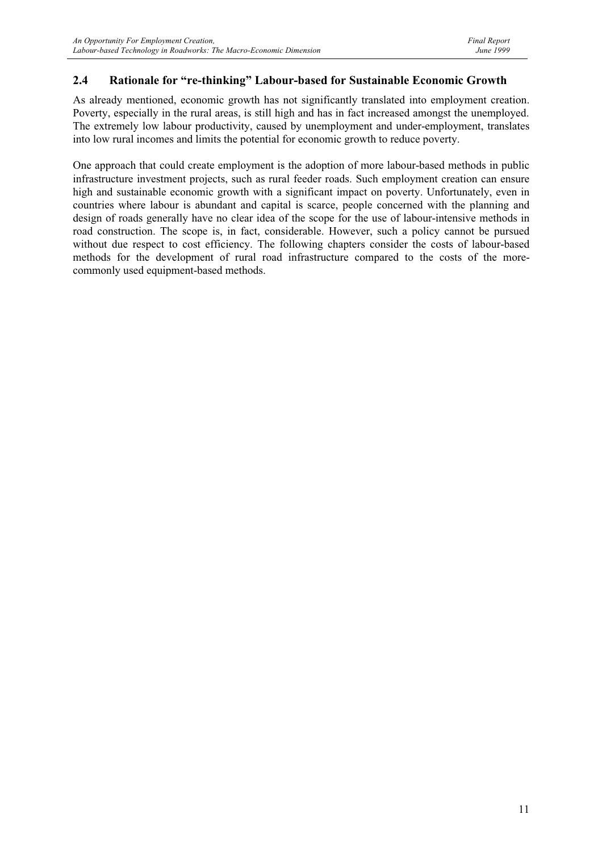#### **2.4 Rationale for "re-thinking" Labour-based for Sustainable Economic Growth**

As already mentioned, economic growth has not significantly translated into employment creation. Poverty, especially in the rural areas, is still high and has in fact increased amongst the unemployed. The extremely low labour productivity, caused by unemployment and under-employment, translates into low rural incomes and limits the potential for economic growth to reduce poverty.

One approach that could create employment is the adoption of more labour-based methods in public infrastructure investment projects, such as rural feeder roads. Such employment creation can ensure high and sustainable economic growth with a significant impact on poverty. Unfortunately, even in countries where labour is abundant and capital is scarce, people concerned with the planning and design of roads generally have no clear idea of the scope for the use of labour-intensive methods in road construction. The scope is, in fact, considerable. However, such a policy cannot be pursued without due respect to cost efficiency. The following chapters consider the costs of labour-based methods for the development of rural road infrastructure compared to the costs of the morecommonly used equipment-based methods.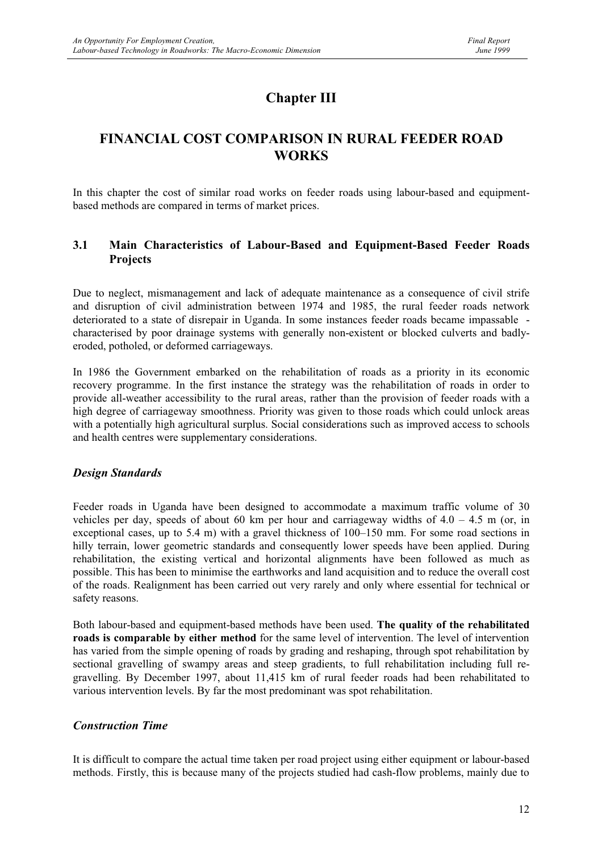## **Chapter III**

### **FINANCIAL COST COMPARISON IN RURAL FEEDER ROAD WORKS**

In this chapter the cost of similar road works on feeder roads using labour-based and equipmentbased methods are compared in terms of market prices.

#### **3.1 Main Characteristics of Labour-Based and Equipment-Based Feeder Roads Projects**

Due to neglect, mismanagement and lack of adequate maintenance as a consequence of civil strife and disruption of civil administration between 1974 and 1985, the rural feeder roads network deteriorated to a state of disrepair in Uganda. In some instances feeder roads became impassable characterised by poor drainage systems with generally non-existent or blocked culverts and badlyeroded, potholed, or deformed carriageways.

In 1986 the Government embarked on the rehabilitation of roads as a priority in its economic recovery programme. In the first instance the strategy was the rehabilitation of roads in order to provide all-weather accessibility to the rural areas, rather than the provision of feeder roads with a high degree of carriageway smoothness. Priority was given to those roads which could unlock areas with a potentially high agricultural surplus. Social considerations such as improved access to schools and health centres were supplementary considerations.

#### *Design Standards*

Feeder roads in Uganda have been designed to accommodate a maximum traffic volume of 30 vehicles per day, speeds of about 60 km per hour and carriageway widths of  $4.0 - 4.5$  m (or, in exceptional cases, up to 5.4 m) with a gravel thickness of 100–150 mm. For some road sections in hilly terrain, lower geometric standards and consequently lower speeds have been applied. During rehabilitation, the existing vertical and horizontal alignments have been followed as much as possible. This has been to minimise the earthworks and land acquisition and to reduce the overall cost of the roads. Realignment has been carried out very rarely and only where essential for technical or safety reasons.

Both labour-based and equipment-based methods have been used. **The quality of the rehabilitated roads is comparable by either method** for the same level of intervention. The level of intervention has varied from the simple opening of roads by grading and reshaping, through spot rehabilitation by sectional gravelling of swampy areas and steep gradients, to full rehabilitation including full regravelling. By December 1997, about 11,415 km of rural feeder roads had been rehabilitated to various intervention levels. By far the most predominant was spot rehabilitation.

#### *Construction Time*

It is difficult to compare the actual time taken per road project using either equipment or labour-based methods. Firstly, this is because many of the projects studied had cash-flow problems, mainly due to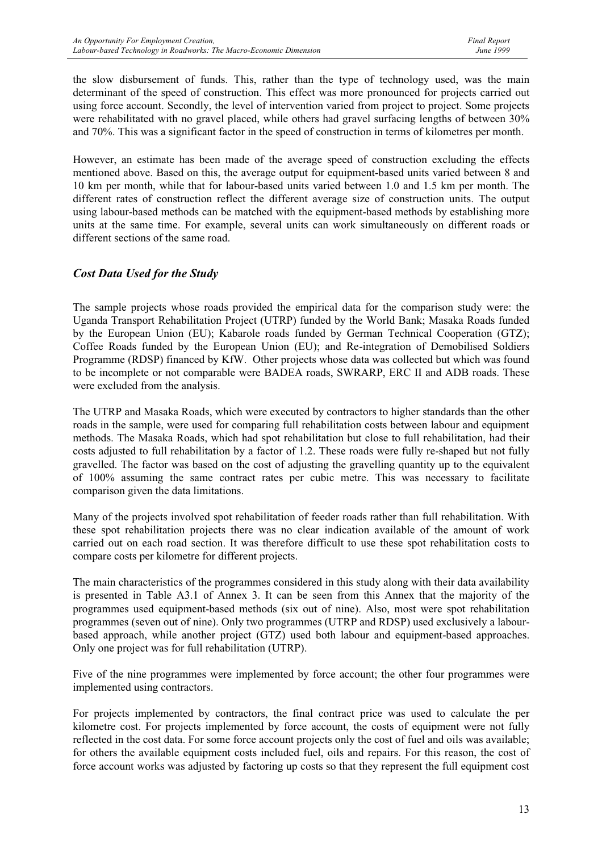the slow disbursement of funds. This, rather than the type of technology used, was the main determinant of the speed of construction. This effect was more pronounced for projects carried out using force account. Secondly, the level of intervention varied from project to project. Some projects were rehabilitated with no gravel placed, while others had gravel surfacing lengths of between 30% and 70%. This was a significant factor in the speed of construction in terms of kilometres per month.

However, an estimate has been made of the average speed of construction excluding the effects mentioned above. Based on this, the average output for equipment-based units varied between 8 and 10 km per month, while that for labour-based units varied between 1.0 and 1.5 km per month. The different rates of construction reflect the different average size of construction units. The output using labour-based methods can be matched with the equipment-based methods by establishing more units at the same time. For example, several units can work simultaneously on different roads or different sections of the same road.

#### *Cost Data Used for the Study*

The sample projects whose roads provided the empirical data for the comparison study were: the Uganda Transport Rehabilitation Project (UTRP) funded by the World Bank; Masaka Roads funded by the European Union (EU); Kabarole roads funded by German Technical Cooperation (GTZ); Coffee Roads funded by the European Union (EU); and Re-integration of Demobilised Soldiers Programme (RDSP) financed by KfW. Other projects whose data was collected but which was found to be incomplete or not comparable were BADEA roads, SWRARP, ERC II and ADB roads. These were excluded from the analysis.

The UTRP and Masaka Roads, which were executed by contractors to higher standards than the other roads in the sample, were used for comparing full rehabilitation costs between labour and equipment methods. The Masaka Roads, which had spot rehabilitation but close to full rehabilitation, had their costs adjusted to full rehabilitation by a factor of 1.2. These roads were fully re-shaped but not fully gravelled. The factor was based on the cost of adjusting the gravelling quantity up to the equivalent of 100% assuming the same contract rates per cubic metre. This was necessary to facilitate comparison given the data limitations.

Many of the projects involved spot rehabilitation of feeder roads rather than full rehabilitation. With these spot rehabilitation projects there was no clear indication available of the amount of work carried out on each road section. It was therefore difficult to use these spot rehabilitation costs to compare costs per kilometre for different projects.

The main characteristics of the programmes considered in this study along with their data availability is presented in Table A3.1 of Annex 3. It can be seen from this Annex that the majority of the programmes used equipment-based methods (six out of nine). Also, most were spot rehabilitation programmes (seven out of nine). Only two programmes (UTRP and RDSP) used exclusively a labourbased approach, while another project (GTZ) used both labour and equipment-based approaches. Only one project was for full rehabilitation (UTRP).

Five of the nine programmes were implemented by force account; the other four programmes were implemented using contractors.

For projects implemented by contractors, the final contract price was used to calculate the per kilometre cost. For projects implemented by force account, the costs of equipment were not fully reflected in the cost data. For some force account projects only the cost of fuel and oils was available; for others the available equipment costs included fuel, oils and repairs. For this reason, the cost of force account works was adjusted by factoring up costs so that they represent the full equipment cost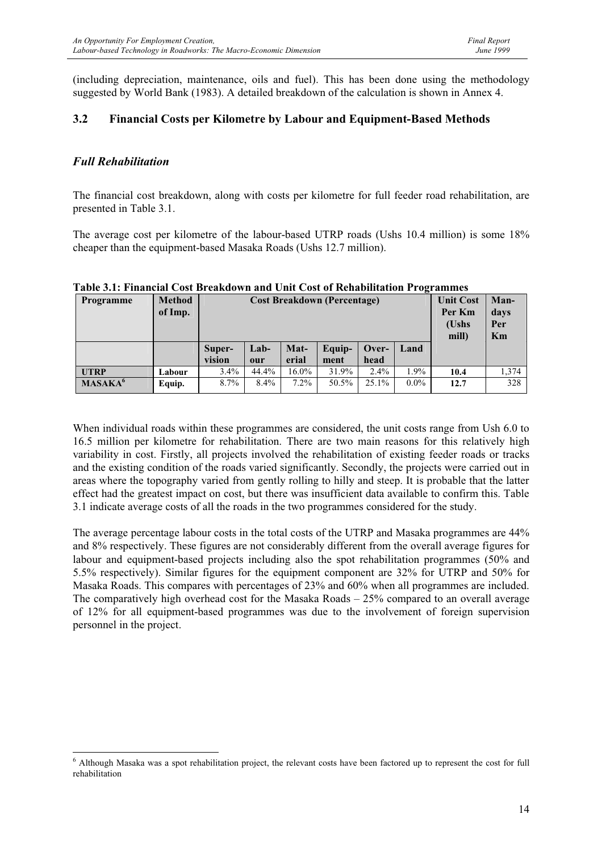(including depreciation, maintenance, oils and fuel). This has been done using the methodology suggested by World Bank (1983). A detailed breakdown of the calculation is shown in Annex 4.

#### **3.2 Financial Costs per Kilometre by Labour and Equipment-Based Methods**

#### *Full Rehabilitation*

The financial cost breakdown, along with costs per kilometre for full feeder road rehabilitation, are presented in Table 3.1.

The average cost per kilometre of the labour-based UTRP roads (Ushs 10.4 million) is some 18% cheaper than the equipment-based Masaka Roads (Ushs 12.7 million).

| <b>Programme</b>    | <b>Method</b><br>of Imp. |                  | <b>Unit Cost</b><br><b>Cost Breakdown (Percentage)</b><br>Per Km<br>(Ushs<br>mill) |               | Man-<br>days<br>Per<br>Km |               |         |      |       |
|---------------------|--------------------------|------------------|------------------------------------------------------------------------------------|---------------|---------------------------|---------------|---------|------|-------|
|                     |                          | Super-<br>vision | $Lab-$<br>our                                                                      | Mat-<br>erial | Equip-<br>ment            | Over-<br>head | Land    |      |       |
| <b>UTRP</b>         | Labour                   | $3.4\%$          | 44.4%                                                                              | 16.0%         | 31.9%                     | $2.4\%$       | 1.9%    | 10.4 | 1,374 |
| MASAKA <sup>6</sup> | Equip.                   | $8.7\%$          | $8.4\%$                                                                            | $7.2\%$       | 50.5%                     | $25.1\%$      | $0.0\%$ | 12.7 | 328   |

#### **Table 3.1: Financial Cost Breakdown and Unit Cost of Rehabilitation Programmes**

When individual roads within these programmes are considered, the unit costs range from Ush 6.0 to 16.5 million per kilometre for rehabilitation. There are two main reasons for this relatively high variability in cost. Firstly, all projects involved the rehabilitation of existing feeder roads or tracks and the existing condition of the roads varied significantly. Secondly, the projects were carried out in areas where the topography varied from gently rolling to hilly and steep. It is probable that the latter effect had the greatest impact on cost, but there was insufficient data available to confirm this. Table 3.1 indicate average costs of all the roads in the two programmes considered for the study.

The average percentage labour costs in the total costs of the UTRP and Masaka programmes are 44% and 8% respectively. These figures are not considerably different from the overall average figures for labour and equipment-based projects including also the spot rehabilitation programmes (50% and 5.5% respectively). Similar figures for the equipment component are 32% for UTRP and 50% for Masaka Roads. This compares with percentages of 23% and 60% when all programmes are included. The comparatively high overhead cost for the Masaka Roads  $-25%$  compared to an overall average of 12% for all equipment-based programmes was due to the involvement of foreign supervision personnel in the project.

<sup>&</sup>lt;sup>6</sup> Although Masaka was a spot rehabilitation project, the relevant costs have been factored up to represent the cost for full rehabilitation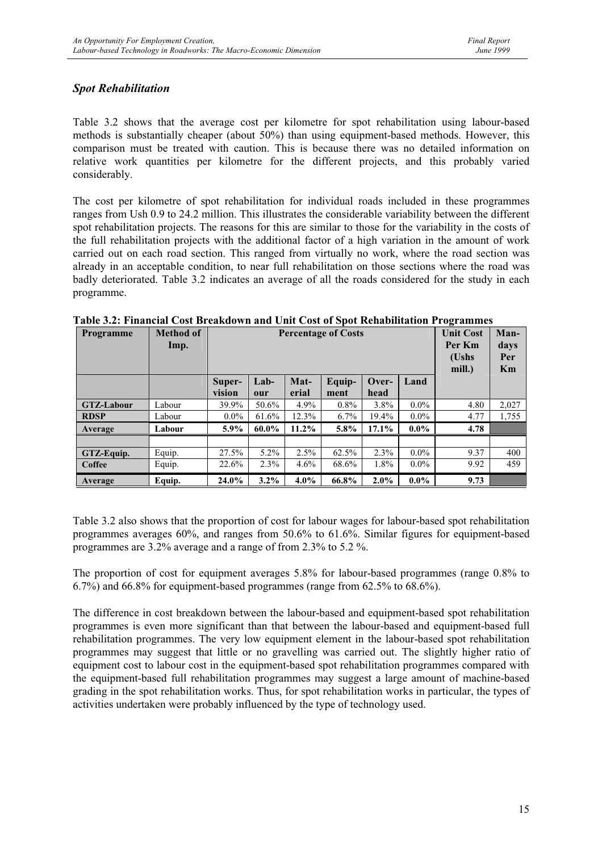#### *Spot Rehabilitation*

Table 3.2 shows that the average cost per kilometre for spot rehabilitation using labour-based methods is substantially cheaper (about 50%) than using equipment-based methods. However, this comparison must be treated with caution. This is because there was no detailed information on relative work quantities per kilometre for the different projects, and this probably varied considerably.

The cost per kilometre of spot rehabilitation for individual roads included in these programmes ranges from Ush 0.9 to 24.2 million. This illustrates the considerable variability between the different spot rehabilitation projects. The reasons for this are similar to those for the variability in the costs of the full rehabilitation projects with the additional factor of a high variation in the amount of work carried out on each road section. This ranged from virtually no work, where the road section was already in an acceptable condition, to near full rehabilitation on those sections where the road was badly deteriorated. Table 3.2 indicates an average of all the roads considered for the study in each programme.

| <b>Programme</b>  | <b>Method</b> of<br>Imp. |         | <b>Percentage of Costs</b> | <b>Unit Cost</b><br>Per Km<br>(Ushs<br>mill.) | Man-<br>days<br>Per<br>Km |         |         |      |       |
|-------------------|--------------------------|---------|----------------------------|-----------------------------------------------|---------------------------|---------|---------|------|-------|
|                   |                          | Super-  | $Lab-$                     | Mat-                                          | Equip-                    | Over-   | Land    |      |       |
|                   |                          | vision  | our                        | erial                                         | ment                      | head    |         |      |       |
| <b>GTZ-Labour</b> | Labour                   | 39.9%   | 50.6%                      | 4.9%                                          | $0.8\%$                   | $3.8\%$ | $0.0\%$ | 4.80 | 2,027 |
| <b>RDSP</b>       | Labour                   | $0.0\%$ | 61.6%                      | 12.3%                                         | $6.7\%$                   | 19.4%   | $0.0\%$ | 4.77 | 1,755 |
| Average           | Labour                   | $5.9\%$ | 60.0%                      | $11.2\%$                                      | 5.8%                      | 17.1%   | $0.0\%$ | 4.78 |       |
|                   |                          |         |                            |                                               |                           |         |         |      |       |
| GTZ-Equip.        | Equip.                   | 27.5%   | $5.2\%$                    | 2.5%                                          | 62.5%                     | 2.3%    | $0.0\%$ | 9.37 | 400   |
| Coffee            | Equip.                   | 22.6%   | 2.3%                       | 4.6%                                          | 68.6%                     | 1.8%    | $0.0\%$ | 9.92 | 459   |
| Average           | Equip.                   | 24.0%   | $3.2\%$                    | $4.0\%$                                       | 66.8%                     | $2.0\%$ | $0.0\%$ | 9.73 |       |

**Table 3.2: Financial Cost Breakdown and Unit Cost of Spot Rehabilitation Programmes**

Table 3.2 also shows that the proportion of cost for labour wages for labour-based spot rehabilitation programmes averages 60%, and ranges from 50.6% to 61.6%. Similar figures for equipment-based programmes are 3.2% average and a range of from 2.3% to 5.2 %.

The proportion of cost for equipment averages 5.8% for labour-based programmes (range 0.8% to 6.7%) and 66.8% for equipment-based programmes (range from 62.5% to 68.6%).

The difference in cost breakdown between the labour-based and equipment-based spot rehabilitation programmes is even more significant than that between the labour-based and equipment-based full rehabilitation programmes. The very low equipment element in the labour-based spot rehabilitation programmes may suggest that little or no gravelling was carried out. The slightly higher ratio of equipment cost to labour cost in the equipment-based spot rehabilitation programmes compared with the equipment-based full rehabilitation programmes may suggest a large amount of machine-based grading in the spot rehabilitation works. Thus, for spot rehabilitation works in particular, the types of activities undertaken were probably influenced by the type of technology used.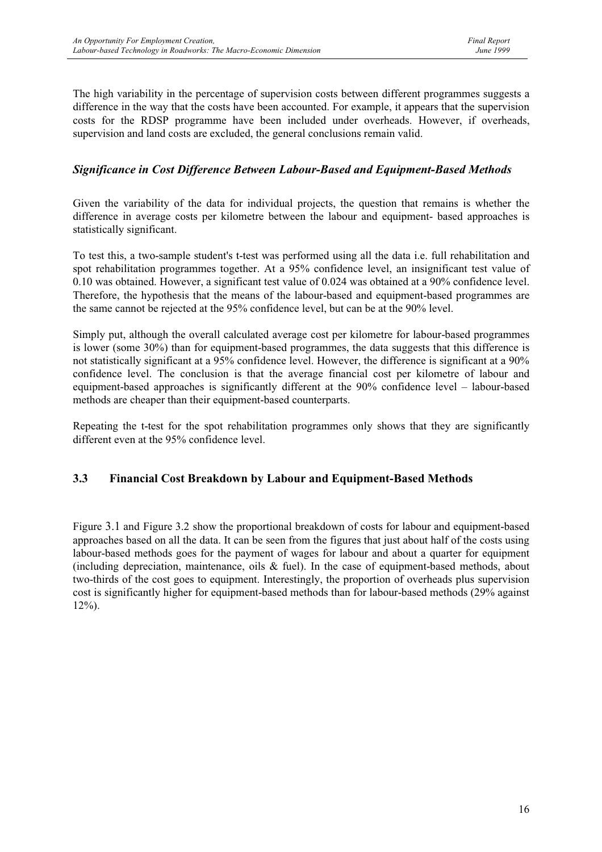The high variability in the percentage of supervision costs between different programmes suggests a difference in the way that the costs have been accounted. For example, it appears that the supervision costs for the RDSP programme have been included under overheads. However, if overheads, supervision and land costs are excluded, the general conclusions remain valid.

#### *Significance in Cost Difference Between Labour-Based and Equipment-Based Methods*

Given the variability of the data for individual projects, the question that remains is whether the difference in average costs per kilometre between the labour and equipment- based approaches is statistically significant.

To test this, a two-sample student's t-test was performed using all the data i.e. full rehabilitation and spot rehabilitation programmes together. At a 95% confidence level, an insignificant test value of 0.10 was obtained. However, a significant test value of 0.024 was obtained at a 90% confidence level. Therefore, the hypothesis that the means of the labour-based and equipment-based programmes are the same cannot be rejected at the 95% confidence level, but can be at the 90% level.

Simply put, although the overall calculated average cost per kilometre for labour-based programmes is lower (some 30%) than for equipment-based programmes, the data suggests that this difference is not statistically significant at a 95% confidence level. However, the difference is significant at a 90% confidence level. The conclusion is that the average financial cost per kilometre of labour and equipment-based approaches is significantly different at the 90% confidence level – labour-based methods are cheaper than their equipment-based counterparts.

Repeating the t-test for the spot rehabilitation programmes only shows that they are significantly different even at the 95% confidence level.

#### **3.3 Financial Cost Breakdown by Labour and Equipment-Based Methods**

Figure 3.1 and Figure 3.2 show the proportional breakdown of costs for labour and equipment-based approaches based on all the data. It can be seen from the figures that just about half of the costs using labour-based methods goes for the payment of wages for labour and about a quarter for equipment (including depreciation, maintenance, oils  $\&$  fuel). In the case of equipment-based methods, about two-thirds of the cost goes to equipment. Interestingly, the proportion of overheads plus supervision cost is significantly higher for equipment-based methods than for labour-based methods (29% against 12%).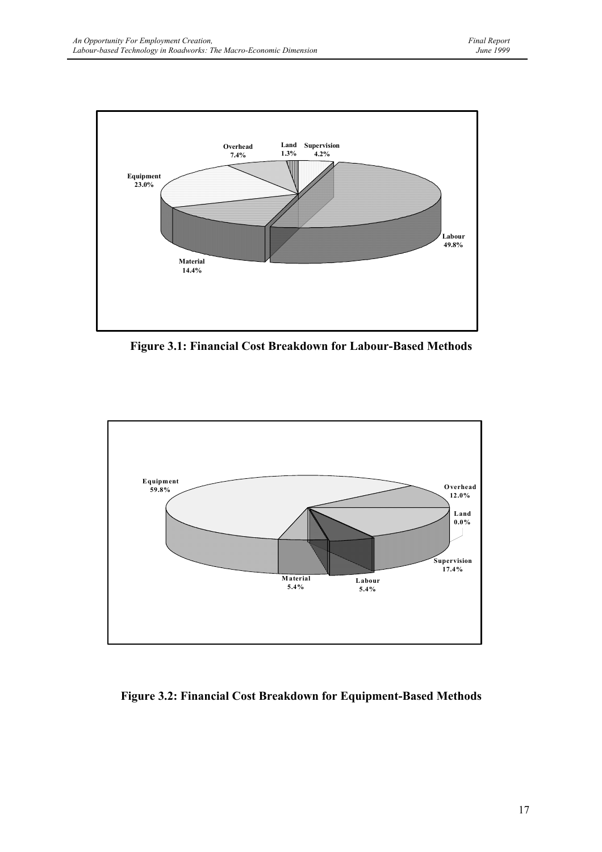

**Figure 3.1: Financial Cost Breakdown for Labour-Based Methods** 



#### **Figure 3.2: Financial Cost Breakdown for Equipment-Based Methods**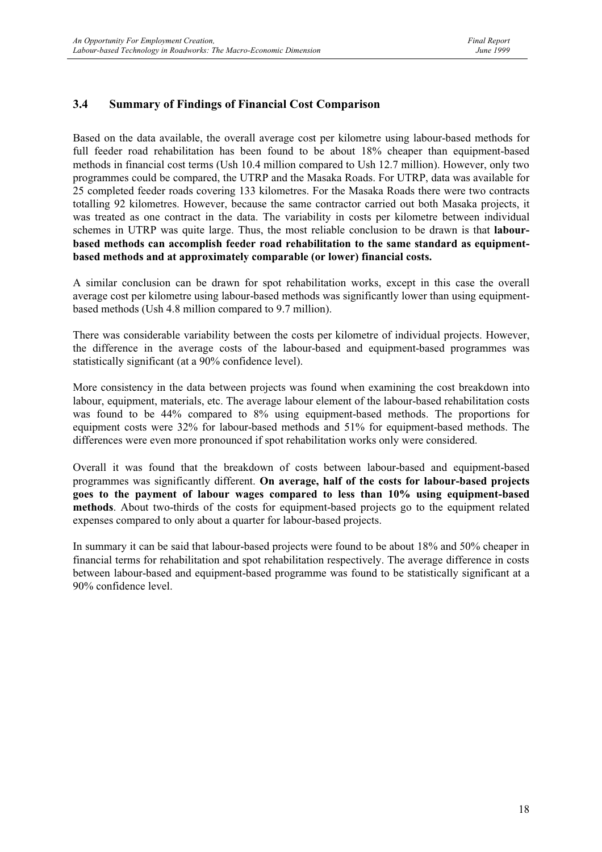### **3.4 Summary of Findings of Financial Cost Comparison**

Based on the data available, the overall average cost per kilometre using labour-based methods for full feeder road rehabilitation has been found to be about 18% cheaper than equipment-based methods in financial cost terms (Ush 10.4 million compared to Ush 12.7 million). However, only two programmes could be compared, the UTRP and the Masaka Roads. For UTRP, data was available for 25 completed feeder roads covering 133 kilometres. For the Masaka Roads there were two contracts totalling 92 kilometres. However, because the same contractor carried out both Masaka projects, it was treated as one contract in the data. The variability in costs per kilometre between individual schemes in UTRP was quite large. Thus, the most reliable conclusion to be drawn is that **labourbased methods can accomplish feeder road rehabilitation to the same standard as equipmentbased methods and at approximately comparable (or lower) financial costs.**

A similar conclusion can be drawn for spot rehabilitation works, except in this case the overall average cost per kilometre using labour-based methods was significantly lower than using equipmentbased methods (Ush 4.8 million compared to 9.7 million).

There was considerable variability between the costs per kilometre of individual projects. However, the difference in the average costs of the labour-based and equipment-based programmes was statistically significant (at a 90% confidence level).

More consistency in the data between projects was found when examining the cost breakdown into labour, equipment, materials, etc. The average labour element of the labour-based rehabilitation costs was found to be 44% compared to 8% using equipment-based methods. The proportions for equipment costs were 32% for labour-based methods and 51% for equipment-based methods. The differences were even more pronounced if spot rehabilitation works only were considered.

Overall it was found that the breakdown of costs between labour-based and equipment-based programmes was significantly different. **On average, half of the costs for labour-based projects goes to the payment of labour wages compared to less than 10% using equipment-based methods**. About two-thirds of the costs for equipment-based projects go to the equipment related expenses compared to only about a quarter for labour-based projects.

In summary it can be said that labour-based projects were found to be about 18% and 50% cheaper in financial terms for rehabilitation and spot rehabilitation respectively. The average difference in costs between labour-based and equipment-based programme was found to be statistically significant at a 90% confidence level.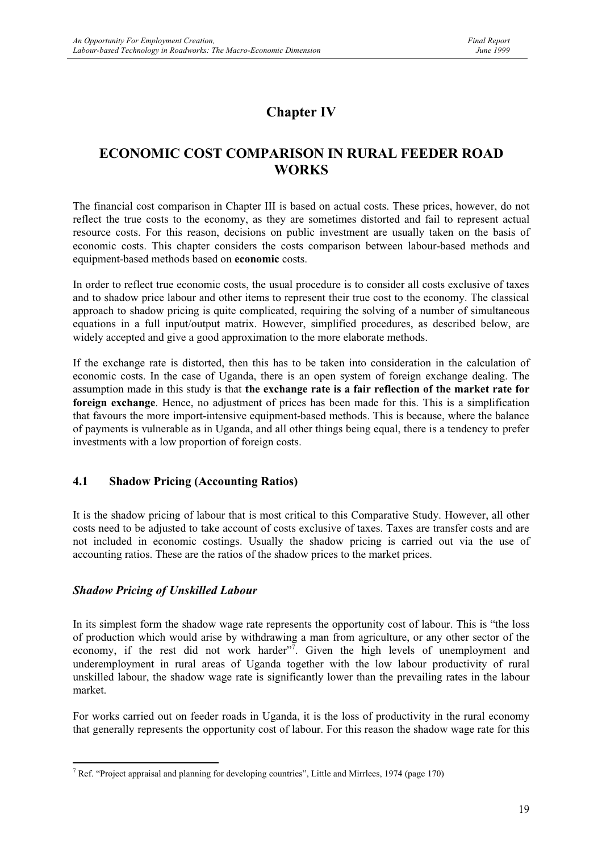## **Chapter IV**

### **ECONOMIC COST COMPARISON IN RURAL FEEDER ROAD WORKS**

The financial cost comparison in Chapter III is based on actual costs. These prices, however, do not reflect the true costs to the economy, as they are sometimes distorted and fail to represent actual resource costs. For this reason, decisions on public investment are usually taken on the basis of economic costs. This chapter considers the costs comparison between labour-based methods and equipment-based methods based on **economic** costs.

In order to reflect true economic costs, the usual procedure is to consider all costs exclusive of taxes and to shadow price labour and other items to represent their true cost to the economy. The classical approach to shadow pricing is quite complicated, requiring the solving of a number of simultaneous equations in a full input/output matrix. However, simplified procedures, as described below, are widely accepted and give a good approximation to the more elaborate methods.

If the exchange rate is distorted, then this has to be taken into consideration in the calculation of economic costs. In the case of Uganda, there is an open system of foreign exchange dealing. The assumption made in this study is that **the exchange rate is a fair reflection of the market rate for foreign exchange**. Hence, no adjustment of prices has been made for this. This is a simplification that favours the more import-intensive equipment-based methods. This is because, where the balance of payments is vulnerable as in Uganda, and all other things being equal, there is a tendency to prefer investments with a low proportion of foreign costs.

#### **4.1 Shadow Pricing (Accounting Ratios)**

It is the shadow pricing of labour that is most critical to this Comparative Study. However, all other costs need to be adjusted to take account of costs exclusive of taxes. Taxes are transfer costs and are not included in economic costings. Usually the shadow pricing is carried out via the use of accounting ratios. These are the ratios of the shadow prices to the market prices.

#### *Shadow Pricing of Unskilled Labour*

In its simplest form the shadow wage rate represents the opportunity cost of labour. This is "the loss of production which would arise by withdrawing a man from agriculture, or any other sector of the economy, if the rest did not work harder"<sup>7</sup>. Given the high levels of unemployment and underemployment in rural areas of Uganda together with the low labour productivity of rural unskilled labour, the shadow wage rate is significantly lower than the prevailing rates in the labour market.

For works carried out on feeder roads in Uganda, it is the loss of productivity in the rural economy that generally represents the opportunity cost of labour. For this reason the shadow wage rate for this

<sup>&</sup>lt;sup>7</sup> Ref. "Project appraisal and planning for developing countries", Little and Mirrlees, 1974 (page 170)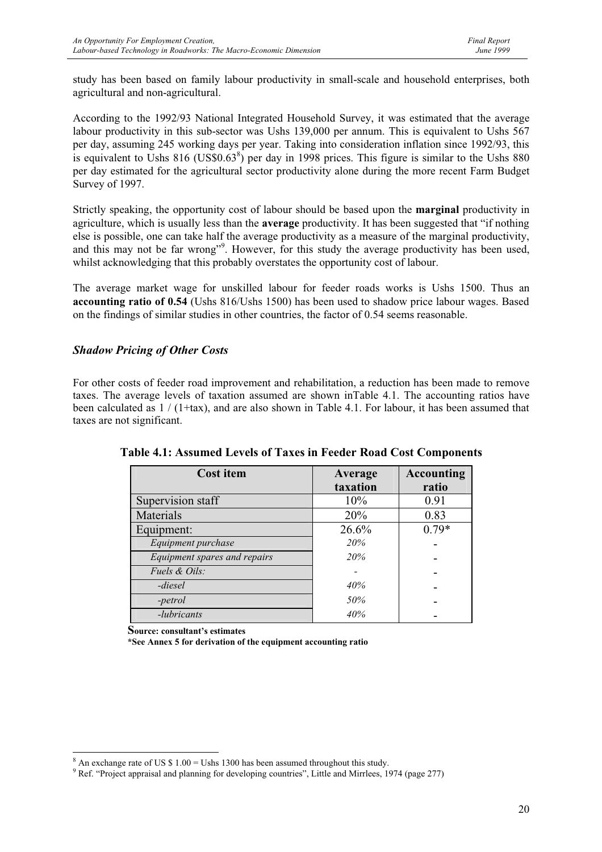study has been based on family labour productivity in small-scale and household enterprises, both agricultural and non-agricultural.

According to the 1992/93 National Integrated Household Survey, it was estimated that the average labour productivity in this sub-sector was Ushs 139,000 per annum. This is equivalent to Ushs 567 per day, assuming 245 working days per year. Taking into consideration inflation since 1992/93, this is equivalent to Ushs  $816$  (US\$0.63 $^8$ ) per day in 1998 prices. This figure is similar to the Ushs  $880$ per day estimated for the agricultural sector productivity alone during the more recent Farm Budget Survey of 1997.

Strictly speaking, the opportunity cost of labour should be based upon the **marginal** productivity in agriculture, which is usually less than the **average** productivity. It has been suggested that "if nothing else is possible, one can take half the average productivity as a measure of the marginal productivity, and this may not be far wrong"<sup>9</sup>. However, for this study the average productivity has been used, whilst acknowledging that this probably overstates the opportunity cost of labour.

The average market wage for unskilled labour for feeder roads works is Ushs 1500. Thus an **accounting ratio of 0.54** (Ushs 816/Ushs 1500) has been used to shadow price labour wages. Based on the findings of similar studies in other countries, the factor of 0.54 seems reasonable.

#### *Shadow Pricing of Other Costs*

For other costs of feeder road improvement and rehabilitation, a reduction has been made to remove taxes. The average levels of taxation assumed are shown inTable 4.1. The accounting ratios have been calculated as 1 / (1+tax), and are also shown in Table 4.1. For labour, it has been assumed that taxes are not significant.

| <b>Cost item</b>             | Average  | <b>Accounting</b> |
|------------------------------|----------|-------------------|
|                              | taxation | ratio             |
| Supervision staff            | 10%      | 0.91              |
| Materials                    | 20%      | 0.83              |
| Equipment:                   | 26.6%    | $0.79*$           |
| Equipment purchase           | 20%      |                   |
| Equipment spares and repairs | 20%      |                   |
| <i>Fuels &amp; Oils:</i>     |          |                   |
| -diesel                      | 40%      |                   |
| -petrol                      | 50%      |                   |
| -lubricants                  | 40%      |                   |

**Table 4.1: Assumed Levels of Taxes in Feeder Road Cost Components**

**Source: consultant's estimates**

**\*See Annex 5 for derivation of the equipment accounting ratio**

 $8$  An exchange rate of US \$ 1.00 = Ushs 1300 has been assumed throughout this study.

<sup>&</sup>lt;sup>9</sup> Ref. "Project appraisal and planning for developing countries", Little and Mirrlees, 1974 (page 277)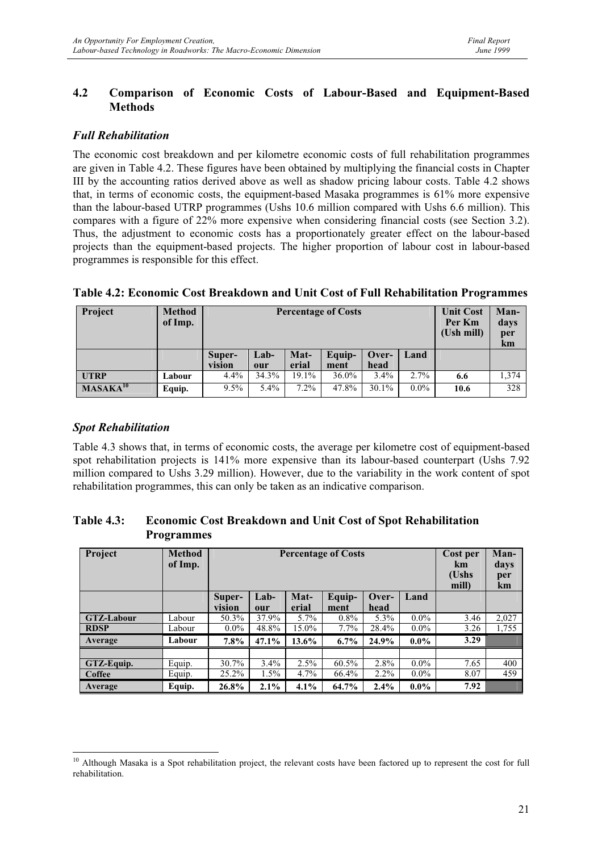#### **4.2 Comparison of Economic Costs of Labour-Based and Equipment-Based Methods**

#### *Full Rehabilitation*

The economic cost breakdown and per kilometre economic costs of full rehabilitation programmes are given in Table 4.2. These figures have been obtained by multiplying the financial costs in Chapter III by the accounting ratios derived above as well as shadow pricing labour costs. Table 4.2 shows that, in terms of economic costs, the equipment-based Masaka programmes is 61% more expensive than the labour-based UTRP programmes (Ushs 10.6 million compared with Ushs 6.6 million). This compares with a figure of 22% more expensive when considering financial costs (see Section 3.2). Thus, the adjustment to economic costs has a proportionately greater effect on the labour-based projects than the equipment-based projects. The higher proportion of labour cost in labour-based programmes is responsible for this effect.

| Project              | <b>Method</b><br>of Imp. |                  | <b>Percentage of Costs</b> | <b>Unit Cost</b><br>Per Km<br>(Ush mill) | Man-<br>days<br>per<br>km |               |         |      |       |
|----------------------|--------------------------|------------------|----------------------------|------------------------------------------|---------------------------|---------------|---------|------|-------|
|                      |                          | Super-<br>vision | $Lab-$<br>our              | Mat-<br>erial                            | Equip-<br>ment            | Over-<br>head | Land    |      |       |
| <b>UTRP</b>          | Labour                   | 4.4%             | 34.3%                      | 19.1%                                    | $36.0\%$                  | $3.4\%$       | $2.7\%$ | 6.6  | 1.374 |
| MASAKA <sup>10</sup> | Equip.                   | $9.5\%$          | 5.4%                       | $7.2\%$                                  | 47.8%                     | $30.1\%$      | $0.0\%$ | 10.6 | 328   |

#### **Table 4.2: Economic Cost Breakdown and Unit Cost of Full Rehabilitation Programmes**

#### *Spot Rehabilitation*

Table 4.3 shows that, in terms of economic costs, the average per kilometre cost of equipment-based spot rehabilitation projects is 141% more expensive than its labour-based counterpart (Ushs 7.92 million compared to Ushs 3.29 million). However, due to the variability in the work content of spot rehabilitation programmes, this can only be taken as an indicative comparison.

#### **Table 4.3: Economic Cost Breakdown and Unit Cost of Spot Rehabilitation Programmes**

| Project           | <b>Method</b><br>of Imp. |                  | <b>Percentage of Costs</b> | Cost per<br>km<br>(Ushs<br>mill) | Man-<br>days<br>per<br>km |               |         |      |       |
|-------------------|--------------------------|------------------|----------------------------|----------------------------------|---------------------------|---------------|---------|------|-------|
|                   |                          | Super-<br>vision | $Lab-$<br>our              | Mat-<br>erial                    | Equip-<br>ment            | Over-<br>head | Land    |      |       |
| <b>GTZ-Labour</b> | Labour                   | 50.3%            | 37.9%                      | $5.7\%$                          | $0.8\%$                   | 5.3%          | $0.0\%$ | 3.46 | 2,027 |
| <b>RDSP</b>       | Labour                   | $0.0\%$          | 48.8%                      | 15.0%                            | $7.7\%$                   | 28.4%         | $0.0\%$ | 3.26 | 1,755 |
| Average           | Labour                   | 7.8%             | 47.1%                      | 13.6%                            | $6.7\%$                   | 24.9%         | $0.0\%$ | 3.29 |       |
|                   |                          |                  |                            |                                  |                           |               |         |      |       |
| GTZ-Equip.        | Equip.                   | 30.7%            | 3.4%                       | $2.5\%$                          | 60.5%                     | 2.8%          | $0.0\%$ | 7.65 | 400   |
| Coffee            | Equip.                   | 25.2%            | $1.5\%$                    | $4.7\%$                          | 66.4%                     | $2.2\%$       | $0.0\%$ | 8.07 | 459   |
| Average           | Equip.                   | 26.8%            | $2.1\%$                    | $4.1\%$                          | 64.7%                     | 2.4%          | $0.0\%$ | 7.92 |       |

<sup>&</sup>lt;sup>10</sup> Although Masaka is a Spot rehabilitation project, the relevant costs have been factored up to represent the cost for full rehabilitation.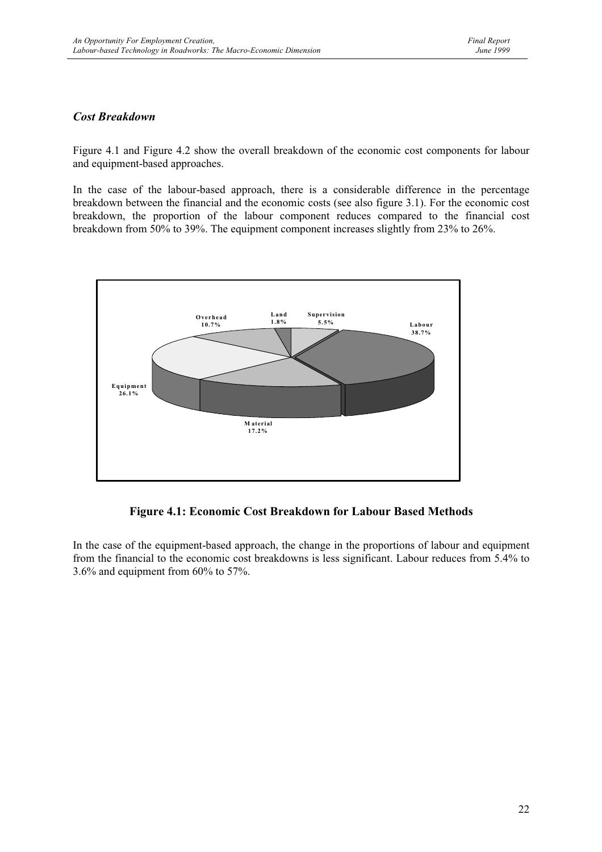#### *Cost Breakdown*

Figure 4.1 and Figure 4.2 show the overall breakdown of the economic cost components for labour and equipment-based approaches.

In the case of the labour-based approach, there is a considerable difference in the percentage breakdown between the financial and the economic costs (see also figure 3.1). For the economic cost breakdown, the proportion of the labour component reduces compared to the financial cost breakdown from 50% to 39%. The equipment component increases slightly from 23% to 26%.



**Figure 4.1: Economic Cost Breakdown for Labour Based Methods**

In the case of the equipment-based approach, the change in the proportions of labour and equipment from the financial to the economic cost breakdowns is less significant. Labour reduces from 5.4% to 3.6% and equipment from 60% to 57%.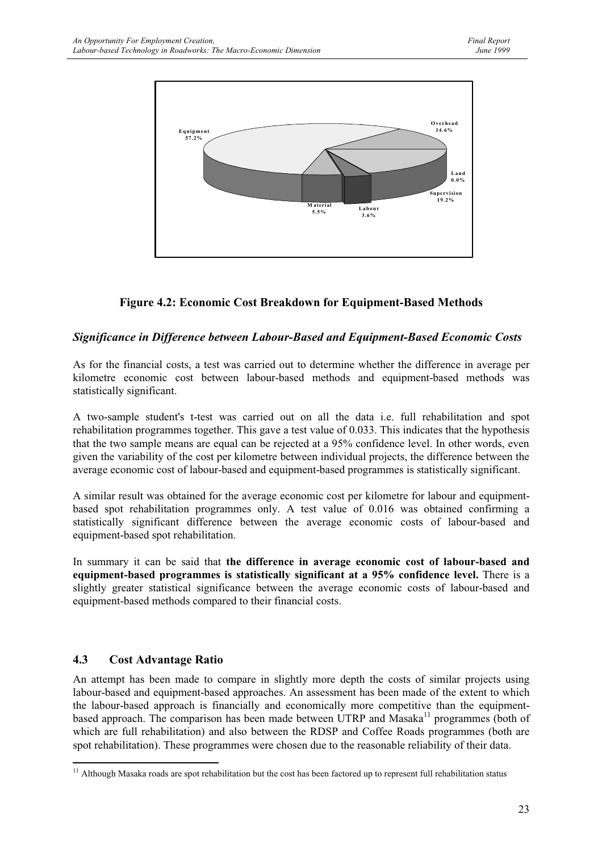

### **Figure 4.2: Economic Cost Breakdown for Equipment-Based Methods**

#### *Significance in Difference between Labour-Based and Equipment-Based Economic Costs*

As for the financial costs, a test was carried out to determine whether the difference in average per kilometre economic cost between labour-based methods and equipment-based methods was statistically significant.

A two-sample student's t-test was carried out on all the data i.e. full rehabilitation and spot rehabilitation programmes together. This gave a test value of 0.033. This indicates that the hypothesis that the two sample means are equal can be rejected at a 95% confidence level. In other words, even given the variability of the cost per kilometre between individual projects, the difference between the average economic cost of labour-based and equipment-based programmes is statistically significant.

A similar result was obtained for the average economic cost per kilometre for labour and equipmentbased spot rehabilitation programmes only. A test value of 0.016 was obtained confirming a statistically significant difference between the average economic costs of labour-based and equipment-based spot rehabilitation.

In summary it can be said that **the difference in average economic cost of labour-based and equipment-based programmes is statistically significant at a 95% confidence level.** There is a slightly greater statistical significance between the average economic costs of labour-based and equipment-based methods compared to their financial costs.

#### **4.3 Cost Advantage Ratio**

An attempt has been made to compare in slightly more depth the costs of similar projects using labour-based and equipment-based approaches. An assessment has been made of the extent to which the labour-based approach is financially and economically more competitive than the equipmentbased approach. The comparison has been made between UTRP and Masaka $^{11}$  programmes (both of which are full rehabilitation) and also between the RDSP and Coffee Roads programmes (both are spot rehabilitation). These programmes were chosen due to the reasonable reliability of their data.

 $11$  Although Masaka roads are spot rehabilitation but the cost has been factored up to represent full rehabilitation status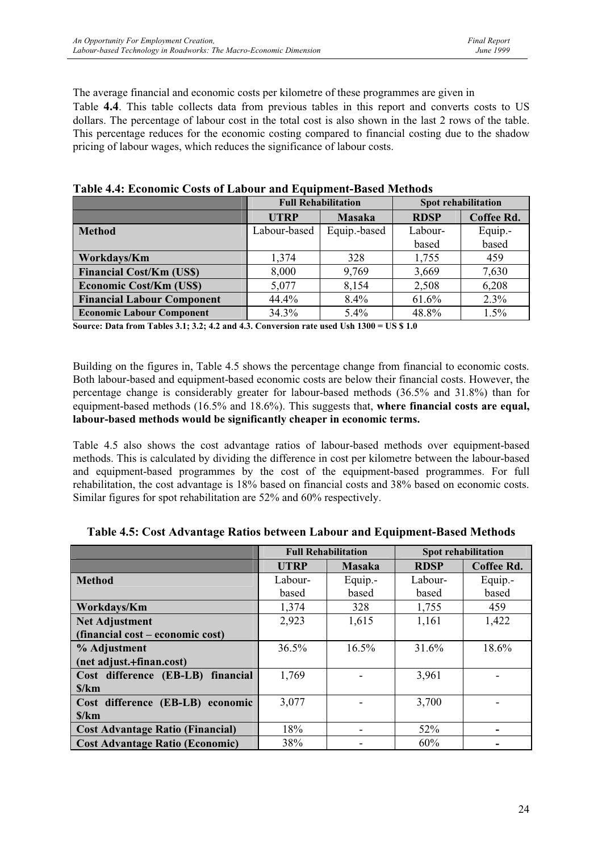The average financial and economic costs per kilometre of these programmes are given in Table **4.4**. This table collects data from previous tables in this report and converts costs to US dollars. The percentage of labour cost in the total cost is also shown in the last 2 rows of the table. This percentage reduces for the economic costing compared to financial costing due to the shadow pricing of labour wages, which reduces the significance of labour costs.

|                                   | <b>Full Rehabilitation</b> |               | Spot rehabilitation |            |  |
|-----------------------------------|----------------------------|---------------|---------------------|------------|--|
|                                   | <b>UTRP</b>                | <b>Masaka</b> | <b>RDSP</b>         | Coffee Rd. |  |
| <b>Method</b>                     | Labour-based               | Equip.-based  | Labour-             | Equip.-    |  |
|                                   |                            |               | based               | based      |  |
| Workdays/Km                       | 1,374                      | 328           | 1,755               | 459        |  |
| <b>Financial Cost/Km (US\$)</b>   | 8,000                      | 9,769         | 3,669               | 7,630      |  |
| <b>Economic Cost/Km (US\$)</b>    | 5,077                      | 8,154         | 2,508               | 6,208      |  |
| <b>Financial Labour Component</b> | 44.4%                      | $8.4\%$       | 61.6%               | 2.3%       |  |
| <b>Economic Labour Component</b>  | $34.3\%$                   | 5.4%          | 48.8%               | $1.5\%$    |  |

**Table 4.4: Economic Costs of Labour and Equipment-Based Methods**

**Source: Data from Tables 3.1; 3.2; 4.2 and 4.3. Conversion rate used Ush 1300 = US \$ 1.0**

Building on the figures in, Table 4.5 shows the percentage change from financial to economic costs. Both labour-based and equipment-based economic costs are below their financial costs. However, the percentage change is considerably greater for labour-based methods (36.5% and 31.8%) than for equipment-based methods (16.5% and 18.6%). This suggests that, **where financial costs are equal, labour-based methods would be significantly cheaper in economic terms.**

Table 4.5 also shows the cost advantage ratios of labour-based methods over equipment-based methods. This is calculated by dividing the difference in cost per kilometre between the labour-based and equipment-based programmes by the cost of the equipment-based programmes. For full rehabilitation, the cost advantage is 18% based on financial costs and 38% based on economic costs. Similar figures for spot rehabilitation are 52% and 60% respectively.

|                                         | <b>Full Rehabilitation</b> |               | Spot rehabilitation |            |  |
|-----------------------------------------|----------------------------|---------------|---------------------|------------|--|
|                                         | <b>UTRP</b>                | <b>Masaka</b> | <b>RDSP</b>         | Coffee Rd. |  |
| <b>Method</b>                           | Labour-                    | Equip.-       | Labour-             | Equip.-    |  |
|                                         | based                      | based         | based               | based      |  |
| Workdays/Km                             | 1,374                      | 328           | 1,755               | 459        |  |
| <b>Net Adjustment</b>                   | 2,923                      | 1,615         | 1,161               | 1,422      |  |
| (financial cost – economic cost)        |                            |               |                     |            |  |
| % Adjustment                            | 36.5%                      | $16.5\%$      | 31.6%               | 18.6%      |  |
| (net adjust.+finan.cost)                |                            |               |                     |            |  |
| Cost difference (EB-LB) financial       | 1,769                      |               | 3,961               |            |  |
| $\frac{\mathrm{s}}{\mathrm{km}}$        |                            |               |                     |            |  |
| Cost difference (EB-LB) economic        | 3,077                      |               | 3,700               |            |  |
| $\frac{\mathrm{s}}{\mathrm{km}}$        |                            |               |                     |            |  |
| <b>Cost Advantage Ratio (Financial)</b> | 18%                        |               | 52%                 |            |  |
| <b>Cost Advantage Ratio (Economic)</b>  | 38%                        |               | 60%                 |            |  |

**Table 4.5: Cost Advantage Ratios between Labour and Equipment-Based Methods**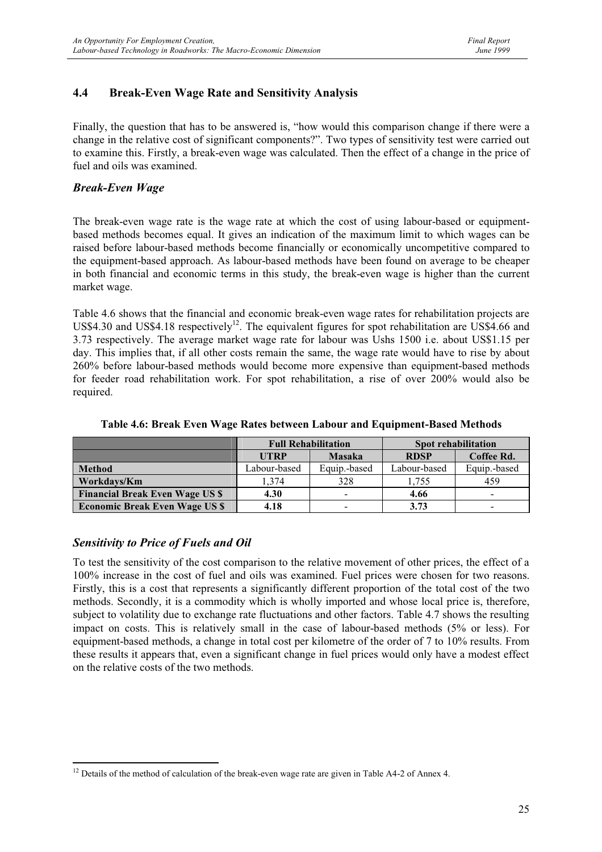#### **4.4 Break-Even Wage Rate and Sensitivity Analysis**

Finally, the question that has to be answered is, "how would this comparison change if there were a change in the relative cost of significant components?". Two types of sensitivity test were carried out to examine this. Firstly, a break-even wage was calculated. Then the effect of a change in the price of fuel and oils was examined.

#### *Break-Even Wage*

The break-even wage rate is the wage rate at which the cost of using labour-based or equipmentbased methods becomes equal. It gives an indication of the maximum limit to which wages can be raised before labour-based methods become financially or economically uncompetitive compared to the equipment-based approach. As labour-based methods have been found on average to be cheaper in both financial and economic terms in this study, the break-even wage is higher than the current market wage.

Table 4.6 shows that the financial and economic break-even wage rates for rehabilitation projects are US\$4.30 and US\$4.18 respectively<sup>12</sup>. The equivalent figures for spot rehabilitation are US\$4.66 and 3.73 respectively. The average market wage rate for labour was Ushs 1500 i.e. about US\$1.15 per day. This implies that, if all other costs remain the same, the wage rate would have to rise by about 260% before labour-based methods would become more expensive than equipment-based methods for feeder road rehabilitation work. For spot rehabilitation, a rise of over 200% would also be required.

|                                        |                              | <b>Full Rehabilitation</b> | Spot rehabilitation |                          |  |
|----------------------------------------|------------------------------|----------------------------|---------------------|--------------------------|--|
|                                        | <b>Masaka</b><br><b>UTRP</b> |                            | <b>RDSP</b>         | Coffee Rd.               |  |
| <b>Method</b>                          | Labour-based                 | Equip.-based               | Labour-based        | Equip.-based             |  |
| Workdays/Km                            | 1.374                        | 328                        | 1.755               | 459                      |  |
| <b>Financial Break Even Wage US \$</b> | 4.30                         | $\blacksquare$             | 4.66                | $\overline{\phantom{a}}$ |  |
| <b>Economic Break Even Wage US \$</b>  | 4.18                         | $\overline{\phantom{0}}$   | 3.73                | $\overline{\phantom{a}}$ |  |

**Table 4.6: Break Even Wage Rates between Labour and Equipment-Based Methods**

#### *Sensitivity to Price of Fuels and Oil*

To test the sensitivity of the cost comparison to the relative movement of other prices, the effect of a 100% increase in the cost of fuel and oils was examined. Fuel prices were chosen for two reasons. Firstly, this is a cost that represents a significantly different proportion of the total cost of the two methods. Secondly, it is a commodity which is wholly imported and whose local price is, therefore, subject to volatility due to exchange rate fluctuations and other factors. Table 4.7 shows the resulting impact on costs. This is relatively small in the case of labour-based methods (5% or less). For equipment-based methods, a change in total cost per kilometre of the order of 7 to 10% results. From these results it appears that, even a significant change in fuel prices would only have a modest effect on the relative costs of the two methods.

<sup>&</sup>lt;sup>12</sup> Details of the method of calculation of the break-even wage rate are given in Table A4-2 of Annex 4.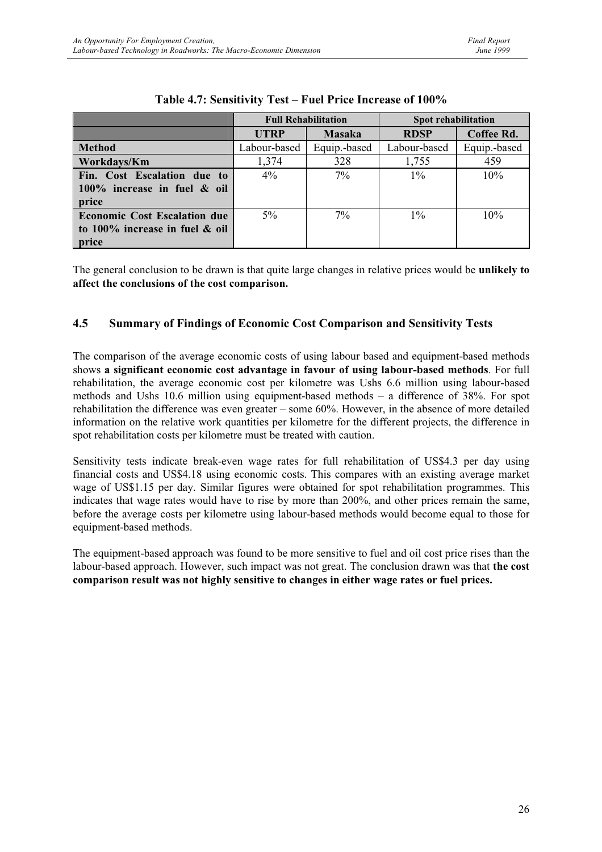|                                     |              | <b>Full Rehabilitation</b> | Spot rehabilitation |              |  |
|-------------------------------------|--------------|----------------------------|---------------------|--------------|--|
|                                     | <b>UTRP</b>  | <b>Masaka</b>              | <b>RDSP</b>         | Coffee Rd.   |  |
| <b>Method</b>                       | Labour-based | Equip.-based               | Labour-based        | Equip.-based |  |
| Workdays/Km                         | 1,374        | 328                        | 1,755               | 459          |  |
| Fin. Cost Escalation due to         | $4\%$        | $7\%$                      | $1\%$               | 10%          |  |
| 100% increase in fuel $\&$ oil      |              |                            |                     |              |  |
| price                               |              |                            |                     |              |  |
| <b>Economic Cost Escalation due</b> | $5\%$        | $7\%$                      | $1\%$               | 10%          |  |
| to $100\%$ increase in fuel & oil   |              |                            |                     |              |  |
| price                               |              |                            |                     |              |  |

The general conclusion to be drawn is that quite large changes in relative prices would be **unlikely to affect the conclusions of the cost comparison.**

#### **4.5 Summary of Findings of Economic Cost Comparison and Sensitivity Tests**

The comparison of the average economic costs of using labour based and equipment-based methods shows **a significant economic cost advantage in favour of using labour-based methods**. For full rehabilitation, the average economic cost per kilometre was Ushs 6.6 million using labour-based methods and Ushs 10.6 million using equipment-based methods – a difference of 38%. For spot rehabilitation the difference was even greater – some 60%. However, in the absence of more detailed information on the relative work quantities per kilometre for the different projects, the difference in spot rehabilitation costs per kilometre must be treated with caution.

Sensitivity tests indicate break-even wage rates for full rehabilitation of US\$4.3 per day using financial costs and US\$4.18 using economic costs. This compares with an existing average market wage of US\$1.15 per day. Similar figures were obtained for spot rehabilitation programmes. This indicates that wage rates would have to rise by more than 200%, and other prices remain the same, before the average costs per kilometre using labour-based methods would become equal to those for equipment-based methods.

The equipment-based approach was found to be more sensitive to fuel and oil cost price rises than the labour-based approach. However, such impact was not great. The conclusion drawn was that **the cost comparison result was not highly sensitive to changes in either wage rates or fuel prices.**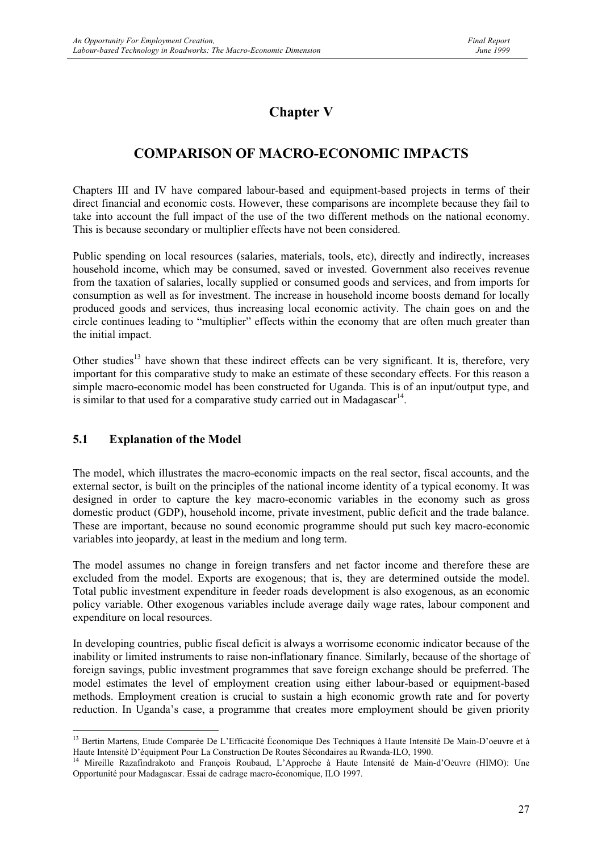## **Chapter V**

### **COMPARISON OF MACRO-ECONOMIC IMPACTS**

Chapters III and IV have compared labour-based and equipment-based projects in terms of their direct financial and economic costs. However, these comparisons are incomplete because they fail to take into account the full impact of the use of the two different methods on the national economy. This is because secondary or multiplier effects have not been considered.

Public spending on local resources (salaries, materials, tools, etc), directly and indirectly, increases household income, which may be consumed, saved or invested. Government also receives revenue from the taxation of salaries, locally supplied or consumed goods and services, and from imports for consumption as well as for investment. The increase in household income boosts demand for locally produced goods and services, thus increasing local economic activity. The chain goes on and the circle continues leading to "multiplier" effects within the economy that are often much greater than the initial impact.

Other studies<sup>13</sup> have shown that these indirect effects can be very significant. It is, therefore, very important for this comparative study to make an estimate of these secondary effects. For this reason a simple macro-economic model has been constructed for Uganda. This is of an input/output type, and is similar to that used for a comparative study carried out in Madagascar<sup>14</sup>.

#### **5.1 Explanation of the Model**

The model, which illustrates the macro-economic impacts on the real sector, fiscal accounts, and the external sector, is built on the principles of the national income identity of a typical economy. It was designed in order to capture the key macro-economic variables in the economy such as gross domestic product (GDP), household income, private investment, public deficit and the trade balance. These are important, because no sound economic programme should put such key macro-economic variables into jeopardy, at least in the medium and long term.

The model assumes no change in foreign transfers and net factor income and therefore these are excluded from the model. Exports are exogenous; that is, they are determined outside the model. Total public investment expenditure in feeder roads development is also exogenous, as an economic policy variable. Other exogenous variables include average daily wage rates, labour component and expenditure on local resources.

In developing countries, public fiscal deficit is always a worrisome economic indicator because of the inability or limited instruments to raise non-inflationary finance. Similarly, because of the shortage of foreign savings, public investment programmes that save foreign exchange should be preferred. The model estimates the level of employment creation using either labour-based or equipment-based methods. Employment creation is crucial to sustain a high economic growth rate and for poverty reduction. In Uganda's case, a programme that creates more employment should be given priority

<sup>&</sup>lt;sup>13</sup> Bertin Martens, Etude Comparée De L'Efficacité Économique Des Techniques à Haute Intensité De Main-D'oeuvre et à Haute Intensité D'équipment Pour La Construction De Routes Sécondaires au Rwanda-ILO, 1990.

<sup>&</sup>lt;sup>14</sup> Mireille Razafindrakoto and François Roubaud, L'Approche à Haute Intensité de Main-d'Oeuvre (HIMO): Une Opportunité pour Madagascar. Essai de cadrage macro-économique, ILO 1997.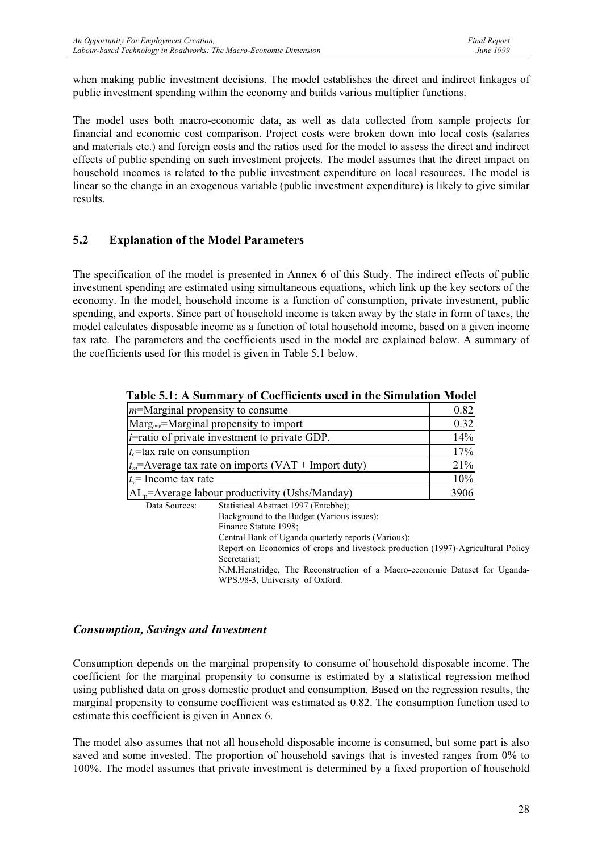when making public investment decisions. The model establishes the direct and indirect linkages of public investment spending within the economy and builds various multiplier functions.

The model uses both macro-economic data, as well as data collected from sample projects for financial and economic cost comparison. Project costs were broken down into local costs (salaries and materials etc.) and foreign costs and the ratios used for the model to assess the direct and indirect effects of public spending on such investment projects. The model assumes that the direct impact on household incomes is related to the public investment expenditure on local resources. The model is linear so the change in an exogenous variable (public investment expenditure) is likely to give similar results.

### **5.2 Explanation of the Model Parameters**

The specification of the model is presented in Annex 6 of this Study. The indirect effects of public investment spending are estimated using simultaneous equations, which link up the key sectors of the economy. In the model, household income is a function of consumption, private investment, public spending, and exports. Since part of household income is taken away by the state in form of taxes, the model calculates disposable income as a function of total household income, based on a given income tax rate. The parameters and the coefficients used in the model are explained below. A summary of the coefficients used for this model is given in Table 5.1 below.

| $ m$ =Marginal propensity to consume                    | 0.82 |
|---------------------------------------------------------|------|
| Marg <sub>imp</sub> =Marginal propensity to import      | 0.32 |
| $i$ =ratio of private investment to private GDP.        | 14%  |
| $t_c$ =tax rate on consumption                          | 17%  |
| $t_m$ =Average tax rate on imports (VAT + Import duty)  | 21%  |
| $t_v$ = Income tax rate                                 | 10%  |
| $AL_p =$ Average labour productivity (Ushs/Manday)      | 3906 |
| Statistical Abstract 1997 (Entebbe);<br>Data Sources:   |      |
| $D$ oolsamayad to the Dydast ( <i>Manique iggues</i> ). |      |

### **Table 5.1: A Summary of Coefficients used in the Simulation Model**

Background to the Budget (Various issues);

Finance Statute 1998;

Central Bank of Uganda quarterly reports (Various);

Report on Economics of crops and livestock production (1997)-Agricultural Policy Secretariat;

N.M.Henstridge, The Reconstruction of a Macro-economic Dataset for Uganda-WPS.98-3, University of Oxford.

### *Consumption, Savings and Investment*

Consumption depends on the marginal propensity to consume of household disposable income. The coefficient for the marginal propensity to consume is estimated by a statistical regression method using published data on gross domestic product and consumption. Based on the regression results, the marginal propensity to consume coefficient was estimated as 0.82. The consumption function used to estimate this coefficient is given in Annex 6.

The model also assumes that not all household disposable income is consumed, but some part is also saved and some invested. The proportion of household savings that is invested ranges from 0% to 100%. The model assumes that private investment is determined by a fixed proportion of household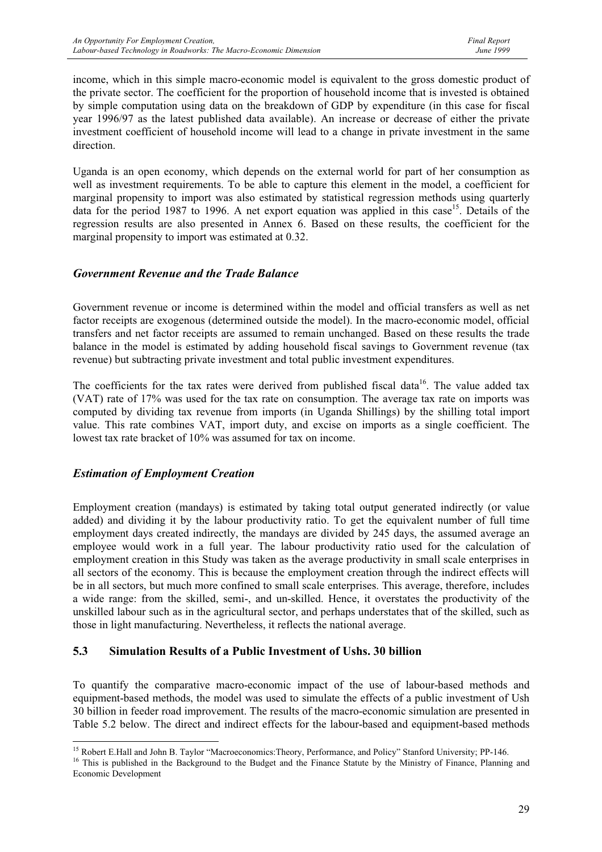income, which in this simple macro-economic model is equivalent to the gross domestic product of the private sector. The coefficient for the proportion of household income that is invested is obtained by simple computation using data on the breakdown of GDP by expenditure (in this case for fiscal year 1996/97 as the latest published data available). An increase or decrease of either the private investment coefficient of household income will lead to a change in private investment in the same direction.

Uganda is an open economy, which depends on the external world for part of her consumption as well as investment requirements. To be able to capture this element in the model, a coefficient for marginal propensity to import was also estimated by statistical regression methods using quarterly data for the period 1987 to 1996. A net export equation was applied in this case<sup>15</sup>. Details of the regression results are also presented in Annex 6. Based on these results, the coefficient for the marginal propensity to import was estimated at 0.32.

### *Government Revenue and the Trade Balance*

Government revenue or income is determined within the model and official transfers as well as net factor receipts are exogenous (determined outside the model). In the macro-economic model, official transfers and net factor receipts are assumed to remain unchanged. Based on these results the trade balance in the model is estimated by adding household fiscal savings to Government revenue (tax revenue) but subtracting private investment and total public investment expenditures.

The coefficients for the tax rates were derived from published fiscal data $16$ . The value added tax (VAT) rate of 17% was used for the tax rate on consumption. The average tax rate on imports was computed by dividing tax revenue from imports (in Uganda Shillings) by the shilling total import value. This rate combines VAT, import duty, and excise on imports as a single coefficient. The lowest tax rate bracket of 10% was assumed for tax on income.

### *Estimation of Employment Creation*

Employment creation (mandays) is estimated by taking total output generated indirectly (or value added) and dividing it by the labour productivity ratio. To get the equivalent number of full time employment days created indirectly, the mandays are divided by 245 days, the assumed average an employee would work in a full year. The labour productivity ratio used for the calculation of employment creation in this Study was taken as the average productivity in small scale enterprises in all sectors of the economy. This is because the employment creation through the indirect effects will be in all sectors, but much more confined to small scale enterprises. This average, therefore, includes a wide range: from the skilled, semi-, and un-skilled. Hence, it overstates the productivity of the unskilled labour such as in the agricultural sector, and perhaps understates that of the skilled, such as those in light manufacturing. Nevertheless, it reflects the national average.

### **5.3 Simulation Results of a Public Investment of Ushs. 30 billion**

To quantify the comparative macro-economic impact of the use of labour-based methods and equipment-based methods, the model was used to simulate the effects of a public investment of Ush 30 billion in feeder road improvement. The results of the macro-economic simulation are presented in Table 5.2 below. The direct and indirect effects for the labour-based and equipment-based methods

<sup>&</sup>lt;sup>15</sup> Robert E.Hall and John B. Taylor "Macroeconomics: Theory, Performance, and Policy" Stanford University; PP-146.<br><sup>16</sup> This is published in the Background to the Budget and the Finance Statute by the Ministry of Finance Economic Development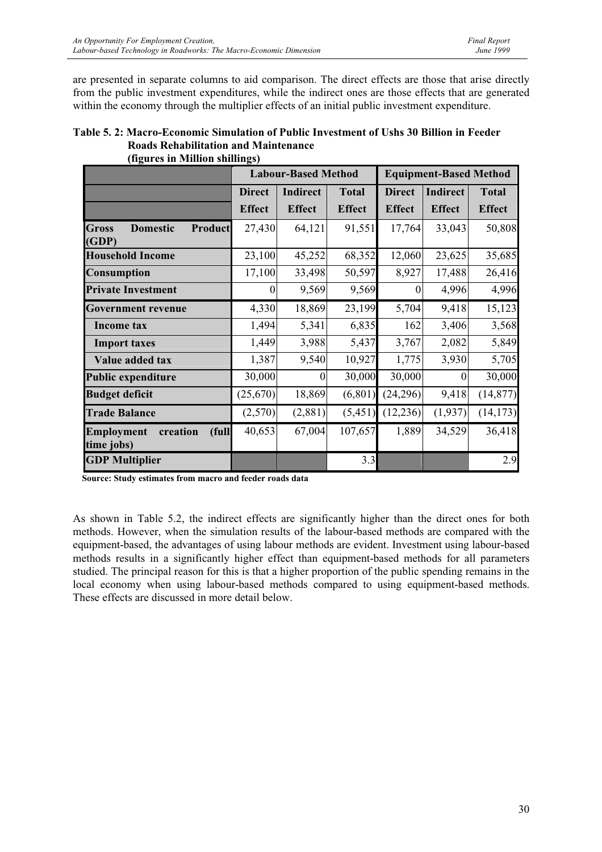are presented in separate columns to aid comparison. The direct effects are those that arise directly from the public investment expenditures, while the indirect ones are those effects that are generated within the economy through the multiplier effects of an initial public investment expenditure.

| Table 5. 2: Macro-Economic Simulation of Public Investment of Ushs 30 Billion in Feeder |
|-----------------------------------------------------------------------------------------|
| <b>Roads Rehabilitation and Maintenance</b>                                             |
| (figures in Million shillings)                                                          |

|                                                            |               | <b>Labour-Based Method</b> |               |               | <b>Equipment-Based Method</b> |               |
|------------------------------------------------------------|---------------|----------------------------|---------------|---------------|-------------------------------|---------------|
|                                                            | <b>Direct</b> | <b>Indirect</b>            | <b>Total</b>  | <b>Direct</b> | <b>Indirect</b>               | <b>Total</b>  |
|                                                            | <b>Effect</b> | <b>Effect</b>              | <b>Effect</b> | <b>Effect</b> | <b>Effect</b>                 | <b>Effect</b> |
| <b>Gross</b><br><b>Domestic</b><br><b>Product</b><br>(GDP) | 27,430        | 64,121                     | 91,551        | 17,764        | 33,043                        | 50,808        |
| <b>Household Income</b>                                    | 23,100        | 45,252                     | 68,352        | 12,060        | 23,625                        | 35,685        |
| <b>Consumption</b>                                         | 17,100        | 33,498                     | 50,597        | 8,927         | 17,488                        | 26,416        |
| <b>Private Investment</b>                                  | $\theta$      | 9,569                      | 9,569         | $_{0}$        | 4,996                         | 4,996         |
| <b>Government revenue</b>                                  | 4,330         | 18,869                     | 23,199        | 5,704         | 9,418                         | 15,123        |
| <b>Income tax</b>                                          | 1,494         | 5,341                      | 6,835         | 162           | 3,406                         | 3,568         |
| <b>Import taxes</b>                                        | 1,449         | 3,988                      | 5,437         | 3,767         | 2,082                         | 5,849         |
| Value added tax                                            | 1,387         | 9,540                      | 10,927        | 1,775         | 3,930                         | 5,705         |
| Public expenditure                                         | 30,000        | $\theta$                   | 30,000        | 30,000        | $\Omega$                      | 30,000        |
| <b>Budget deficit</b>                                      | (25,670)      | 18,869                     | (6, 801)      | (24,296)      | 9,418                         | (14, 877)     |
| <b>Trade Balance</b>                                       | (2,570)       | (2,881)                    | (5,451)       | (12, 236)     | (1, 937)                      | (14, 173)     |
| creation<br><b>Employment</b><br>(full<br>time jobs)       | 40,653        | 67,004                     | 107,657       | 1,889         | 34,529                        | 36,418        |
| <b>GDP</b> Multiplier                                      |               |                            | 3.3           |               |                               | 2.9           |

**Source: Study estimates from macro and feeder roads data**

As shown in Table 5.2, the indirect effects are significantly higher than the direct ones for both methods. However, when the simulation results of the labour-based methods are compared with the equipment-based, the advantages of using labour methods are evident. Investment using labour-based methods results in a significantly higher effect than equipment-based methods for all parameters studied. The principal reason for this is that a higher proportion of the public spending remains in the local economy when using labour-based methods compared to using equipment-based methods. These effects are discussed in more detail below.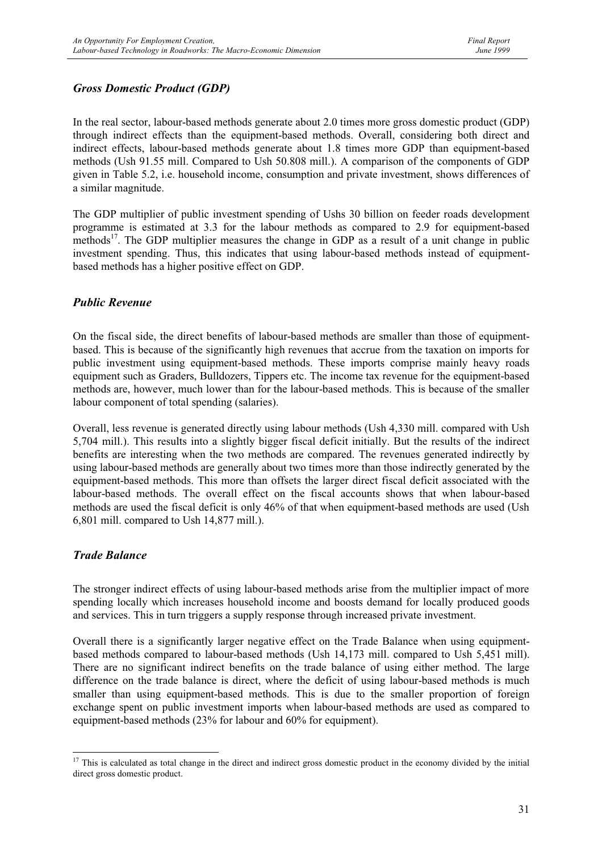### *Gross Domestic Product (GDP)*

In the real sector, labour-based methods generate about 2.0 times more gross domestic product (GDP) through indirect effects than the equipment-based methods. Overall, considering both direct and indirect effects, labour-based methods generate about 1.8 times more GDP than equipment-based methods (Ush 91.55 mill. Compared to Ush 50.808 mill.). A comparison of the components of GDP given in Table 5.2, i.e. household income, consumption and private investment, shows differences of a similar magnitude.

The GDP multiplier of public investment spending of Ushs 30 billion on feeder roads development programme is estimated at 3.3 for the labour methods as compared to 2.9 for equipment-based methods<sup>17</sup>. The GDP multiplier measures the change in GDP as a result of a unit change in public investment spending. Thus, this indicates that using labour-based methods instead of equipmentbased methods has a higher positive effect on GDP.

### *Public Revenue*

On the fiscal side, the direct benefits of labour-based methods are smaller than those of equipmentbased. This is because of the significantly high revenues that accrue from the taxation on imports for public investment using equipment-based methods. These imports comprise mainly heavy roads equipment such as Graders, Bulldozers, Tippers etc. The income tax revenue for the equipment-based methods are, however, much lower than for the labour-based methods. This is because of the smaller labour component of total spending (salaries).

Overall, less revenue is generated directly using labour methods (Ush 4,330 mill. compared with Ush 5,704 mill.). This results into a slightly bigger fiscal deficit initially. But the results of the indirect benefits are interesting when the two methods are compared. The revenues generated indirectly by using labour-based methods are generally about two times more than those indirectly generated by the equipment-based methods. This more than offsets the larger direct fiscal deficit associated with the labour-based methods. The overall effect on the fiscal accounts shows that when labour-based methods are used the fiscal deficit is only 46% of that when equipment-based methods are used (Ush 6,801 mill. compared to Ush 14,877 mill.).

### *Trade Balance*

The stronger indirect effects of using labour-based methods arise from the multiplier impact of more spending locally which increases household income and boosts demand for locally produced goods and services. This in turn triggers a supply response through increased private investment.

Overall there is a significantly larger negative effect on the Trade Balance when using equipmentbased methods compared to labour-based methods (Ush 14,173 mill. compared to Ush 5,451 mill). There are no significant indirect benefits on the trade balance of using either method. The large difference on the trade balance is direct, where the deficit of using labour-based methods is much smaller than using equipment-based methods. This is due to the smaller proportion of foreign exchange spent on public investment imports when labour-based methods are used as compared to equipment-based methods (23% for labour and 60% for equipment).

 $17$  This is calculated as total change in the direct and indirect gross domestic product in the economy divided by the initial direct gross domestic product.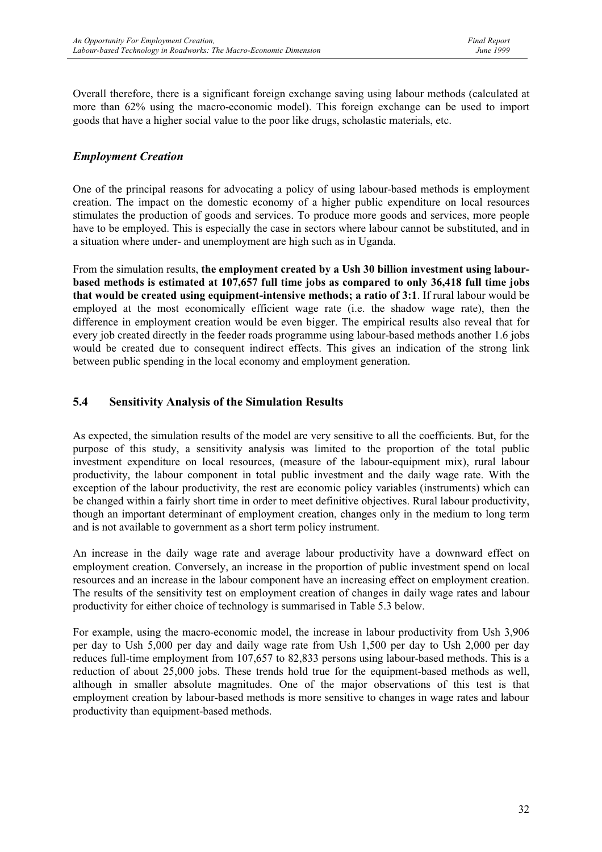Overall therefore, there is a significant foreign exchange saving using labour methods (calculated at more than 62% using the macro-economic model). This foreign exchange can be used to import goods that have a higher social value to the poor like drugs, scholastic materials, etc.

### *Employment Creation*

One of the principal reasons for advocating a policy of using labour-based methods is employment creation. The impact on the domestic economy of a higher public expenditure on local resources stimulates the production of goods and services. To produce more goods and services, more people have to be employed. This is especially the case in sectors where labour cannot be substituted, and in a situation where under- and unemployment are high such as in Uganda.

From the simulation results, **the employment created by a Ush 30 billion investment using labourbased methods is estimated at 107,657 full time jobs as compared to only 36,418 full time jobs that would be created using equipment-intensive methods; a ratio of 3:1**. If rural labour would be employed at the most economically efficient wage rate (i.e. the shadow wage rate), then the difference in employment creation would be even bigger. The empirical results also reveal that for every job created directly in the feeder roads programme using labour-based methods another 1.6 jobs would be created due to consequent indirect effects. This gives an indication of the strong link between public spending in the local economy and employment generation.

### **5.4 Sensitivity Analysis of the Simulation Results**

As expected, the simulation results of the model are very sensitive to all the coefficients. But, for the purpose of this study, a sensitivity analysis was limited to the proportion of the total public investment expenditure on local resources, (measure of the labour-equipment mix), rural labour productivity, the labour component in total public investment and the daily wage rate. With the exception of the labour productivity, the rest are economic policy variables (instruments) which can be changed within a fairly short time in order to meet definitive objectives. Rural labour productivity, though an important determinant of employment creation, changes only in the medium to long term and is not available to government as a short term policy instrument.

An increase in the daily wage rate and average labour productivity have a downward effect on employment creation. Conversely, an increase in the proportion of public investment spend on local resources and an increase in the labour component have an increasing effect on employment creation. The results of the sensitivity test on employment creation of changes in daily wage rates and labour productivity for either choice of technology is summarised in Table 5.3 below.

For example, using the macro-economic model, the increase in labour productivity from Ush 3,906 per day to Ush 5,000 per day and daily wage rate from Ush 1,500 per day to Ush 2,000 per day reduces full-time employment from 107,657 to 82,833 persons using labour-based methods. This is a reduction of about 25,000 jobs. These trends hold true for the equipment-based methods as well, although in smaller absolute magnitudes. One of the major observations of this test is that employment creation by labour-based methods is more sensitive to changes in wage rates and labour productivity than equipment-based methods.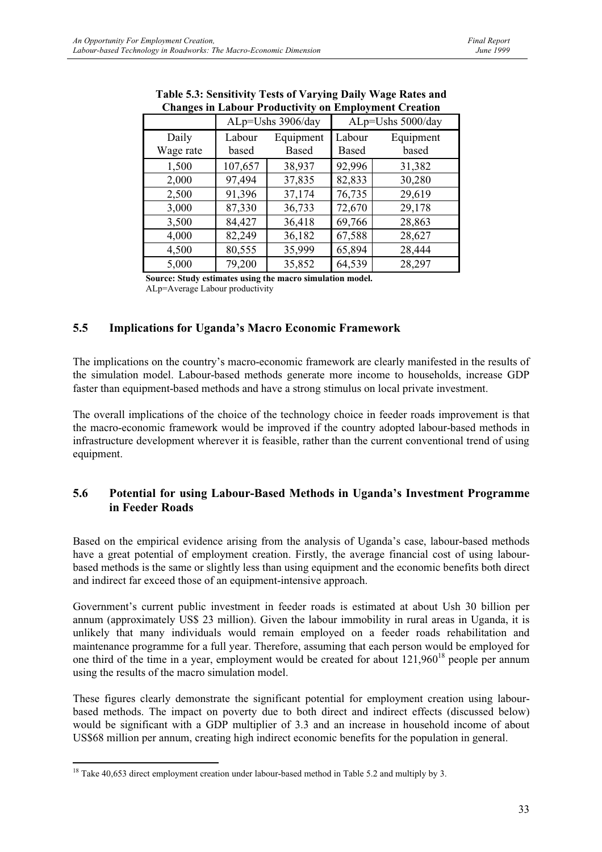|           |         |                   |              | Changes in Easo at 110 auctivity on Employment Creation |
|-----------|---------|-------------------|--------------|---------------------------------------------------------|
|           |         | ALp=Ushs 3906/day |              | ALp=Ushs 5000/day                                       |
| Daily     | Labour  | Equipment         | Labour       | Equipment                                               |
| Wage rate | based   | Based             | <b>Based</b> | based                                                   |
| 1,500     | 107,657 | 38,937            | 92,996       | 31,382                                                  |
| 2,000     | 97,494  | 37,835            | 82,833       | 30,280                                                  |
| 2,500     | 91,396  | 37,174            | 76,735       | 29,619                                                  |
| 3,000     | 87,330  | 36,733            | 72,670       | 29,178                                                  |
| 3,500     | 84,427  | 36,418            | 69,766       | 28,863                                                  |
| 4,000     | 82,249  | 36,182            | 67,588       | 28,627                                                  |
| 4,500     | 80,555  | 35,999            | 65,894       | 28,444                                                  |
| 5,000     | 79,200  | 35,852            | 64,539       | 28,297                                                  |

|  | Table 5.3: Sensitivity Tests of Varying Daily Wage Rates and |  |  |
|--|--------------------------------------------------------------|--|--|
|  | <b>Changes in Labour Productivity on Employment Creation</b> |  |  |

**Source: Study estimates using the macro simulation model.**

ALp=Average Labour productivity

### **5.5 Implications for Uganda's Macro Economic Framework**

The implications on the country's macro-economic framework are clearly manifested in the results of the simulation model. Labour-based methods generate more income to households, increase GDP faster than equipment-based methods and have a strong stimulus on local private investment.

The overall implications of the choice of the technology choice in feeder roads improvement is that the macro-economic framework would be improved if the country adopted labour-based methods in infrastructure development wherever it is feasible, rather than the current conventional trend of using equipment.

### **5.6 Potential for using Labour-Based Methods in Uganda's Investment Programme in Feeder Roads**

Based on the empirical evidence arising from the analysis of Uganda's case, labour-based methods have a great potential of employment creation. Firstly, the average financial cost of using labourbased methods is the same or slightly less than using equipment and the economic benefits both direct and indirect far exceed those of an equipment-intensive approach.

Government's current public investment in feeder roads is estimated at about Ush 30 billion per annum (approximately US\$ 23 million). Given the labour immobility in rural areas in Uganda, it is unlikely that many individuals would remain employed on a feeder roads rehabilitation and maintenance programme for a full year. Therefore, assuming that each person would be employed for one third of the time in a year, employment would be created for about  $121,960^{18}$  people per annum using the results of the macro simulation model.

These figures clearly demonstrate the significant potential for employment creation using labourbased methods. The impact on poverty due to both direct and indirect effects (discussed below) would be significant with a GDP multiplier of 3.3 and an increase in household income of about US\$68 million per annum, creating high indirect economic benefits for the population in general.

<sup>&</sup>lt;sup>18</sup> Take 40,653 direct employment creation under labour-based method in Table 5.2 and multiply by 3.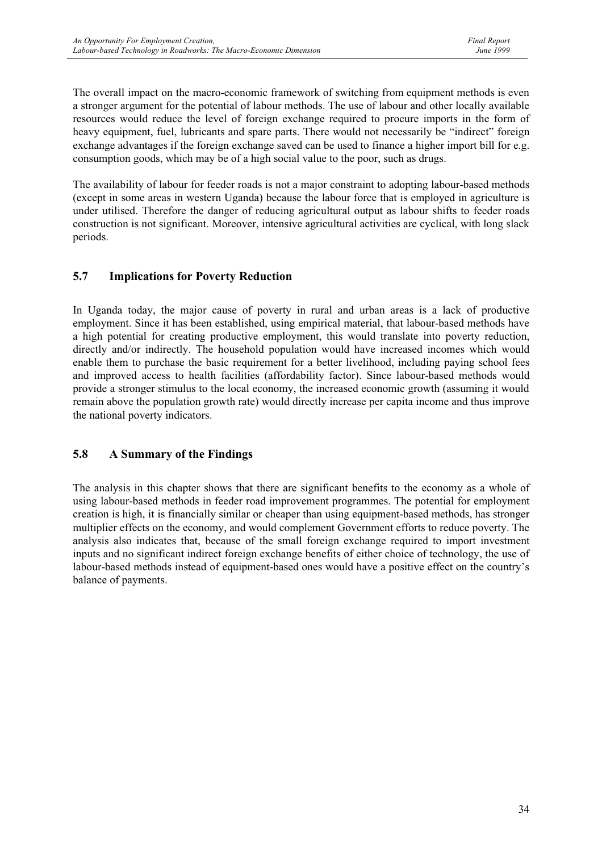The overall impact on the macro-economic framework of switching from equipment methods is even a stronger argument for the potential of labour methods. The use of labour and other locally available resources would reduce the level of foreign exchange required to procure imports in the form of heavy equipment, fuel, lubricants and spare parts. There would not necessarily be "indirect" foreign exchange advantages if the foreign exchange saved can be used to finance a higher import bill for e.g. consumption goods, which may be of a high social value to the poor, such as drugs.

The availability of labour for feeder roads is not a major constraint to adopting labour-based methods (except in some areas in western Uganda) because the labour force that is employed in agriculture is under utilised. Therefore the danger of reducing agricultural output as labour shifts to feeder roads construction is not significant. Moreover, intensive agricultural activities are cyclical, with long slack periods.

### **5.7 Implications for Poverty Reduction**

In Uganda today, the major cause of poverty in rural and urban areas is a lack of productive employment. Since it has been established, using empirical material, that labour-based methods have a high potential for creating productive employment, this would translate into poverty reduction, directly and/or indirectly. The household population would have increased incomes which would enable them to purchase the basic requirement for a better livelihood, including paying school fees and improved access to health facilities (affordability factor). Since labour-based methods would provide a stronger stimulus to the local economy, the increased economic growth (assuming it would remain above the population growth rate) would directly increase per capita income and thus improve the national poverty indicators.

### **5.8 A Summary of the Findings**

The analysis in this chapter shows that there are significant benefits to the economy as a whole of using labour-based methods in feeder road improvement programmes. The potential for employment creation is high, it is financially similar or cheaper than using equipment-based methods, has stronger multiplier effects on the economy, and would complement Government efforts to reduce poverty. The analysis also indicates that, because of the small foreign exchange required to import investment inputs and no significant indirect foreign exchange benefits of either choice of technology, the use of labour-based methods instead of equipment-based ones would have a positive effect on the country's balance of payments.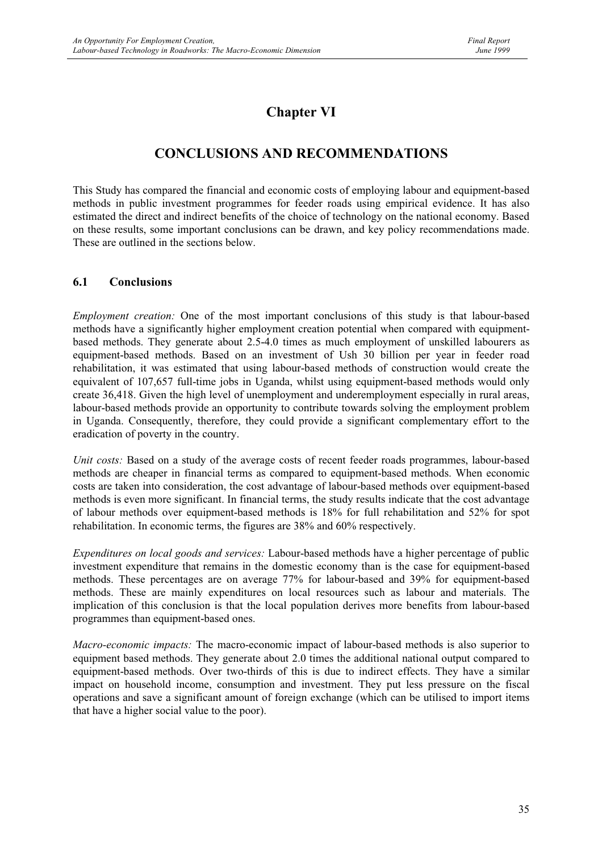### **Chapter VI**

### **CONCLUSIONS AND RECOMMENDATIONS**

This Study has compared the financial and economic costs of employing labour and equipment-based methods in public investment programmes for feeder roads using empirical evidence. It has also estimated the direct and indirect benefits of the choice of technology on the national economy. Based on these results, some important conclusions can be drawn, and key policy recommendations made. These are outlined in the sections below.

### **6.1 Conclusions**

*Employment creation:* One of the most important conclusions of this study is that labour-based methods have a significantly higher employment creation potential when compared with equipmentbased methods. They generate about 2.5-4.0 times as much employment of unskilled labourers as equipment-based methods. Based on an investment of Ush 30 billion per year in feeder road rehabilitation, it was estimated that using labour-based methods of construction would create the equivalent of 107,657 full-time jobs in Uganda, whilst using equipment-based methods would only create 36,418. Given the high level of unemployment and underemployment especially in rural areas, labour-based methods provide an opportunity to contribute towards solving the employment problem in Uganda. Consequently, therefore, they could provide a significant complementary effort to the eradication of poverty in the country.

*Unit costs:* Based on a study of the average costs of recent feeder roads programmes, labour-based methods are cheaper in financial terms as compared to equipment-based methods. When economic costs are taken into consideration, the cost advantage of labour-based methods over equipment-based methods is even more significant. In financial terms, the study results indicate that the cost advantage of labour methods over equipment-based methods is 18% for full rehabilitation and 52% for spot rehabilitation. In economic terms, the figures are 38% and 60% respectively.

*Expenditures on local goods and services:* Labour-based methods have a higher percentage of public investment expenditure that remains in the domestic economy than is the case for equipment-based methods. These percentages are on average 77% for labour-based and 39% for equipment-based methods. These are mainly expenditures on local resources such as labour and materials. The implication of this conclusion is that the local population derives more benefits from labour-based programmes than equipment-based ones.

*Macro-economic impacts:* The macro-economic impact of labour-based methods is also superior to equipment based methods. They generate about 2.0 times the additional national output compared to equipment-based methods. Over two-thirds of this is due to indirect effects. They have a similar impact on household income, consumption and investment. They put less pressure on the fiscal operations and save a significant amount of foreign exchange (which can be utilised to import items that have a higher social value to the poor).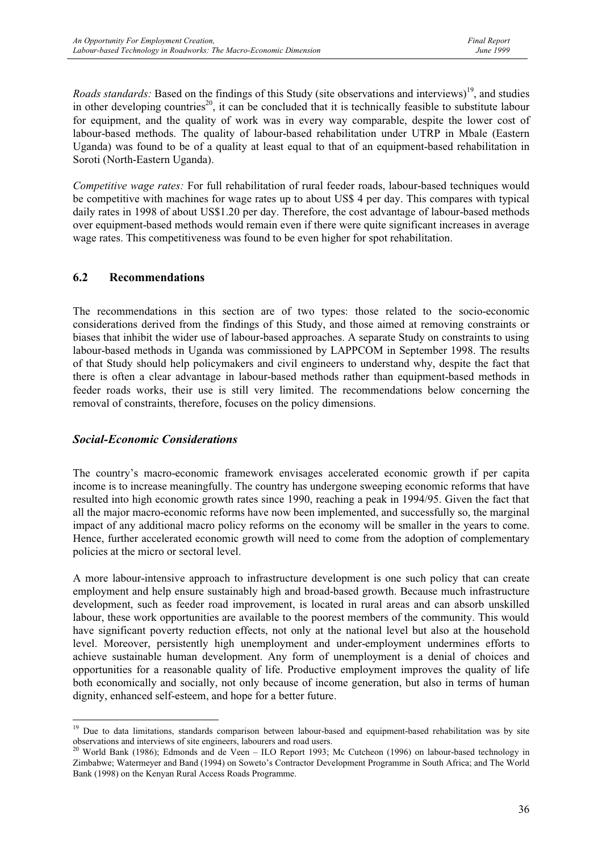*Roads standards:* Based on the findings of this Study (site observations and interviews)<sup>19</sup>, and studies in other developing countries<sup>20</sup>, it can be concluded that it is technically feasible to substitute labour for equipment, and the quality of work was in every way comparable, despite the lower cost of labour-based methods. The quality of labour-based rehabilitation under UTRP in Mbale (Eastern Uganda) was found to be of a quality at least equal to that of an equipment-based rehabilitation in Soroti (North-Eastern Uganda).

*Competitive wage rates:* For full rehabilitation of rural feeder roads, labour-based techniques would be competitive with machines for wage rates up to about US\$ 4 per day. This compares with typical daily rates in 1998 of about US\$1.20 per day. Therefore, the cost advantage of labour-based methods over equipment-based methods would remain even if there were quite significant increases in average wage rates. This competitiveness was found to be even higher for spot rehabilitation.

### **6.2 Recommendations**

The recommendations in this section are of two types: those related to the socio-economic considerations derived from the findings of this Study, and those aimed at removing constraints or biases that inhibit the wider use of labour-based approaches. A separate Study on constraints to using labour-based methods in Uganda was commissioned by LAPPCOM in September 1998. The results of that Study should help policymakers and civil engineers to understand why, despite the fact that there is often a clear advantage in labour-based methods rather than equipment-based methods in feeder roads works, their use is still very limited. The recommendations below concerning the removal of constraints, therefore, focuses on the policy dimensions.

### *Social-Economic Considerations*

The country's macro-economic framework envisages accelerated economic growth if per capita income is to increase meaningfully. The country has undergone sweeping economic reforms that have resulted into high economic growth rates since 1990, reaching a peak in 1994/95. Given the fact that all the major macro-economic reforms have now been implemented, and successfully so, the marginal impact of any additional macro policy reforms on the economy will be smaller in the years to come. Hence, further accelerated economic growth will need to come from the adoption of complementary policies at the micro or sectoral level.

A more labour-intensive approach to infrastructure development is one such policy that can create employment and help ensure sustainably high and broad-based growth. Because much infrastructure development, such as feeder road improvement, is located in rural areas and can absorb unskilled labour, these work opportunities are available to the poorest members of the community. This would have significant poverty reduction effects, not only at the national level but also at the household level. Moreover, persistently high unemployment and under-employment undermines efforts to achieve sustainable human development. Any form of unemployment is a denial of choices and opportunities for a reasonable quality of life. Productive employment improves the quality of life both economically and socially, not only because of income generation, but also in terms of human dignity, enhanced self-esteem, and hope for a better future.

<sup>&</sup>lt;sup>19</sup> Due to data limitations, standards comparison between labour-based and equipment-based rehabilitation was by site observations and interviews of site engineers, labourers and road users.

<sup>&</sup>lt;sup>20</sup> World Bank (1986); Edmonds and de Veen – ILO Report 1993; Mc Cutcheon (1996) on labour-based technology in Zimbabwe; Watermeyer and Band (1994) on Soweto's Contractor Development Programme in South Africa; and The World Bank (1998) on the Kenyan Rural Access Roads Programme.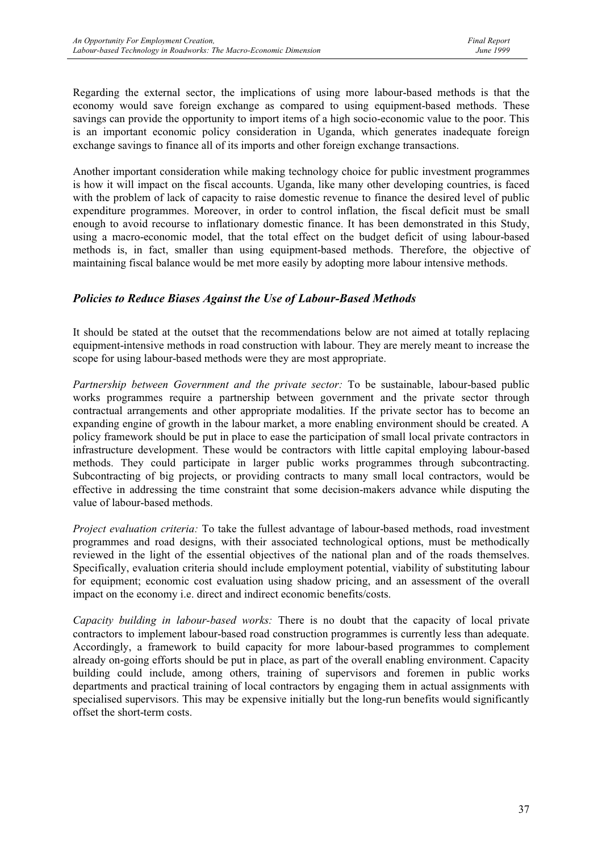Regarding the external sector, the implications of using more labour-based methods is that the economy would save foreign exchange as compared to using equipment-based methods. These savings can provide the opportunity to import items of a high socio-economic value to the poor. This is an important economic policy consideration in Uganda, which generates inadequate foreign exchange savings to finance all of its imports and other foreign exchange transactions.

Another important consideration while making technology choice for public investment programmes is how it will impact on the fiscal accounts. Uganda, like many other developing countries, is faced with the problem of lack of capacity to raise domestic revenue to finance the desired level of public expenditure programmes. Moreover, in order to control inflation, the fiscal deficit must be small enough to avoid recourse to inflationary domestic finance. It has been demonstrated in this Study, using a macro-economic model, that the total effect on the budget deficit of using labour-based methods is, in fact, smaller than using equipment-based methods. Therefore, the objective of maintaining fiscal balance would be met more easily by adopting more labour intensive methods.

### *Policies to Reduce Biases Against the Use of Labour-Based Methods*

It should be stated at the outset that the recommendations below are not aimed at totally replacing equipment-intensive methods in road construction with labour. They are merely meant to increase the scope for using labour-based methods were they are most appropriate.

*Partnership between Government and the private sector:* To be sustainable, labour-based public works programmes require a partnership between government and the private sector through contractual arrangements and other appropriate modalities. If the private sector has to become an expanding engine of growth in the labour market, a more enabling environment should be created. A policy framework should be put in place to ease the participation of small local private contractors in infrastructure development. These would be contractors with little capital employing labour-based methods. They could participate in larger public works programmes through subcontracting. Subcontracting of big projects, or providing contracts to many small local contractors, would be effective in addressing the time constraint that some decision-makers advance while disputing the value of labour-based methods.

*Project evaluation criteria:* To take the fullest advantage of labour-based methods, road investment programmes and road designs, with their associated technological options, must be methodically reviewed in the light of the essential objectives of the national plan and of the roads themselves. Specifically, evaluation criteria should include employment potential, viability of substituting labour for equipment; economic cost evaluation using shadow pricing, and an assessment of the overall impact on the economy i.e. direct and indirect economic benefits/costs.

*Capacity building in labour-based works:* There is no doubt that the capacity of local private contractors to implement labour-based road construction programmes is currently less than adequate. Accordingly, a framework to build capacity for more labour-based programmes to complement already on-going efforts should be put in place, as part of the overall enabling environment. Capacity building could include, among others, training of supervisors and foremen in public works departments and practical training of local contractors by engaging them in actual assignments with specialised supervisors. This may be expensive initially but the long-run benefits would significantly offset the short-term costs.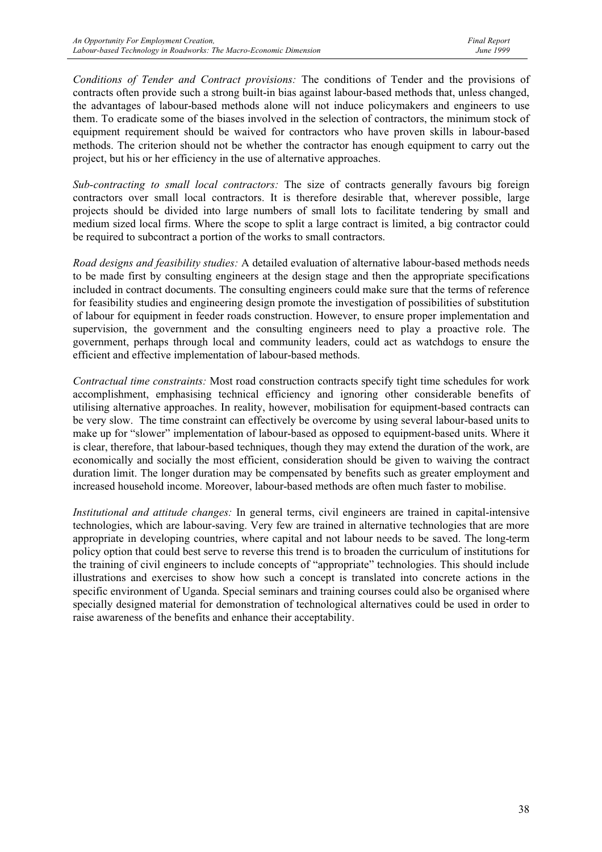*Conditions of Tender and Contract provisions:* The conditions of Tender and the provisions of contracts often provide such a strong built-in bias against labour-based methods that, unless changed, the advantages of labour-based methods alone will not induce policymakers and engineers to use them. To eradicate some of the biases involved in the selection of contractors, the minimum stock of equipment requirement should be waived for contractors who have proven skills in labour-based methods. The criterion should not be whether the contractor has enough equipment to carry out the project, but his or her efficiency in the use of alternative approaches.

*Sub-contracting to small local contractors:* The size of contracts generally favours big foreign contractors over small local contractors. It is therefore desirable that, wherever possible, large projects should be divided into large numbers of small lots to facilitate tendering by small and medium sized local firms. Where the scope to split a large contract is limited, a big contractor could be required to subcontract a portion of the works to small contractors.

*Road designs and feasibility studies:* A detailed evaluation of alternative labour-based methods needs to be made first by consulting engineers at the design stage and then the appropriate specifications included in contract documents. The consulting engineers could make sure that the terms of reference for feasibility studies and engineering design promote the investigation of possibilities of substitution of labour for equipment in feeder roads construction. However, to ensure proper implementation and supervision, the government and the consulting engineers need to play a proactive role. The government, perhaps through local and community leaders, could act as watchdogs to ensure the efficient and effective implementation of labour-based methods.

*Contractual time constraints:* Most road construction contracts specify tight time schedules for work accomplishment, emphasising technical efficiency and ignoring other considerable benefits of utilising alternative approaches. In reality, however, mobilisation for equipment-based contracts can be very slow. The time constraint can effectively be overcome by using several labour-based units to make up for "slower" implementation of labour-based as opposed to equipment-based units. Where it is clear, therefore, that labour-based techniques, though they may extend the duration of the work, are economically and socially the most efficient, consideration should be given to waiving the contract duration limit. The longer duration may be compensated by benefits such as greater employment and increased household income. Moreover, labour-based methods are often much faster to mobilise.

*Institutional and attitude changes:* In general terms, civil engineers are trained in capital-intensive technologies, which are labour-saving. Very few are trained in alternative technologies that are more appropriate in developing countries, where capital and not labour needs to be saved. The long-term policy option that could best serve to reverse this trend is to broaden the curriculum of institutions for the training of civil engineers to include concepts of "appropriate" technologies. This should include illustrations and exercises to show how such a concept is translated into concrete actions in the specific environment of Uganda. Special seminars and training courses could also be organised where specially designed material for demonstration of technological alternatives could be used in order to raise awareness of the benefits and enhance their acceptability.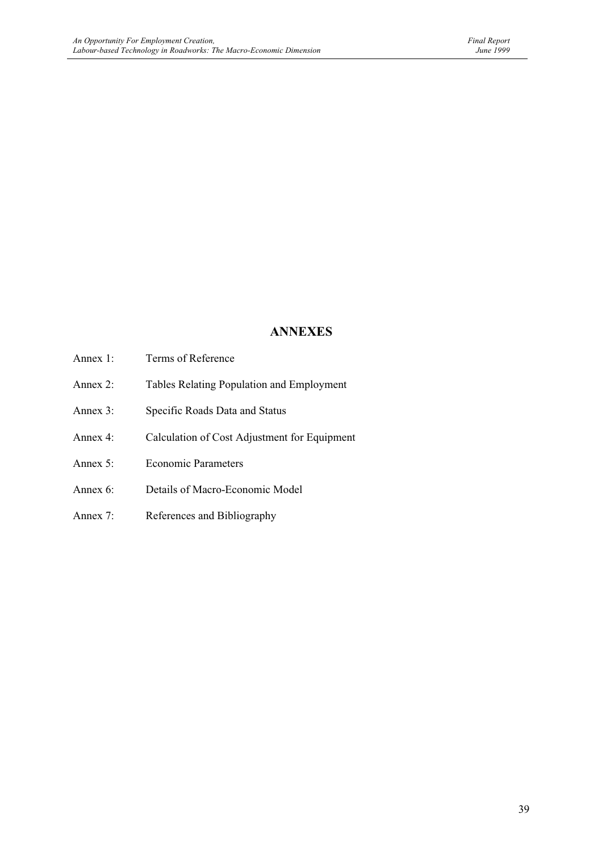### **ANNEXES**

- Annex 1: Terms of Reference
- Annex 2: Tables Relating Population and Employment
- Annex 3: Specific Roads Data and Status
- Annex 4: Calculation of Cost Adjustment for Equipment
- Annex 5: Economic Parameters
- Annex 6: Details of Macro-Economic Model
- Annex 7: References and Bibliography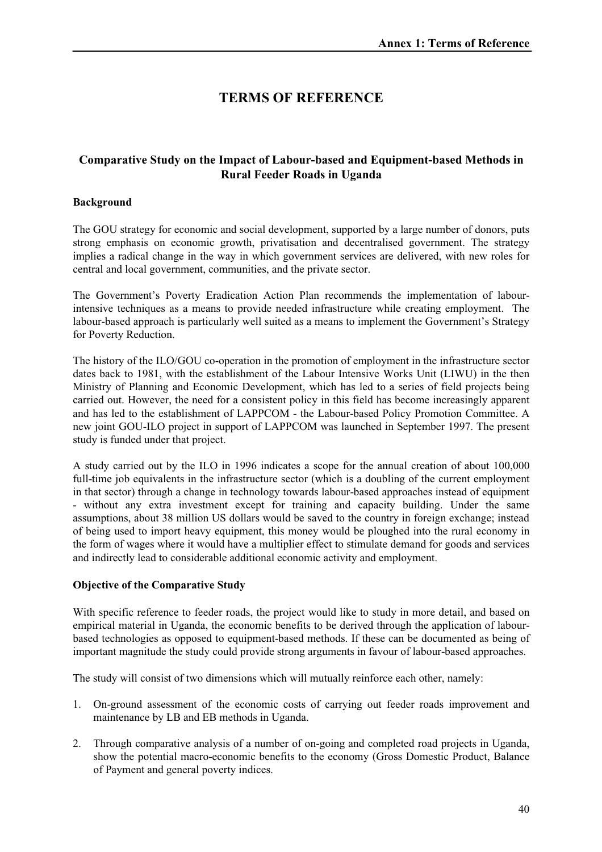### **TERMS OF REFERENCE**

### **Comparative Study on the Impact of Labour-based and Equipment-based Methods in Rural Feeder Roads in Uganda**

### **Background**

The GOU strategy for economic and social development, supported by a large number of donors, puts strong emphasis on economic growth, privatisation and decentralised government. The strategy implies a radical change in the way in which government services are delivered, with new roles for central and local government, communities, and the private sector.

The Government's Poverty Eradication Action Plan recommends the implementation of labourintensive techniques as a means to provide needed infrastructure while creating employment. The labour-based approach is particularly well suited as a means to implement the Government's Strategy for Poverty Reduction.

The history of the ILO/GOU co-operation in the promotion of employment in the infrastructure sector dates back to 1981, with the establishment of the Labour Intensive Works Unit (LIWU) in the then Ministry of Planning and Economic Development, which has led to a series of field projects being carried out. However, the need for a consistent policy in this field has become increasingly apparent and has led to the establishment of LAPPCOM - the Labour-based Policy Promotion Committee. A new joint GOU-ILO project in support of LAPPCOM was launched in September 1997. The present study is funded under that project.

A study carried out by the ILO in 1996 indicates a scope for the annual creation of about 100,000 full-time job equivalents in the infrastructure sector (which is a doubling of the current employment in that sector) through a change in technology towards labour-based approaches instead of equipment - without any extra investment except for training and capacity building. Under the same assumptions, about 38 million US dollars would be saved to the country in foreign exchange; instead of being used to import heavy equipment, this money would be ploughed into the rural economy in the form of wages where it would have a multiplier effect to stimulate demand for goods and services and indirectly lead to considerable additional economic activity and employment.

### **Objective of the Comparative Study**

With specific reference to feeder roads, the project would like to study in more detail, and based on empirical material in Uganda, the economic benefits to be derived through the application of labourbased technologies as opposed to equipment-based methods. If these can be documented as being of important magnitude the study could provide strong arguments in favour of labour-based approaches.

The study will consist of two dimensions which will mutually reinforce each other, namely:

- 1. On-ground assessment of the economic costs of carrying out feeder roads improvement and maintenance by LB and EB methods in Uganda.
- 2. Through comparative analysis of a number of on-going and completed road projects in Uganda, show the potential macro-economic benefits to the economy (Gross Domestic Product, Balance of Payment and general poverty indices.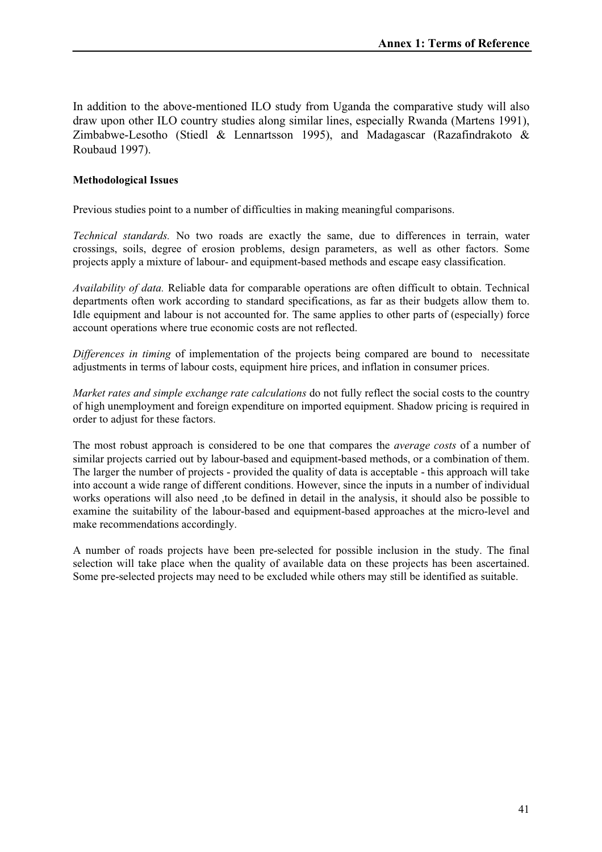In addition to the above-mentioned ILO study from Uganda the comparative study will also draw upon other ILO country studies along similar lines, especially Rwanda (Martens 1991), Zimbabwe-Lesotho (Stiedl & Lennartsson 1995), and Madagascar (Razafindrakoto & Roubaud 1997).

### **Methodological Issues**

Previous studies point to a number of difficulties in making meaningful comparisons.

*Technical standards.* No two roads are exactly the same, due to differences in terrain, water crossings, soils, degree of erosion problems, design parameters, as well as other factors. Some projects apply a mixture of labour- and equipment-based methods and escape easy classification.

*Availability of data.* Reliable data for comparable operations are often difficult to obtain. Technical departments often work according to standard specifications, as far as their budgets allow them to. Idle equipment and labour is not accounted for. The same applies to other parts of (especially) force account operations where true economic costs are not reflected.

*Differences in timing* of implementation of the projects being compared are bound to necessitate adjustments in terms of labour costs, equipment hire prices, and inflation in consumer prices.

*Market rates and simple exchange rate calculations* do not fully reflect the social costs to the country of high unemployment and foreign expenditure on imported equipment. Shadow pricing is required in order to adjust for these factors.

The most robust approach is considered to be one that compares the *average costs* of a number of similar projects carried out by labour-based and equipment-based methods, or a combination of them. The larger the number of projects - provided the quality of data is acceptable - this approach will take into account a wide range of different conditions. However, since the inputs in a number of individual works operations will also need ,to be defined in detail in the analysis, it should also be possible to examine the suitability of the labour-based and equipment-based approaches at the micro-level and make recommendations accordingly.

A number of roads projects have been pre-selected for possible inclusion in the study. The final selection will take place when the quality of available data on these projects has been ascertained. Some pre-selected projects may need to be excluded while others may still be identified as suitable.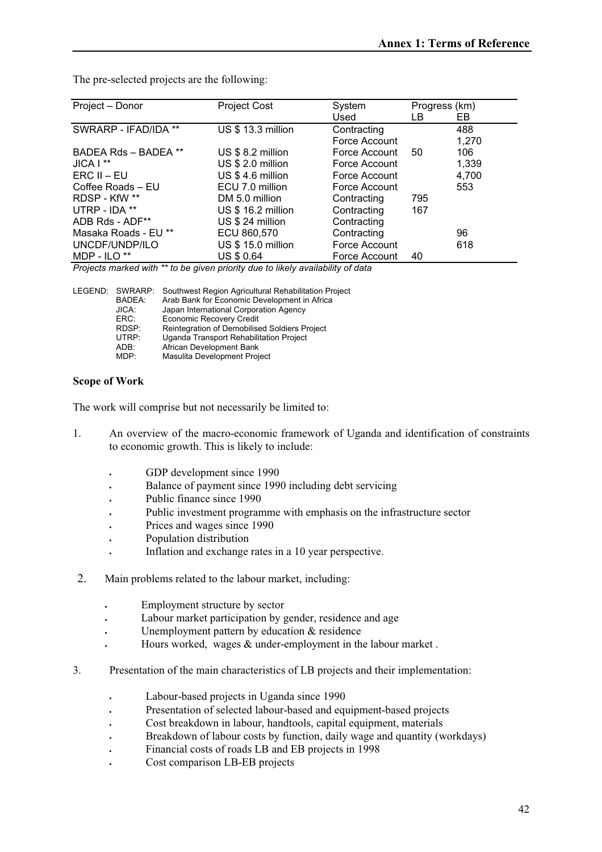The pre-selected projects are the following:

| <b>Project Cost</b> | System        | Progress (km) |        |
|---------------------|---------------|---------------|--------|
|                     | Used          | LB.           | EB.    |
| US \$ 13.3 million  | Contracting   |               | 488    |
|                     | Force Account |               | 1,270  |
| $US $ 8.2$ million  | Force Account | 50            | 106    |
| US \$ 2.0 million   | Force Account |               | 1,339  |
| US \$4.6 million    | Force Account |               | 4,700  |
| ECU 7.0 million     | Force Account |               | 553    |
| DM 5.0 million      | Contracting   | 795           |        |
| $US $ 16.2$ million | Contracting   | 167           |        |
| US \$ 24 million    | Contracting   |               |        |
| ECU 860,570         | Contracting   |               | 96     |
| US \$ 15.0 million  | Force Account |               | 618    |
| US \$ 0.64          | Force Account | 40            |        |
|                     |               |               | .<br>. |

*Projects marked with \*\* to be given priority due to likely availability of data*

|        | LEGEND: SWRARP: Southwest Region Agricultural Rehabilitation Project |
|--------|----------------------------------------------------------------------|
| BADEA: | Arab Bank for Economic Development in Africa                         |
| JICA:  | Japan International Corporation Agency                               |
| ERC:   | <b>Economic Recovery Credit</b>                                      |
| RDSP:  | <b>Reintegration of Demobilised Soldiers Project</b>                 |
| UTRP:  | Uganda Transport Rehabilitation Project                              |
| ADB:   | African Development Bank                                             |
| MDP:   | Masulita Development Project                                         |
|        |                                                                      |

### **Scope of Work**

The work will comprise but not necessarily be limited to:

- 1. An overview of the macro-economic framework of Uganda and identification of constraints to economic growth. This is likely to include:
	- GDP development since 1990
	- Balance of payment since 1990 including debt servicing
	- Public finance since 1990
	- Public investment programme with emphasis on the infrastructure sector
	- Prices and wages since 1990
	- Population distribution
	- Inflation and exchange rates in a 10 year perspective.
- 2. Main problems related to the labour market, including:
	- Employment structure by sector
	- Labour market participation by gender, residence and age
	- Unemployment pattern by education & residence
	- Hours worked, wages & under-employment in the labour market .
- 3. Presentation of the main characteristics of LB projects and their implementation:
	- Labour-based projects in Uganda since 1990
	- Presentation of selected labour-based and equipment-based projects
	- Cost breakdown in labour, handtools, capital equipment, materials
	- Breakdown of labour costs by function, daily wage and quantity (workdays)
	- Financial costs of roads LB and EB projects in 1998
	- Cost comparison LB-EB projects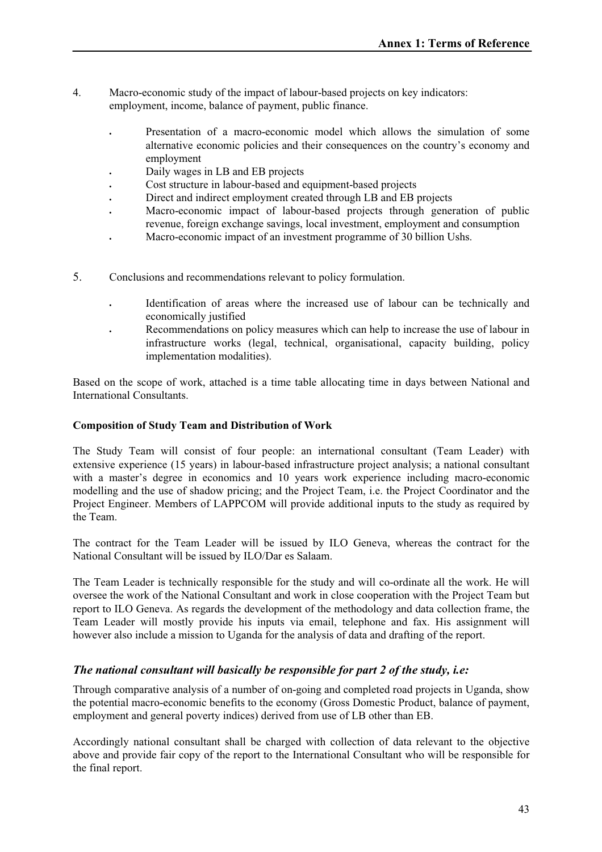- 4. Macro-economic study of the impact of labour-based projects on key indicators: employment, income, balance of payment, public finance.
	- Presentation of a macro-economic model which allows the simulation of some alternative economic policies and their consequences on the country's economy and employment
	- Daily wages in LB and EB projects
	- Cost structure in labour-based and equipment-based projects
	- Direct and indirect employment created through LB and EB projects
	- Macro-economic impact of labour-based projects through generation of public revenue, foreign exchange savings, local investment, employment and consumption
	- Macro-economic impact of an investment programme of 30 billion Ushs.
- 5. Conclusions and recommendations relevant to policy formulation.
	- Identification of areas where the increased use of labour can be technically and economically justified
	- Recommendations on policy measures which can help to increase the use of labour in infrastructure works (legal, technical, organisational, capacity building, policy implementation modalities).

Based on the scope of work, attached is a time table allocating time in days between National and International Consultants.

### **Composition of Study Team and Distribution of Work**

The Study Team will consist of four people: an international consultant (Team Leader) with extensive experience (15 years) in labour-based infrastructure project analysis; a national consultant with a master's degree in economics and 10 years work experience including macro-economic modelling and the use of shadow pricing; and the Project Team, i.e. the Project Coordinator and the Project Engineer. Members of LAPPCOM will provide additional inputs to the study as required by the Team.

The contract for the Team Leader will be issued by ILO Geneva, whereas the contract for the National Consultant will be issued by ILO/Dar es Salaam.

The Team Leader is technically responsible for the study and will co-ordinate all the work. He will oversee the work of the National Consultant and work in close cooperation with the Project Team but report to ILO Geneva. As regards the development of the methodology and data collection frame, the Team Leader will mostly provide his inputs via email, telephone and fax. His assignment will however also include a mission to Uganda for the analysis of data and drafting of the report.

### *The national consultant will basically be responsible for part 2 of the study, i.e:*

Through comparative analysis of a number of on-going and completed road projects in Uganda, show the potential macro-economic benefits to the economy (Gross Domestic Product, balance of payment, employment and general poverty indices) derived from use of LB other than EB.

Accordingly national consultant shall be charged with collection of data relevant to the objective above and provide fair copy of the report to the International Consultant who will be responsible for the final report.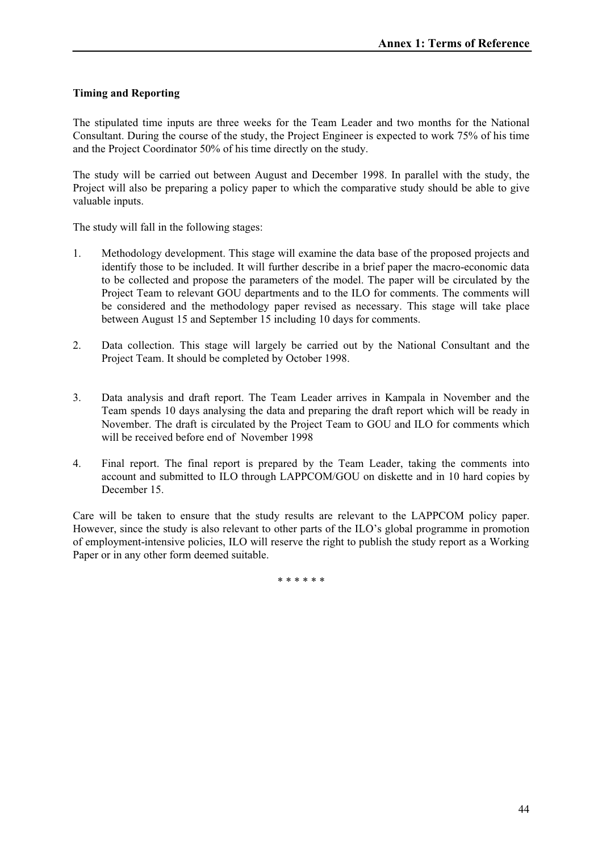### **Timing and Reporting**

The stipulated time inputs are three weeks for the Team Leader and two months for the National Consultant. During the course of the study, the Project Engineer is expected to work 75% of his time and the Project Coordinator 50% of his time directly on the study.

The study will be carried out between August and December 1998. In parallel with the study, the Project will also be preparing a policy paper to which the comparative study should be able to give valuable inputs.

The study will fall in the following stages:

- 1. Methodology development. This stage will examine the data base of the proposed projects and identify those to be included. It will further describe in a brief paper the macro-economic data to be collected and propose the parameters of the model. The paper will be circulated by the Project Team to relevant GOU departments and to the ILO for comments. The comments will be considered and the methodology paper revised as necessary. This stage will take place between August 15 and September 15 including 10 days for comments.
- 2. Data collection. This stage will largely be carried out by the National Consultant and the Project Team. It should be completed by October 1998.
- 3. Data analysis and draft report. The Team Leader arrives in Kampala in November and the Team spends 10 days analysing the data and preparing the draft report which will be ready in November. The draft is circulated by the Project Team to GOU and ILO for comments which will be received before end of November 1998
- 4. Final report. The final report is prepared by the Team Leader, taking the comments into account and submitted to ILO through LAPPCOM/GOU on diskette and in 10 hard copies by December 15.

Care will be taken to ensure that the study results are relevant to the LAPPCOM policy paper. However, since the study is also relevant to other parts of the ILO's global programme in promotion of employment-intensive policies, ILO will reserve the right to publish the study report as a Working Paper or in any other form deemed suitable.

\* \* \* \* \* \*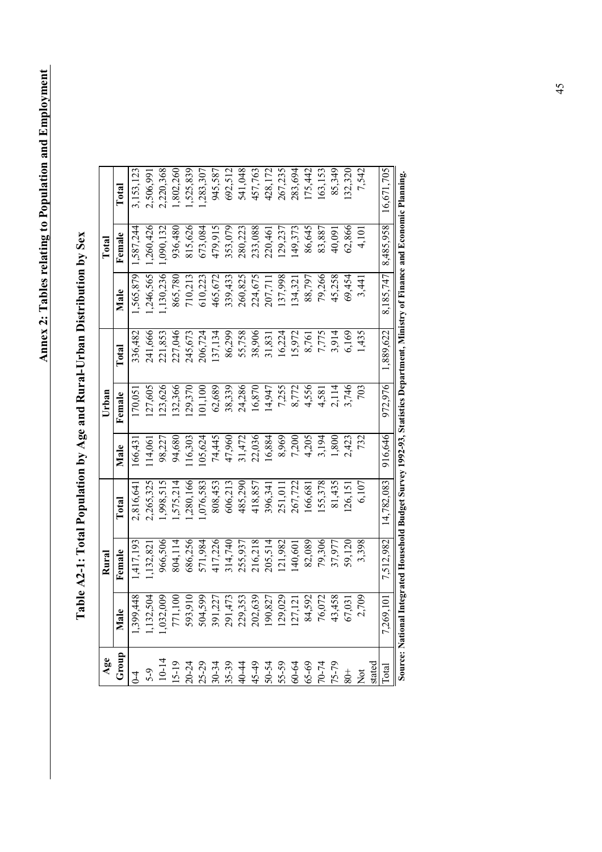| Age            |                                                                                                                               | Rural     |            |         | Urban   |              |           | $\Gamma$ otal |              |
|----------------|-------------------------------------------------------------------------------------------------------------------------------|-----------|------------|---------|---------|--------------|-----------|---------------|--------------|
| Group          | Male                                                                                                                          | Female    | Total      | Male    | Female  | <b>Lotal</b> | Male      | Female        | <b>Total</b> |
| $\overline{0}$ | ,399,448                                                                                                                      | 1,417,19  | 2,816,64   | 166,431 | 170,05  | 336,482      | 1,565,879 | 1,587,244     | 3,153,123    |
| $5 - 9$        | ,132,504                                                                                                                      | ,132,82   | 2,265,325  | 114,061 | 27,605  | 241,666      | .246,565  | 1,260,426     | 2,506,991    |
| $10 - 14$      | ,032,009                                                                                                                      | 966,506   | 1,998,515  | 98,227  | 23,626  | 221,853      | .,130,236 | 1,090,132     | 2,220,368    |
| $15 - 19$      | 771,100                                                                                                                       | 804,114   | 575,214    | 94,680  | 32,366  | 227,046      | 865,780   | 936,480       | ,802,260     |
| $20 - 24$      | 593,910                                                                                                                       | 686,256   | ,280,166   | 16,303  | 29,370  | 245,673      | 710,213   | 815,626       | ,525,839     |
| $25 - 29$      | 504,599                                                                                                                       | 571,984   | 1,076,583  | .05,624 | 01,100  | 206,724      | 510,223   | 673,084       | ,283,307     |
| $30 - 34$      | 391,227                                                                                                                       | 417,226   | 808,453    | 74,445  | 62,689  | 137,134      | 465,672   | 479,915       | 945,587      |
| 35-39          | 291,473                                                                                                                       | 314,740   | 606,213    | 47,960  | 38,339  | 86,299       | 339,433   | 353,079       | 692,512      |
| 40-44          | 229,353                                                                                                                       | 255,937   | 485,290    | 31,472  | 24,286  | 55,758       | 260,825   | 280,223       | 541,048      |
| $45 - 49$      | 202,639                                                                                                                       | 216,218   | 418,857    | 22,036  | 16,870  | 38,906       | 224,675   | 233,088       | 457,763      |
| $50 - 54$      | 90,827                                                                                                                        | 205,514   | 396,34     | 16,884  | 14,947  | 31,831       | 207,711   | 220,461       | 428,172      |
| 55-59          | 29,029                                                                                                                        | 21,982    | 251,01     | 8,969   | 7,255   | 16,224       | 37,998    | .29,237       | 267,235      |
| 60-64          | 127,121                                                                                                                       | 140,601   | 267,722    | 7,200   | 8,772   | 15,972       | 134,321   | 49,373        | 283,694      |
| $65 - 69$      | 84,592                                                                                                                        | 82,089    | 166,681    | 4,205   | 4,556   | 8,761        | 88,797    | 86,645        | 175,442      |
| $70 - 74$      | 76,072                                                                                                                        | 79,306    | 55,378     | 3,194   | 4,581   | 7,775        | 79,266    | 83,887        | 163,153      |
| 75-79          | 43,458                                                                                                                        | 37,977    | 81,435     | ,800    | 2,114   | 3,914        | 45,258    | 40,091        | 85,349       |
| $rac{+}{80}$   | 67,031                                                                                                                        | 59,120    | .26, 151   | 2,423   | 3,746   | 6,169        | 69,454    | 62,866        | .32,320      |
| Not            | 2,709                                                                                                                         | 3,398     | 6,107      | 732     | 703     | ,435         | 3,44      | 4,101         | 7,542        |
| stated         |                                                                                                                               |           |            |         |         |              |           |               |              |
| $\rm Total$    | 7,269,101                                                                                                                     | 7,512,982 | 14,782,083 | 916,646 | 972,976 | 1,889,622    | 8,185,747 | 8,485,958     | 16,671,705   |
|                | Source: National Integrated Household Budget Survey 1992-93, Statistics Department, Ministry of Finance and Economic Planning |           |            |         |         |              |           |               |              |

Table A2-1: Total Population by Age and Rural-Urban Distribution by Sex **Table A2-1: Total Population by Age and Rural-Urban Distribution by Sex**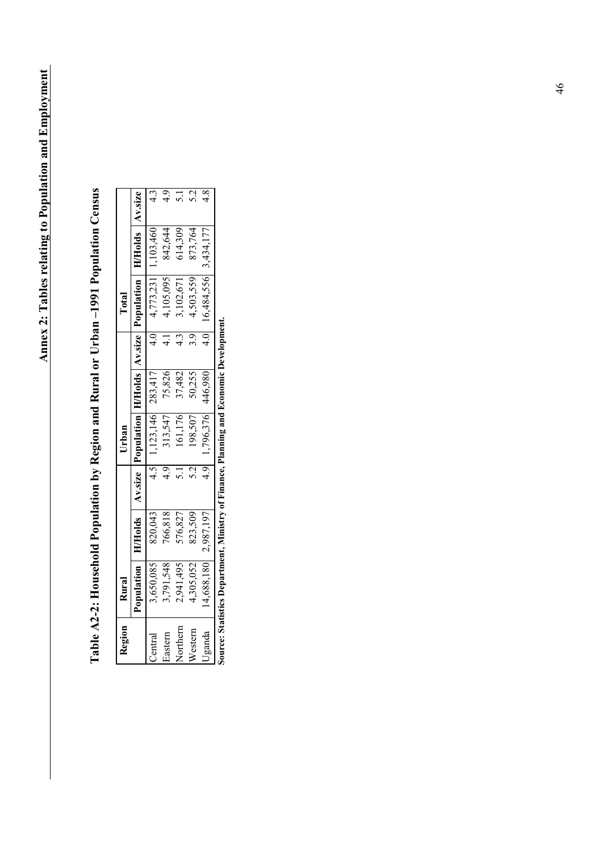| Region          | Rural                                                                                                                                                                                                                          |                      |     | Urban                   |         |                  | Total                                                                                            |                     |     |
|-----------------|--------------------------------------------------------------------------------------------------------------------------------------------------------------------------------------------------------------------------------|----------------------|-----|-------------------------|---------|------------------|--------------------------------------------------------------------------------------------------|---------------------|-----|
|                 |                                                                                                                                                                                                                                |                      |     |                         |         |                  | Population   H/Holds   Av.size   Population   H/Holds   Av.size   Population   H/Holds   Av.size |                     |     |
| Central         | 3,650,085                                                                                                                                                                                                                      | 820,043              |     | $4.5$ 1,123,146 283,417 |         | 4.0 <sup>1</sup> |                                                                                                  | 4,773,231 1,103,460 |     |
| Eastern         | 3,791,548                                                                                                                                                                                                                      | 766,818              | 4.9 | 313,547                 | 75,826  | $\frac{1}{4}$    | 4,105,095                                                                                        | 842,644             | 4.9 |
| Northern        | 2,941,495                                                                                                                                                                                                                      | 576,827              |     | 161,176                 | 37,482  | $4.\overline{3}$ | 3,102,671                                                                                        | 614,309             | 5.1 |
| <b>IWestern</b> | 4,305,052                                                                                                                                                                                                                      | 823,509              | 5.2 | 198,507                 | 50,255  | 3.9              | 4,503,559                                                                                        | 873,764             | 5.2 |
| Uganda          |                                                                                                                                                                                                                                | 14,688,180 2,987,197 |     | 4.9 1,796,376           | 446,980 |                  | $4.0$ 16,484,556 3,434,177                                                                       |                     | 4.8 |
|                 | Outside the finite of Minimum of The contraction of the contract of the finite of the contraction of the contract of the contract of the contract of the contract of the contract of the contract of the contract of the contr |                      |     |                         |         |                  |                                                                                                  |                     |     |

Table A2-2: Household Population by Region and Rural or Urban-1991 Population Census **Table A2-2: Household Population by Region and Rural or Urban –1991 Population Census**

Source: Statistics Department, Ministry of Finance, Planning and Economic Development. **Source: Statistics Department, Ministry of Finance, Planning and Economic Development.**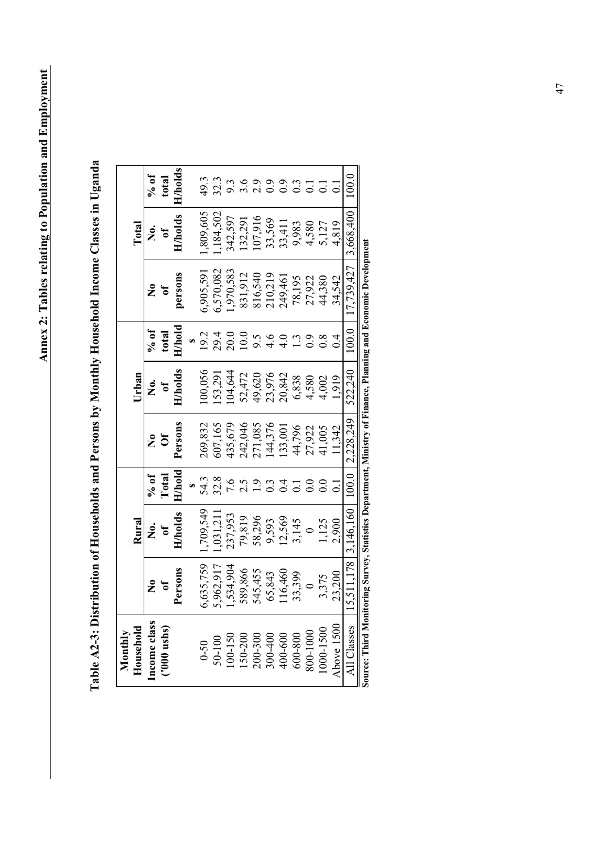**H/holds persons H/holds H/holds**  $\frac{9}{6}$  of 100.0 total **Income class No No. % of No No. % of No No. % of** 32.3 All Classes | 15,511,178 | 3,146,160 | 100.0 | 2,228,249 | 222,240 | 100.0 | 17,739,427 | 3,668,400 | 100.0 **('000 ushs) of of Total Of of total of of total** 49.3 9.3  $3.6$ 2.9  $0.9$  $_{0.9}$  $0.\overline{3}$ 0-50 6,635,759 1,709,549 54.3 269,832 100,056 19.2 6,905,591 1,809,605 49.3 50-100 5,962,917 1,031,211 32.8 607,165 153,291 29.4 6,570,082 1,184,502 32.3  $\overline{0}$ .  $\overline{0}$ . 150-200 589,866 79,819 2.5 242,046 52,472 10.0 831,912 132,291 3.6 200-300 545,455 58,296 1.9 271,085 49,620 9.5 816,540 107,916 2.9 300-400 65,843 9,593 0.3 144,376 23,976 4.6 210,219 33,569 0.9 6.0 | 115,41 | 194,648 | 248 | 248 | 248 | 248 | 248 | 248 | 248 | 248 | 248 | 248 | 248 | 248 | 248 | 248 | 2  $\overline{0}$ 100-150 1,534,904 237,953 7.6 435,679 104,644 20.0 1,970,583 342,597 9.3 600-800 33,399 3,145 0.1 44,796 6,838 1.3 78,195 9,983 0.3 10 | 085ft | 226,12 | 6.0 | 085ft | 226,12 | 0.0 | 0.0 | 0.0 | 0.0011008 10 | 27,575 | 300,44 | 300,4 | 300,454 | 300,454 | 300,454 | 300,454 | 300,454 | 300,5750,57 Above 1500 23,200 2,900 0.1 11,342 1,919 0.4 34,542 4,819 0.1 ,809,605 .184,502 342,597 107,916 3,668,400 **H/holds** 132,291 33,569<br>33,411 **Total** 9,983 4,580 5,127 4,819 **Household Rural Urban Total** å.  $\sigma$  $7.739.427$ 6,570,082 1,970,583 6,905,591 831,912 816,540 210,219 78,195 persons 249,461 27,922 44,380 34.542 **2**ី **H/hold Persons H/holds H/hold** 100.0  $\frac{10}{90}$ 19.2 29.4 20.0 10.0 total 9.5 4.6  $4.0$  $1.\overline{3}$  $0.9$  $0.8$  $0.4$ **s**104,644 522,240 **H/holds** 00,056 52,472 49,620 23,976 153,291 20,842 Urban 6,838 4,580 1,919 4,002 Ż.  $\mathfrak{b}$ 2,228,249 271,085 Persons 144,376 133,001 607,165 435,679 242,046 44,796 269,832 27,922 41,005 11.342  $\frac{1}{2}$   $\frac{1}{2}$  $\boxed{0.001}$ **H/hold Persons H/holds H/hold** Total  $9/0.01$ 54.3 32.8 7.6  $2.5$ 1.9  $0.0$  $0.3$  $0.4$  $0.0$  $\overline{0}$ .  $\overline{0}$ **s**15,511,178 3,146,160 ,709,549 ,031,211 **H/holds** 237,953 79,819 58,296 12,569 9,593 3,145 Rural 1,125<br>2.900 Ż.  $\mathfrak{b}$  $\circ$ ,534,904 6,635,759 5,962,917 Persons 589,866 545,455 116,460 65,843 33,399 23,200 3,375  $\frac{1}{2}$  of  $\circ$ Income class All Classes Above 1500 Household 1000-1500  $(2000 \text{ ushs})$ **Monthly** 800-1000 400-600 600-800 150-200 200-300 300-400  $100 - 150$ 50-100  $0 - 50$ 

Table A2-3: Distribution of Households and Persons by Monthly Household Income Classes in Uganda **Table A2-3: Distribution of Households and Persons by Monthly Household Income Classes in Uganda**

Source: Third Monitoring Survey, Statistics Department, Ministry of Finance, Planning and Economic Development **Source: Third Monitoring Survey, Statistics Department, Ministry of Finance, Planning and Economic Development**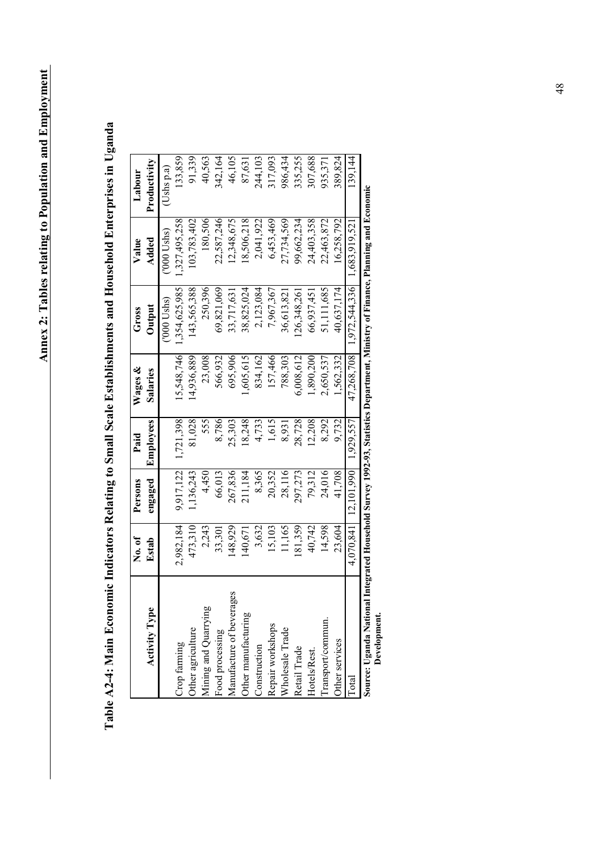|                               | No. of    | Persons    | Paid             | Wages &         | Gross                                        | Value                 | Labour       |
|-------------------------------|-----------|------------|------------------|-----------------|----------------------------------------------|-----------------------|--------------|
| Activity Type                 | Estab     | engaged    | <b>Employees</b> | <b>Salaries</b> | Output                                       | Added                 | Productivity |
|                               |           |            |                  |                 | $(2000 \text{ Ushs})$                        | $(2000 \text{ Ushs})$ | (Ushs p.a)   |
| Crop farming                  | 2,982,184 | 9,917,122  | 1,721,398        | 15,548,746      | 1,354,625,985                                | .327,495,258          | 133,859      |
| Other agriculture             | 473,310   | ,136,243   | 81,028           | 14,936,889      | 143,565,388                                  | 103,783,402           | 91,339       |
| Mining and Quarrying          | 2,243     | 4,450      | 555              | 23,008          | 250,396                                      | 180,506               | 40,563       |
| Food processing               | 33,301    | 66,013     | 8,786            | 566,932         | 69,821,069                                   | 22,587,246            | 342,164      |
| iges<br>Manufacture of bevera | 148,929   | 267,836    | 25,303           | 695,906         | 33,717,631                                   | 12,348,675            | 46,105       |
| Other manufacturing           | 40,671    | 211,184    | 8,248            | .,605,615       | 38,825,024                                   | 18,506,218            | 87,631       |
| Construction                  | 3,632     | 8,365      | 4,733            | 834,162         | 2,123,084                                    | 2,041,922             | 244,103      |
| Repair workshops              | 15,103    | 20,352     | 1,615            | 157,466         | 7,967,367                                    | 6,453,469             | 317,093      |
| Wholesale Trade               | 11,165    | 28,116     | 8,931            | 788,303         | 36,613,821                                   | 27,734,569            | 986,434      |
| Retail Trade                  | 81,359    | 297,273    | 28,728           | 6,008,612       | 26,348,261                                   | 99,662,234            | 335,255      |
| Hotels/Rest.                  | 40,742    | 79,312     | 12,208           | ,890,200        | 66,937,451                                   | 24,403,358            | 307,688      |
| Transport/commun.             | 14,598    | 24,016     | 8,292            | 2,650,537       | 51,111,685                                   | 22,463,872            | 935,371      |
| Other services                | 23,604    | 41,708     | 9,732            | 1,562,332       | 40,637,174                                   | 16,258,792            | 389,824      |
| $\rm Total$                   | 4,070,841 | 12,101,990 | 1,929,557        |                 | 47,268,708 1,972,544,336                     | 1,683,919,521         | 139,144      |
| i<br>T                        | 医胃气管 计可变量 |            | $11.11 - 12.00$  |                 | $\ddot{\phantom{a}}$<br>$\ddot{\phantom{a}}$ | -<br>1                |              |

Table A2-4: Main Economic Indicators Relating to Small Scale Establishments and Household Enterprises in Uganda **Table A2-4: Main Economic Indicators Relating to Small Scale Establishments and Household Enterprises in Uganda**

Source: Uganda National Integrated Household Survey 1992-93, Statistics Department, Ministry of Finance, Planning and Economic<br>Development. **Source: Uganda National Integrated Household Survey 1992-93, Statistics Department, Ministry of Finance, Planning and Economic** 

 **Development.**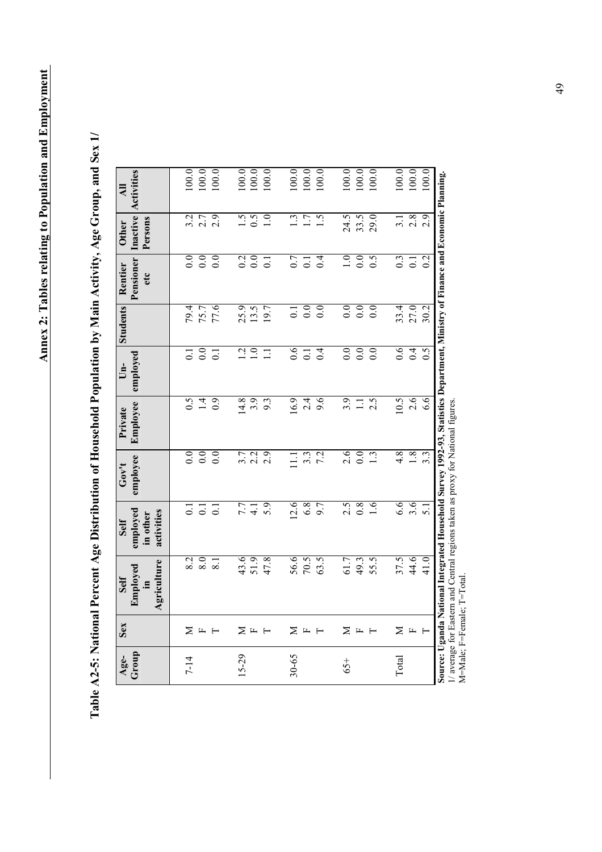$|00.0|$ 100.0  $100.0$  $|00.0|$  $|00.0|$ 100.0 100.0 100.0 100.0 100.0  $100.0$  $100.0$  $100.0$  $100.0$ 100.0 Activities 0.00 17-14 M 8.2 14 M 8.2 100 17-14 0.0 100 17-14 17-14 17-14 17-14 17-14 1 0.00 1.4 0.0 2.7 0.0 2.7 0.0 2.7 0.0 2.8 0.0 2.7 0.0 2.7 0.0 2.7 100.0 2.7 100.0 2.7 100.0 2.7 100.0 2.7 100.0 T 8.1 0.1 0.0 0.9 0.1 77.6 0.0 2.9 100.0 15-29 M 43.6 7.7 3.7 14.8 1.2 25.9 0.2 1.5 100.0 F 51.9 4.1 2.2 3.9 1.0 13.5 0.0 0.5 100.0 T 47.8 5.9 2.9 9.3 1.1 19.7 0.1 1.0 100.0 30-65 M 56.6 12.6 11.1 16.9 0.6 0.1 0.7 1.3 100.0 F 70.5 6.8 3.3 2.4 0.1 0.0 0.1 1.7 100.0 O.00 1 1.5 1.5 1.5 1.63 1.5 1.63 1.7.1 1.6 1.63 1.7.1 1.6 1.7.1 1.6 1.7.1 1.6 1.7.1 1.6 1.7.1 1.7.1 1.7.1 1.7. 65+ M 61.7 2.5 2.6 3.9 0.0 0.0 1.0 24.5 100.0 F 49.3 0.8 0.0 1.1 0.0 0.0 0.0 33.5 100.0 T 55.5 1.6 1.3 2.5 0.0 0.0 0.5 29.0 100.0 Total M 37.5 6.6 4.8 10.5 0.6 33.4 0.3 3.1 100.0 F 44.6 3.6 1.8 2.6 0.4 27.0 0.1 2.8 100.0 T 41.0 41.0 41.0 5.1 5.3 6.6 6.6 6.6 2.9 3.3 5.3 5.41 **Activities** Source: Uganda National Integrated Household Survey 1992-93, Statistics Department, Ministry of Finance and Economic Planning. **Source: Uganda National Integrated Household Survey 1992-93, Statistics Department, Ministry of Finance and Economic Planning. All**  $3.\overline{2}$ <br> $2.\overline{7}$ 2.9  $1.5$ <br>0.5  $1.0$  $1.5$ 24.5<br>33.5 29.0  $2.8$  $2.9$  $1.3$ **Inactive**  $1.7$  $3.1$ **Persons Other** Pensioner  $0.0$  $0.0$  $0.0$  $\frac{0.2}{0.0}$  $\overline{0.1}$  $0.7$  $\overline{0.1}$  $0.4$  $1.0$  $0.0$  $0.5$  $0.3$  $\overline{0.1}$  $0.2$ **employed Students Rentier Pensioner** Rentier **etc** 79.4 75.7 77.6 25.9 19.7  $33.4$ 27.0  $30.2$ **Students**  $0.0$  $0.0$  $0.0$  $0.0$  $0.0$  $\overline{0}$ .  $0.6$  $\frac{10}{10}$  $0.6$  $\begin{array}{c} 0.1 \\ 0.0 \end{array}$  $0.4$  $\overline{0.0}$  $0.0$  $_{0.0}$  $0.4$  $0.5$  $\overline{0.1}$  $1.1$  $\overline{0.1}$ employed **Un-**10.5  $14.8$ <br>3.9  $16.9$  $2.4$  $2.6$  $0.5$  $1.4$  $_{0.9}$  $9.3$  $9.6$  $3.9$  $2.5$  $6.6$ **Employee**  $\Xi$ **Private**  $2.6$  $4.8$  $1.8$ **employee**  $0.0$  $0.0$  $0.0$  $3.7$ <br> $2.3$ <br> $2.3$  $\lfloor 1.1 \rfloor$  $3.3$ 7.2  $0.0$  $1.3$  $3.\overline{3}$ **Gov't** 5.9  $12.6$  $6.8$  $2.5$ <br>0.8  $6.6$  $\overline{0.1}$  $\overline{0.1}$  $7.7$ <br>4.1  $9.7$  $1.6$  $3.6$  $5.1$  $\overline{0.1}$ **employed** activities **in other activities Self**  $\overline{8.0}$ 43.6 51.9 47.8 56.6 63.5 61.7 55.5 37.5 44.6 41.0 8.2 49.3 Agriculture 8.1 Employed **Agriculture Group Sex Self Employed** Self **in** Sex  $\Sigma$  H H  $\Sigma$  H H  $\Sigma$   $\vdash$   $\vdash$  $\Sigma$  H H  $\overline{\mathbf{z}}$  $\begin{array}{c} \n\text{F} \\
\text{F} \\
\text{F} \\
\text{F} \\
\text{F} \\
\text{F} \\
\text{F} \\
\text{F} \\
\text{F} \\
\text{F} \\
\text{F} \\
\text{F} \\
\text{F} \\
\text{F} \\
\text{F} \\
\text{F} \\
\text{F} \\
\text{F} \\
\text{F} \\
\text{F} \\
\text{F} \\
\text{F} \\
\text{F} \\
\text{F} \\
\text{F} \\
\text{F} \\
\text{F} \\
\text{F} \\
\text{F} \\
\text{F} \\
\text{F} \\
\text{F} \\
\text{F} \\
\text{F} \\
\text{F} \\
\$ **Age-** $15 - 29$ 30-65 Total  $7 - 14$  $65+$ 

1/ average for Eastern and Central regions taken as proxy for National figures.

1/ average for Eastern and Central regions taken as proxy for National figures.

M=Male; F=Female; T=Total.

M=Male; F=Female; T=Total.

Table A2-5: National Percent Age Distribution of Household Population by Main Activity, Age Group, and Sex 1/ **Table A2-5: National Percent Age Distribution of Household Population by Main Activity, Age Group, and Sex 1/**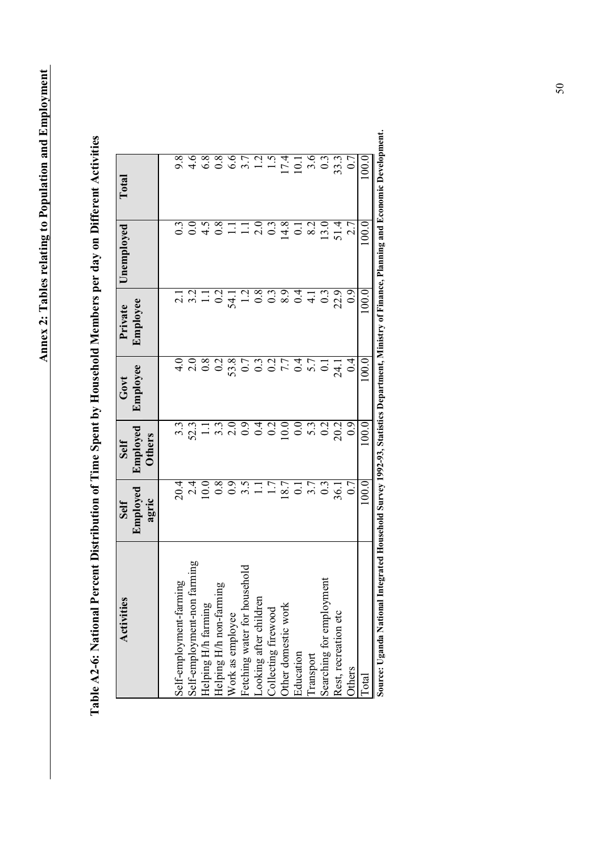| $\mathbf{e}$<br>Activiti       | Employed<br>agric<br>Self | Employed<br><b>Others</b><br>Self | Employee<br>Govt | Employee<br>Private | Jnemployed | Total                |
|--------------------------------|---------------------------|-----------------------------------|------------------|---------------------|------------|----------------------|
| Self-employment-farming        |                           |                                   |                  |                     |            |                      |
| Self-employment-nc             | 20209921122122122122      |                                   |                  |                     |            | 8.460641111196380011 |
| Helping H/h farming            |                           |                                   |                  |                     |            |                      |
| Helping H/h non-farming        |                           |                                   |                  |                     |            |                      |
| Work as employee               |                           |                                   |                  |                     |            |                      |
| ouseho<br>Fetching water for h |                           |                                   |                  |                     |            |                      |
| E,<br>Looking after childr     |                           |                                   |                  |                     |            |                      |
| Collecting firewood            |                           |                                   |                  |                     |            |                      |
| Other domestic worl            |                           |                                   |                  |                     |            |                      |
| Education                      |                           |                                   |                  |                     |            |                      |
| Transport                      |                           |                                   |                  |                     |            |                      |
| ymen<br>Searching for emplo    |                           |                                   |                  |                     |            |                      |
| Rest, recreation etc           |                           |                                   | $24.1$<br>0.4    |                     |            |                      |
| Others                         |                           |                                   |                  |                     |            |                      |
| Total                          | 100.0                     | 100.0                             | 0.00             | 0.00                | 00.0       | 0.00                 |

Table A2-6: National Percent Distribution of Time Spent by Household Members per day on Different Activities **Table A2-6: National Percent Distribution of Time Spent by Household Members per day on Different Activities**

Source: Uganda National Integrated Household Survey 1992-93, Statistics Department, Ministry of Finance, Planning and Economic Development. **Source: Uganda National Integrated Household Survey 1992-93, Statistics Department, Ministry of Finance, Planning and Economic Development.**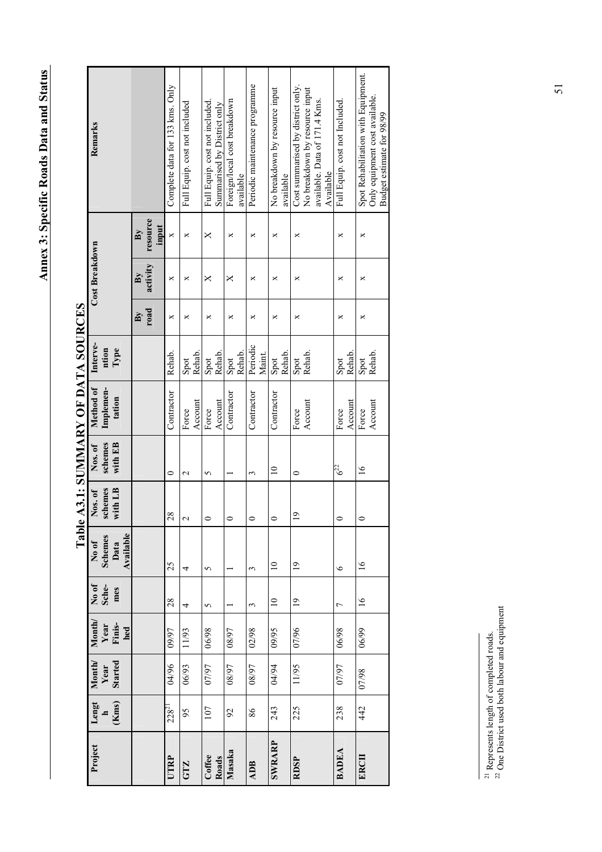Annex 3: Specific Roads Data and Status **Annex 3: Specific Roads Data and Status**

| Project         | Lengt<br>$h$ | Month/<br>Year | Month/                | No of<br>Sche-  | No of<br>Schemes  | Nos. of            | Nos. of              | Method of           | Interve-              |                | <b>Cost Breakdown</b> |                   | Remarks                             |  |
|-----------------|--------------|----------------|-----------------------|-----------------|-------------------|--------------------|----------------------|---------------------|-----------------------|----------------|-----------------------|-------------------|-------------------------------------|--|
|                 | (Kms)        | <b>Started</b> | Year<br>Finis-<br>hed | mes             | Available<br>Data | schemes<br>with LB | schemes<br>with EB   | Implemen-<br>tation | ntion<br>${\bf Type}$ |                |                       |                   |                                     |  |
|                 |              |                |                       |                 |                   |                    |                      |                     |                       | $\mathbf{B}$ y | $\mathbf{B}$          | $\mathbf{B}$      |                                     |  |
|                 |              |                |                       |                 |                   |                    |                      |                     |                       | road           | activity              | resource<br>input |                                     |  |
| UTRP            | $228^{21}$   | 04/96          | 09/97                 | 28              | 25                | 28                 | $\circ$              | Contractor          | Rehab.                | ×              | ×                     | ×                 | Complete data for 133 kms. Only     |  |
| <b>GTZ</b>      | 95           | 06/93          | 11/93                 | 4               | 4                 |                    | $\mathbf{\sim}$      | Force               | Spot                  | ×              | ×                     | ×                 | Full Equip. cost not included       |  |
|                 |              |                |                       |                 |                   |                    |                      | Account             | Rehab.                |                |                       |                   |                                     |  |
| Coffee<br>Roads | 107          | 07/97          | 86/90                 | 5               | 5                 |                    | 5                    | Force               | Spot                  | ×              | $\times$              | $\times$          | Full Equip. cost not included.      |  |
|                 |              |                |                       |                 |                   |                    |                      | Account             | Rehab.                |                |                       |                   | Summarised by District only         |  |
| Masaka          | 92           | 08/97          | 08/97                 |                 |                   |                    |                      | Contractor          | Spot                  | ×              | X                     | ×                 | Foreign/local cost breakdown        |  |
|                 |              |                |                       |                 |                   |                    |                      |                     | Rehab.                |                |                       |                   | available                           |  |
| ADB             | 86           | 08/97          | 02/98                 | 3               | 3                 |                    | $\mathbf{\tilde{c}}$ | Contractor          | Periodic              | ×              | ×                     | ×                 | Periodic maintenance programme      |  |
|                 |              |                |                       |                 |                   |                    |                      |                     | Maint.                |                |                       |                   |                                     |  |
| <b>SWRARP</b>   | 243          | 04/94          | 09/95                 | $\overline{a}$  | $\overline{a}$    |                    | $\overline{a}$       | Contractor          | Spot                  | ×              | ×                     | ×                 | No breakdown by resource input      |  |
|                 |              |                |                       |                 |                   |                    |                      |                     | Rehab.                |                |                       |                   | available                           |  |
| <b>RDSP</b>     | 225          | 11/95          | 07/96                 | $\overline{0}$  | $\overline{0}$    | $\overline{9}$     | $\circ$              | Force               | Spot<br>Rehab.        | ×              | ×                     | ×                 | Cost summarised by district only.   |  |
|                 |              |                |                       |                 |                   |                    |                      | Account             |                       |                |                       |                   | No breakdown by resource input      |  |
|                 |              |                |                       |                 |                   |                    |                      |                     |                       |                |                       |                   | available. Data of 171.4 Kms.       |  |
|                 |              |                |                       |                 |                   |                    |                      |                     |                       |                |                       |                   | Available                           |  |
| BADEA           | 238          | 07/97          | 06/98                 | $\overline{ }$  | ৩                 |                    | $6^{22}$             | Force               | Spot                  | ×              | ×                     | ×                 | Full Equip. cost not Included.      |  |
|                 |              |                |                       |                 |                   |                    |                      | Account             | Rehab.                |                |                       |                   |                                     |  |
| ERCII           | 442          | 07/98          | 66/90                 | $\overline{16}$ | $\frac{6}{2}$     |                    | $\frac{6}{2}$        | Force               | Spot                  | ×              | ×                     | ×                 | Spot Rehabilitation with Equipment. |  |
|                 |              |                |                       |                 |                   |                    |                      | Account             | Rehab.                |                |                       |                   | Only equipment cost available.      |  |
|                 |              |                |                       |                 |                   |                    |                      |                     |                       |                |                       |                   | Budget estimate for 98/99           |  |

Table A3.1: SUMMARY OF DATA SOURCES **Table A3.1: SUMMARY OF DATA SOURCES**

> $^{\rm 21}$  Represents length of completed roads.<br>  $^{\rm 22}$  One District used both labour and equipment 22 One District used both labour and equipment  $^{21}$  Represents length of completed roads.

51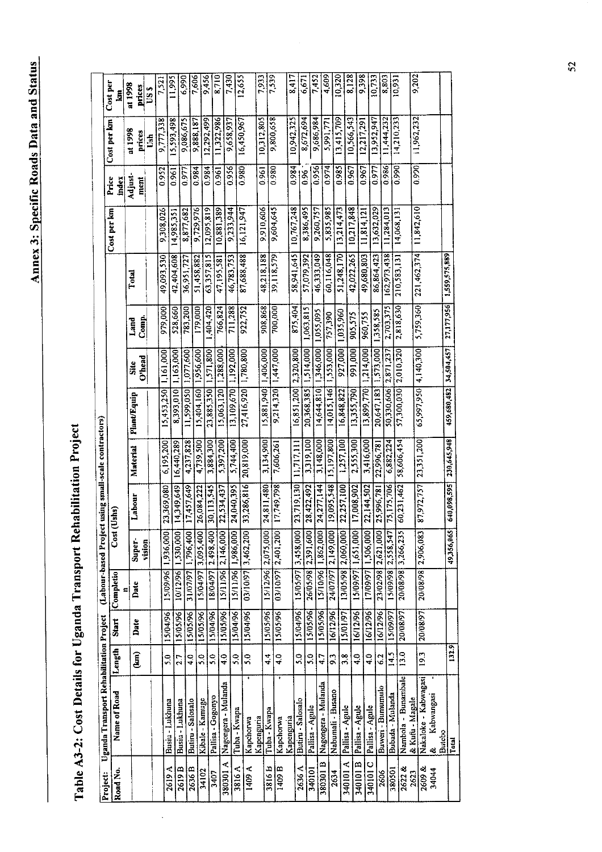Annex 3: Specific Roads Data and Status

Table A3-2: Cost Details for Uganda Transport Rehabilitation Project

 $\ddot{\phantom{0}}$ 

|                  | Uganda Transport Rehabilitation Project |                  |          |           | (Labour-based Project           |                          | using small-scale contractors) |             |             |            |               |              |               |                   |                   |
|------------------|-----------------------------------------|------------------|----------|-----------|---------------------------------|--------------------------|--------------------------------|-------------|-------------|------------|---------------|--------------|---------------|-------------------|-------------------|
| Project:         |                                         | Length           | Start    | Completio | Cost(                           | [shs                     |                                |             |             |            |               | Cost per lan | Price         | Cost per lan      | Cost per          |
| Road No.         | Name of Road                            |                  |          |           |                                 |                          |                                |             |             |            |               |              | index         |                   | S                 |
|                  |                                         | Ĵ                | Date     | Date      | Super-                          | Labour                   | Material                       | Plant/Equip | <b>Site</b> | Land       | Total         |              | Adjust        | at 1998<br>prices | at 1998<br>prices |
|                  |                                         |                  |          |           | vision                          |                          |                                |             | O'head      | Comp.      |               |              | ment          | ÍÍ                | US\$              |
|                  |                                         |                  |          | 15/09/96  | 1,936,000                       | 23,369,080               | 6,195,200                      | 15.453,250  | 1,161,000   | 979,000    | 49,093,530    | 9.308.026    | 0.952         | 9,777,338         | 7,521             |
| 2619 A           | Busiu - Lukhuna                         | $\overline{5.0}$ | 15/04/96 |           |                                 |                          | 16,440,289                     | 8,393,010   | 1,163,000   | 528,660    | 42,404,608    | 14,985,351   | 0.961         | 5,593,498         | 11,995            |
| 2619 B           | Busiu - Lukhuna                         | 2.7              | 15/05/96 | 10/12/96  | 1,530,000                       | 14,349,649               |                                | 11.599,050  | 1,077,600   | 783,200    | 36,951,727    | 8,877,682    | 1977          | 9,086,675         | 6,990             |
| 2636B            | Butiru - Salosalo                       | Q,               | 15/05/96 | 31/07/97  | 1,796,400                       | 17,457,649               | 4,237,828<br>4,739,500         | 15,404,160  | 1,956,600   | 179,000    | 51,458,882    | 9,729,976    | 0.984         | 9,888,187         | 7,606             |
| 34102            | Kibale - Kamuge                         | \$.0             | 15/05/96 | 15/04/97  | 3,095,400                       | 26,084,222               | 3,884,300                      | 23,885,350  | 1,571,800   | ,404,420   | 63,357,815    | 2,095,819    | 0.984         | 12.292.499        | 9,456             |
| $\frac{1}{3407}$ | Pallisa - Gogonyo                       | 5.0              | 15/04/96 |           | 18/04/97 2.498,400<br>2,146,000 | 22,534,437<br>30,113,545 | 5,397,200                      | 15,063,120  | 1,288,000   | 766,824    | 47,195,581    | 10,881,389   | 0.961         | 11,322,986        | 8,710             |
| 380301 A         | Nagongera - Mulanda                     | $\frac{0}{4}$    | 15/05/96 | 15/11/96  |                                 | 24,040,395               | 5,744,400                      | 13,109,670  | 1,192,000   | 711,288    | 46,783,753    | 9.233,944    | 0.956         | 9,658,937         | 7,430             |
| 3816 A           | Tuba - Kwapa                            | $\frac{1}{2}$    | 15/04/96 |           | 15/11/96 1,986,000              |                          |                                |             |             |            | 87,688,488    | 16,121,947   | 0.980         | 16,450,967        | 12,655            |
| 1409 A           | Kapchorwa                               | 5.0              | 15/04/96 |           | 03/10/97 3,462,200              | 33,286,816               | 20,819,000                     | 27,416,920  | 1,780,800   | 922,752    |               |              |               |                   |                   |
|                  | Kapenguria                              | 4.4              | 15/05/96 |           | 15/12/96 2,075,000              | 24,811,480               | 3,134,900                      | 15,881,940  | 1,406,000   | 908,868    | 48,218,188    | 9,910,606    | 0.961         | 10,312,805        | 7,933             |
| 3816 B           | Tuba - Kwapa                            | $\frac{0}{4}$    | 15/05/96 |           | 03/10/97 2,401,200              | 17,749,798               | 7,606,261                      | 9,214,320   | 1,447,000   | 700,000    | 39,118,579    | 9,604,645    | 0.980         | 9,800,658         | 7,539             |
| 1409 B           | Kapenguria<br>Kapchorwa                 |                  |          |           |                                 |                          |                                |             |             |            |               |              |               |                   |                   |
| 2636 A           | Butiru - Salosalo                       | 5.0              | 15/04/96 | IS/05/97  | 3,458,000                       | 23,719,130               | 11.717.111                     | 16,851,200  | 2,320,800   | 875,404    | 58,941,645    | 10.767,248   | 0.984         | 10.942.325        | 8,417             |
| 340101           |                                         | 5.0              | 15/05/96 |           | 26/05/98 2,391,600              | 28,422,492               | 3,319,100                      | 20,368,385  | 1,514,000   | 1,063,815  | 57,079,392    | 8,386,495    | $\frac{5}{6}$ | 8,672,694         | 6,671             |
| 380301B          | Nagongera - Mulanda<br>Pallisa - Agule  | $\overline{4.7}$ | 15/05/96 | 15/10/96  | 1,862,000                       | 24.277.144               | 3,148,000                      | 14,644,810  | 1,346,000   | 1,055,095  | 46,333,049    | 9,260,757    | 0.956         | 9,686,984         | 7,452             |
| 2634             | Nabumali - Busano                       | $\ddot{9}$       | 16/12/96 | 24/07/97  | 2,149,000                       | 19,095,548               | 15,197,800                     | 4,015,146   | 553,000     | 757,390    | 60,116,048    | 5,835,985    | 0.974         | 5,991,771         | 4,609             |
| 340101 A         | Pallisa - Agule                         | $\frac{8}{3}$    | 15/01/97 |           | 13/05/98 2,060,000              | 22,257,100               | 1,257,100                      | 16.848,822  | 927,000     | 1,035,960  | 51,248,170    | 3,214,473    | 0.985         | 13,415,709        | 10,320            |
| 340101B          | Pallisa - Agule                         | $\ddot{4.0}$     | 16/12/96 | 15/09/97  | 1,651,000                       | 17,008,902               | 2,555,300                      | 13,355,790  | 991,000     | 905.575    | 42,022,265    | 10.217,848   | 0.967         | 10,566,543        | 8,128             |
| 340101 C         | Pallisa - Agule                         | $\frac{1}{4}$    | 16/12/96 |           | 17/09/97 1,506,000              | 22,144,502               | 3,416,000                      | 13,899,770  | 1,214,000   | 960,755    | 49,680,803    | 11,814,121   | 0.967         | 12.217.29         | 9,398             |
| 2606             | Buweri - Burnumulo                      | 6.2              | 16/12/96 |           | 23/02/98 2,621,000              | 25,996,781               | 22,996,781                     | 20,647,183  | 1.573,000   | 1,358,585  | 86,864,423    | 13,632,029   | 0.977         | 13,952,947        | 10,733            |
| 380501           | Bubada - Mulanda                        | 14.5             | 15/09/97 | 15/09/98  | 2,558,547                       | 75,175,706               | 6,882.224                      | 50.330,606  | 2.871.237   | 2,703,375  | 162.973,438   | 11,284,013   | 0.986         | 11,444,232        | 8,803             |
| 2622 & 8         | Nambola - Bunambale                     | 13.0             | 20/08/97 |           | 20/08/98 3,266,235              | 60,231,462               | 58,606,454                     | 57,300,030  | 2,010,320   | 2,818,630  | 210,583,131   | 14,068,131   | 0.990         | 14,210,233        | 10,931            |
| 2623             | & Kufu - Magale                         |                  |          |           |                                 |                          |                                |             |             |            |               |              | 0.920         | 1,962,232         | 9,202             |
| 2609 &           | Nakaloke - Kabwagasi                    | 193              | 20/08/97 |           | 20/08/98 2,906,083              | 87,972,757               | 23,351,200                     | 65,997,950  | 4,140,300   | 5,759,360  | 221,462,374   | 11,842,610   |               |                   |                   |
| 34044            | Kabwangasi<br>ą,                        |                  |          |           |                                 |                          |                                |             |             |            |               |              |               |                   |                   |
|                  | Butebo                                  |                  |          |           |                                 | 640,098,595              | 230,645,948                    | 459,680,482 | 34,504,457  | 27,177,956 | 1,559,575,889 |              |               |                   |                   |
|                  | <b>Total</b>                            | 132.9            |          |           | 49,356,065                      |                          |                                |             |             |            |               |              |               |                   |                   |

52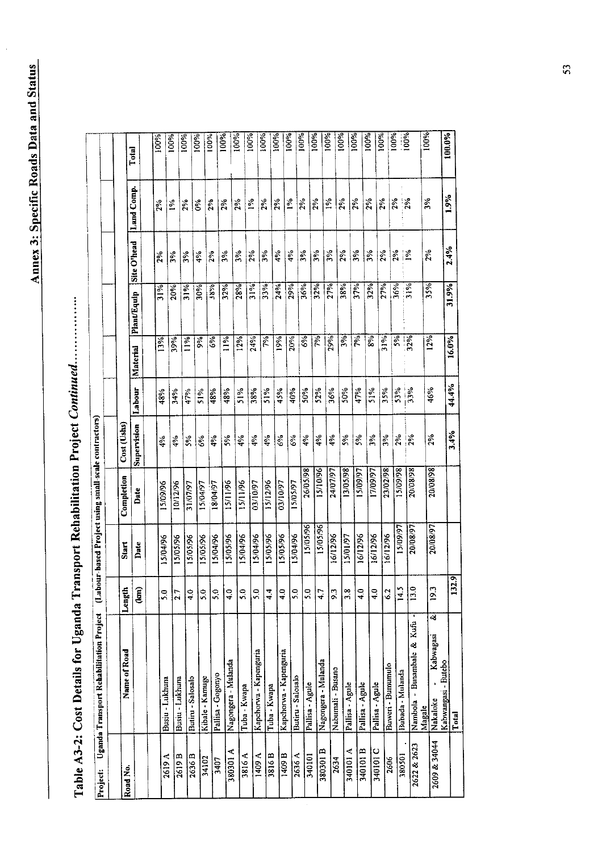| Project:            | Uganda Transport Rehabilitation Project |                         |          | (Labour-based Project using small-scale contractors) |                       |        |          |             |                     |            |              |
|---------------------|-----------------------------------------|-------------------------|----------|------------------------------------------------------|-----------------------|--------|----------|-------------|---------------------|------------|--------------|
|                     |                                         |                         |          |                                                      |                       |        |          |             |                     |            |              |
| Road No.            | Name of Road                            | Length                  | Start    | Completion                                           | Cost (Ushs)           |        |          |             |                     |            |              |
|                     |                                         | $\widehat{a}$           | Date     | Date                                                 | Supervision           | Labour | Material | Plant/Equip | Site O'head         | Land Comp. | Total        |
|                     |                                         |                         |          |                                                      |                       |        |          |             |                     |            |              |
| 2619 A              | Busiu - Lukhuna                         | $\overline{5}$ .        | 15/04/96 | 15/09/96                                             | 4%                    | 48%    | 13%      | 31%         | 2%                  | 2%         | 100%         |
| 2619 B              | Busiu - Lukhuna                         | 2.7                     | 15/05/96 | 10/12/96                                             | 4%                    | 34%    | 39%      | 20%         | 3%                  | 1%         | 100%         |
| 2636B               | Butinu - Salosalo                       | 4.0                     | 15/05/96 | 31/07/97                                             | 5%                    | 47%    | 11%      | 51%         | 3%                  | 2%         | 100%         |
| 34102               | Kibale - Kamuge                         | 5.0                     | 5/05/96  | 15/04/97                                             | $6\%$                 | 51%    | 9%       | 30%         | 4%                  | $6\%$      | 100%         |
| 3407                | Pallisa - Gogonyo                       | $\frac{0}{2}$           | 15/04/96 | 18/04/97                                             | 4%                    | 48%    | 6%       | 38%         | 2%                  | 2%         | 100%         |
| 380301 A            | Nagongera - Mulanda                     | 4.0                     | 15/05/96 | 15/11/96                                             | 5%                    | 48%    | 11%      | 32%         | 3%                  | 2%         | 100%         |
| 3816 A              | Tuba - Kwapa                            | $\overline{5.0}$        | 15/04/96 | 15/11/96                                             | 4%                    | 51%    | 12%      | 28%         | 3%                  | 2%         | 100%         |
| 1409 A              | Kapchorwa - Kapenguria                  | 5.0                     | 15/04/96 | 03/10/97                                             | 4%                    | 38%    | 24%      | 31%         | 2%                  | $1\%$      | 100%         |
| 3816 B              | Tuba - Kwapa                            | 4.4                     | 15/05/96 | 15/12/96                                             | 4%                    | 51%    | 7%       | 33%         | 3%                  | 2%         | 100%         |
| 1409 B              | Kapchorwa - Kapenguria                  | $\frac{6}{4}$           | 5/05/96  | 03/10/97                                             | 6%                    | 45%    | 19%      | 24%         | 4%                  | 2%         | 100%         |
| 2636 A              | Butiru - Salosalo                       | 5.0                     | 15/04/96 | 15/05/97                                             | $6\%$                 | 40%    | 20%      | 29%         | 4%                  | 1%         | 100%         |
| 340101              | Pallisa - Agule                         | 5.0                     | 15/05/96 | 26/05/98                                             | 4%                    | 50%    | 6%       | 36%         | 3%                  | 2%         | 100%         |
| 380301 <sub>B</sub> | Nagongera - Mulanda                     | 4.7                     | 15/05/96 | 15/10/96                                             | 4%                    | 52%    | 7%       | 32%         | 3%                  | 2%         | 100%         |
| 2634                | Nabumali - Busano                       | $\overline{\mathbf{S}}$ | 16/12/96 | 24/07/97                                             | 4%                    | 16%    | 29%      | 27%         | 3%                  | 196        | 100%         |
| 340101 A            | Pallisa - Agule                         | 3.8                     | 15/01/97 | 13/05/98                                             | 5%                    | 50%    | 3%       | 38%         | 2%                  | $2\%$      | 100%         |
| 340101 <sub>B</sub> | Pallisa - Agule                         | 4.0                     | 16/12/96 | 15/09/97                                             | $\tilde{\mathcal{E}}$ | 47%    | 7%       | 37%         | 3%                  | 2%         | 100%         |
| 340101 C            | Pallisa - Agule                         | 4.0                     | 16/12/96 | 17/09/97                                             | 3%                    | 51%    | 8%       | 32%         | 3%                  | $2\%$      | 100%<br>100% |
| 2606                | Buweri - Bumumulo                       | 6.2                     | 16/12/96 | 23/02/98                                             | 3%                    | 35%    | 31%      | 27%         | 2%                  | 2%         | 100%         |
| 380501              | Buhada - Mulanda                        | 14.5                    | 15/09/97 | 15/09/98                                             | $2\%$                 | 53%    | 5%       | 36%         | 2%<br>$\frac{1}{2}$ | 2%<br>2%   | 100%         |
| 2622 & 2623         | Nambola - Bunambale & Kufu<br>Magale    | $\frac{0}{20}$          | 20/08/97 | 20/08/98                                             | 2%                    | 33%    | 32%      | 31%         |                     |            |              |
| 2609 & 34044        | એ<br>Kabwagasi<br>Nakaloke              | 19.3                    | 20/08/97 | 20/08/98                                             | 2%                    | 46%    | 12%      | 35%         | 2%                  | 3%         | 100%         |
|                     | Kabwangasi - Butebo<br>Total            | 132.9                   |          |                                                      | 3.4%                  | 44.4%  | 16.0%    | 31.9%       | 2.4%                | 1.9%       | 100.0%       |

 $\hat{\boldsymbol{\theta}}$ 

## Table A3-2: Cost Details for Uganda Transport Rehabilitation Project Continued......................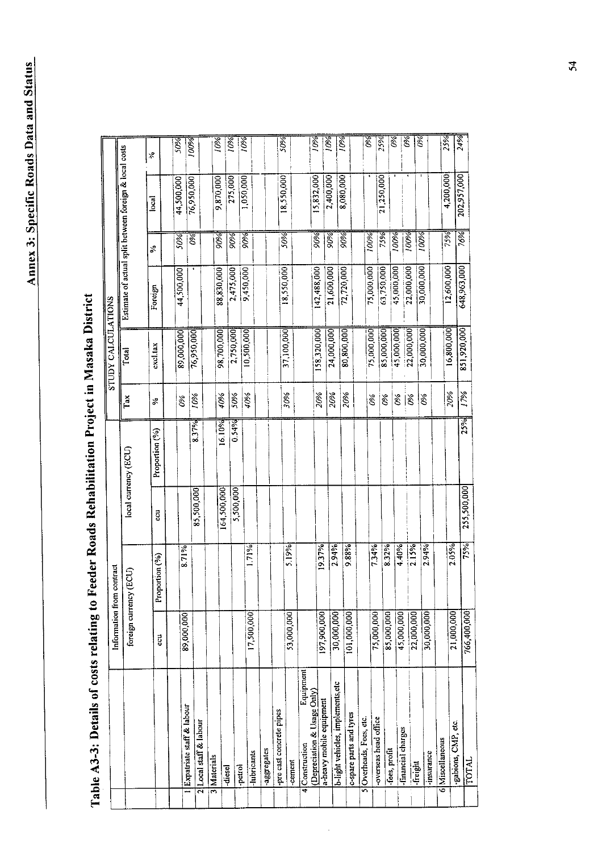|                                                         | Information from | contract               |             |                      |                          | STUDY CALCULATIONS |                                                        |                            |             |                 |
|---------------------------------------------------------|------------------|------------------------|-------------|----------------------|--------------------------|--------------------|--------------------------------------------------------|----------------------------|-------------|-----------------|
|                                                         |                  | foreign currency (ECU) |             | local currency (ECU) | $\Gamma$ ax              | Total              | Estimate of actual split between foreign & local costs |                            |             |                 |
|                                                         | g                | Proportion (%)         | g           | Proportion (%)       | ☆                        | excl.tax           | Foreign                                                | $\mathcal{S}_{\mathbf{0}}$ | local       | $\mathbf{x}$    |
|                                                         |                  |                        |             |                      |                          |                    |                                                        |                            |             |                 |
| Expatriate staff & labour                               | 89,000,000       | 8.71%                  |             |                      | 0%                       | 89,000,000         | 44,500,000                                             | 50%                        | 44,500,000  | 50%             |
| 2 Local staff & labour                                  |                  |                        | 85,500,000  | 8.37%                | 10%                      | 76,950,000         |                                                        | E                          | 76,950,000  | 100%            |
| 3 Materials                                             |                  |                        |             |                      |                          |                    |                                                        |                            | 9,870,000   | ğ               |
| diesel                                                  |                  |                        | 164,500,000 | 16.10%               | 40%                      | 98,700,000         | 88,830,000                                             | 90%                        |             |                 |
| -petrol                                                 |                  |                        | 5,500,000   | 0.54%                | 50%                      | 2,750,000          | 2,475,000                                              | ००६                        | 275,000     | 10%             |
| -lubricants                                             | 17,500,000       | 1.71%                  |             |                      | 40%                      | 10,500,000         | 9,450,000                                              | 90%                        | 1,050,000   | šő.             |
| -aggregates                                             |                  |                        |             |                      |                          |                    |                                                        |                            |             |                 |
| -pre cast concrete pipes                                |                  |                        |             |                      |                          |                    |                                                        |                            | 18,550,000  | 50%             |
| -cement                                                 | 53,000,000       | 5.19%                  |             |                      | 30%                      | 37,100,000         | 18,550,000                                             | 50%                        |             |                 |
| Equipment<br>4 Construction                             |                  |                        |             |                      |                          |                    |                                                        |                            |             |                 |
| (Depreciation & Usage Only)<br>a-heavy mobile equipment | 197,900,000      | 19.37%                 |             |                      | 20%                      | 158,320,000        | 142,488,000                                            | 90%                        | 15,832,000  | 10%             |
| b-light vehicles, implements, etc                       | 30,000,000       | 2.94%                  |             |                      | 20%                      | 24,000,000         | 21,600,000                                             | ९९९                        | 2,400,000   | šő.             |
| c-spare parts and tyres                                 | 101,000,000      | 9.88%                  |             |                      | 20%                      | 80,800,000         | 72,720,000                                             | 90%                        | 8,080,000   | <u>i 0%</u>     |
| 5 Overheads, Fees, etc.                                 |                  |                        |             |                      |                          |                    |                                                        |                            |             | Š               |
| -overseas head office                                   | 75,000,000       | 7.34%                  |             |                      | 0%                       | 75,000,000         | 75,000,000                                             | 100%                       | 21,250,000  | 25%             |
| fees, profit                                            | 85,000,000       | 8.32%                  |             |                      | 9%                       | 85,000,000         | 63,750,000<br>45,000,000                               | 75%<br>100%                |             | \$              |
| -financial charges                                      | 45,000,000       | 4.40%                  |             |                      | 0%                       | 45,000,000         | 22,000,000                                             | 100%                       |             | È               |
| -freight                                                | 22,000,000       | 2.15%                  |             |                      | $\overline{\mathscr{E}}$ | 22,000,000         |                                                        |                            |             | S,              |
| -insurance                                              | 30,000,000       | 2.94%                  |             |                      | O <sub>6</sub>           | 30,000,000         | 30,000,000                                             | 100%                       |             |                 |
| 6 Miscellaneous                                         |                  |                        |             |                      |                          |                    | 12,600,000                                             | 75%                        | 4,200,000   | $\frac{38}{25}$ |
| gabions, CMP, etc.                                      | 21,000,000       | 2.05%                  |             |                      | 20%                      | 16,800,000         |                                                        |                            | 202,957,000 | 249             |
| TOTAL                                                   | 766,400,000      | 75%                    | 255,500,000 | 25%                  | 17%                      | 851,920,000        | 648,963,000                                            | $\sqrt{6\%}$               |             |                 |

# Table A3-3: Details of costs relating to Feeder Roads Rehabilitation Project in Masaka District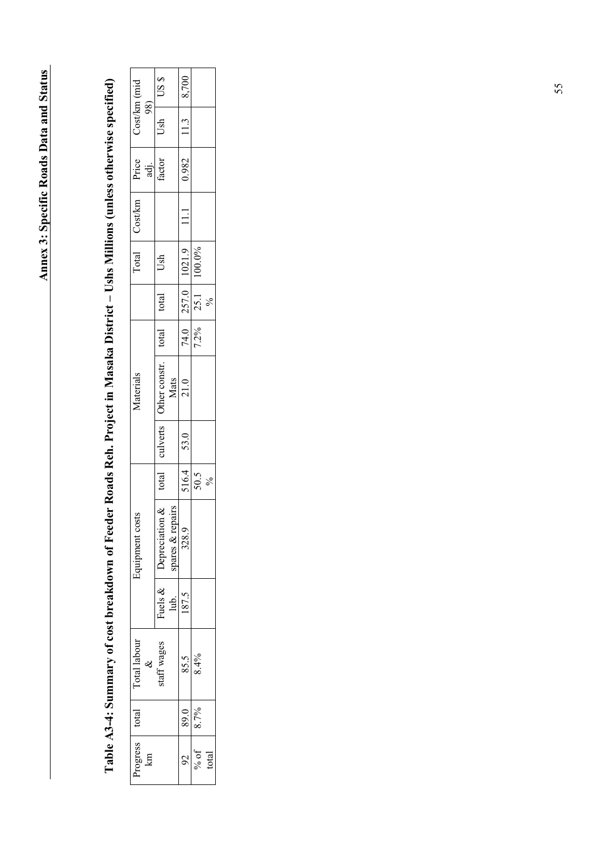|                                | US\$                                                       |                   |                         |       |
|--------------------------------|------------------------------------------------------------|-------------------|-------------------------|-------|
| Cost/km (mid<br>98)            | Ush                                                        | $11.3$ 8,700      |                         |       |
| Price<br>adj.                  | factor                                                     | 0.982             |                         |       |
| Total Cost/km                  |                                                            | 11.1              |                         |       |
|                                | Ush                                                        | 74.0 257.0 1021.9 | $7.2\%$   25.1   100.0% |       |
|                                | total                                                      |                   |                         |       |
|                                | total                                                      |                   |                         |       |
| Materials                      | total   culverts   Other constr.<br>Mats_                  | $21.0$            |                         |       |
|                                |                                                            | 516.4 53.0        |                         |       |
|                                |                                                            |                   | 50.5                    | $\%$  |
| auipment costs                 | on $\&$<br>pairs<br>spares $&$ rep<br>Fuels & Pepreciation | 328.9             |                         |       |
|                                | lub.                                                       | 187.5             |                         |       |
| rogress   total   Total labour | taff wages                                                 | 85.5              | 8.4%                    |       |
|                                |                                                            | 89.0              | % of $8.7%$             |       |
| $\Xi$                          |                                                            |                   |                         | total |

### Table A3-4: Summary of cost breakdown of Feeder Roads Reh. Project in Masaka District - Ushs Millions (unless otherwise specified) **Table A3-4: Summary of cost breakdown of Feeder Roads Reh. Project in Masaka District – Ushs Millions (unless otherwise specified)**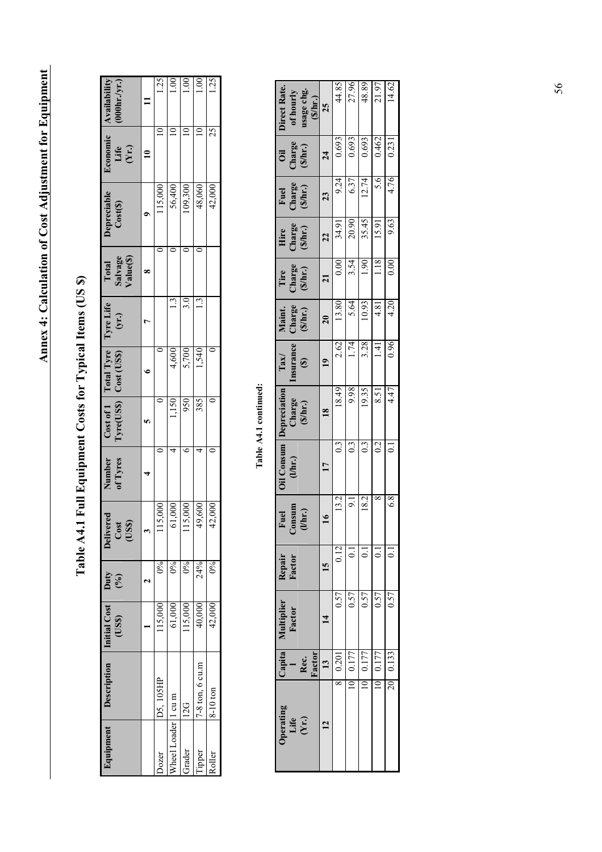| Iquipment                       | Description       | Initial Cost Duty<br>(USS) (%) |                  | ered<br>$\frac{\text{Cost}}{\text{USS}}$<br>Delive | Number<br>of Tyres |       | $\begin{array}{cc} Cost of 1 & Total Type & Type Life \ \text{TyreUSS} & Cost (USS) & (yr.) \end{array}$ |               | Total<br>Salvage<br>Value(\$) | Depreciable<br>Cost(\$) | Economic<br>Life<br>(Yr.) | $(000 \text{hr./yr.})$<br>Availability |
|---------------------------------|-------------------|--------------------------------|------------------|----------------------------------------------------|--------------------|-------|----------------------------------------------------------------------------------------------------------|---------------|-------------------------------|-------------------------|---------------------------|----------------------------------------|
|                                 |                   |                                |                  |                                                    |                    |       | c                                                                                                        |               | ×                             |                         | ₿                         |                                        |
| <b>bozer</b>                    | D5, 105HP         | 15,000                         | $\delta^{\circ}$ | 15,000                                             |                    |       |                                                                                                          |               |                               | 115,000                 |                           | 1.25                                   |
| Theel Loader <sup>[1 cu m</sup> |                   | 61,000                         | $5\%$            | 61,000                                             |                    | 1,150 | 4,600                                                                                                    | $\frac{3}{2}$ |                               | 56,400                  |                           |                                        |
| <b>Frader</b>                   | 12G               | 15,000                         | $0\%$            | 15,000                                             |                    | 950   | 5,700                                                                                                    |               |                               | 109,300                 |                           | š                                      |
| ipper                           | $7-8$ ton, 6 cu.m | 40,000                         | 24%              | 49,600                                             |                    | 385   | 1,540                                                                                                    |               |                               | 48,060                  |                           | $\sum_{i=1}^{\infty}$                  |
| <b>Roller</b>                   | 8-10 ton          | 42,000                         | $0\%$            | 42,000                                             |                    |       |                                                                                                          |               |                               | 42,000                  |                           | .25                                    |

### Table A4.1 Full Equipment Costs for Typical Items (US \$) **Table A4.1 Full Equipment Costs for Typical Items (US \$)**

### Table A4.1 continued: **Table A4.1 continued:**

| 25              |                                    |                                                         | 48.89                                                                                                           | 21.97                                                                                | 14.62               |
|-----------------|------------------------------------|---------------------------------------------------------|-----------------------------------------------------------------------------------------------------------------|--------------------------------------------------------------------------------------|---------------------|
| $\overline{24}$ |                                    |                                                         |                                                                                                                 |                                                                                      | 0.231               |
| 23              |                                    |                                                         |                                                                                                                 | 5.6                                                                                  | 4.76                |
| 22              | 34.91                              |                                                         |                                                                                                                 | 15.91                                                                                | 9.63                |
| $\overline{21}$ |                                    |                                                         |                                                                                                                 | 1.18                                                                                 | 0.00                |
| $\overline{20}$ |                                    |                                                         | 10.93                                                                                                           | 4.81                                                                                 | 4.20                |
| $\overline{a}$  |                                    |                                                         |                                                                                                                 | $\vec{=}$                                                                            | 0.96                |
| $\overline{18}$ |                                    | 9.98                                                    | 19.35                                                                                                           | 8.5                                                                                  | 4.47                |
| $\overline{17}$ | $0.\overline{3}$                   | 0.3                                                     | $0.\overline{3}$                                                                                                | 0.2                                                                                  | $\bar{\circ}$       |
| $\overline{16}$ |                                    | 9.1                                                     |                                                                                                                 |                                                                                      | 6.8                 |
| 15              | 0.12                               |                                                         |                                                                                                                 |                                                                                      |                     |
| $\mathbf{1}$    | 0.57                               | 0.57                                                    | 0.57                                                                                                            | 0.57                                                                                 | 0.57                |
| 13              | 0.201                              | 0.177                                                   | 0.177                                                                                                           | 0.177                                                                                | 20 0.133            |
|                 |                                    |                                                         |                                                                                                                 |                                                                                      |                     |
|                 | of hourly<br>usage chg.<br>(S/hr.) | 0.693<br>9.24<br>0.00<br>13.80<br>2.62<br>18.49<br>13.2 | 44.85<br>0.693<br>$6.37$ <sup><math>1</math></sup><br>20.90<br>3.54<br>5.64<br>1.74<br>$\overline{\phantom{a}}$ | 27.96<br>0.693<br>12.74<br>35.45<br>1.90<br>3.28<br>18.2<br>$\overline{\phantom{a}}$ | 0.462<br>$\epsilon$ |

56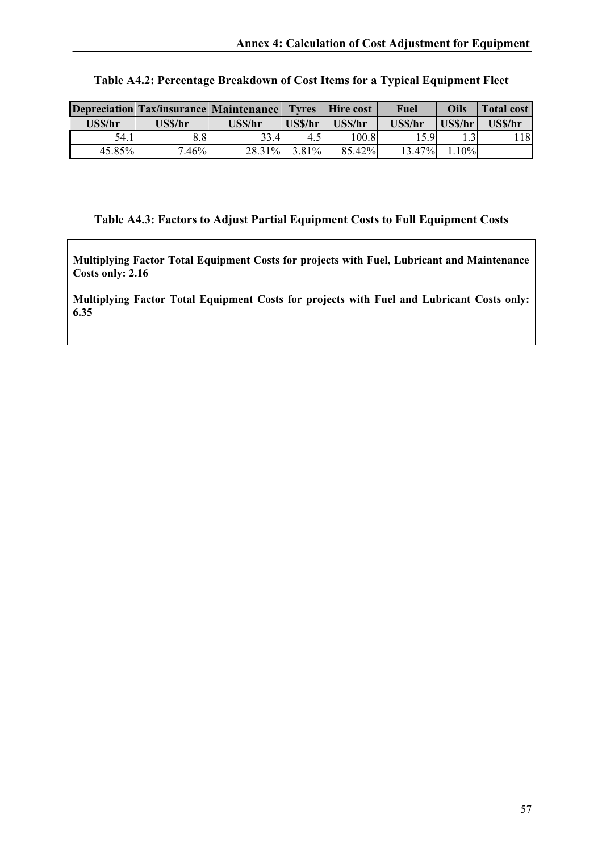|         |          | <b>Depreciation Tax/insurance Maintenance Tyres</b> |         | <b>Hire cost</b> | Fuel           | Oils    | <b>Total cost</b> |
|---------|----------|-----------------------------------------------------|---------|------------------|----------------|---------|-------------------|
| US\$/hr | US\$/hr  | US\$/hr                                             | US\$/hr | US\$/hr          | <b>US\$/hr</b> | US\$/hr | US\$/hr           |
| 54.1    | 8.8      | 33.4                                                | 4.5     | 100.8            | 15.9           |         | 118               |
| 45.85%  | $7.46\%$ | $28.31\%$                                           | 3.81%   | 85.42%           | 13.47%         | 10%     |                   |

### **Table A4.2: Percentage Breakdown of Cost Items for a Typical Equipment Fleet**

### **Table A4.3: Factors to Adjust Partial Equipment Costs to Full Equipment Costs**

**Multiplying Factor Total Equipment Costs for projects with Fuel, Lubricant and Maintenance Costs only: 2.16**

**Multiplying Factor Total Equipment Costs for projects with Fuel and Lubricant Costs only: 6.35**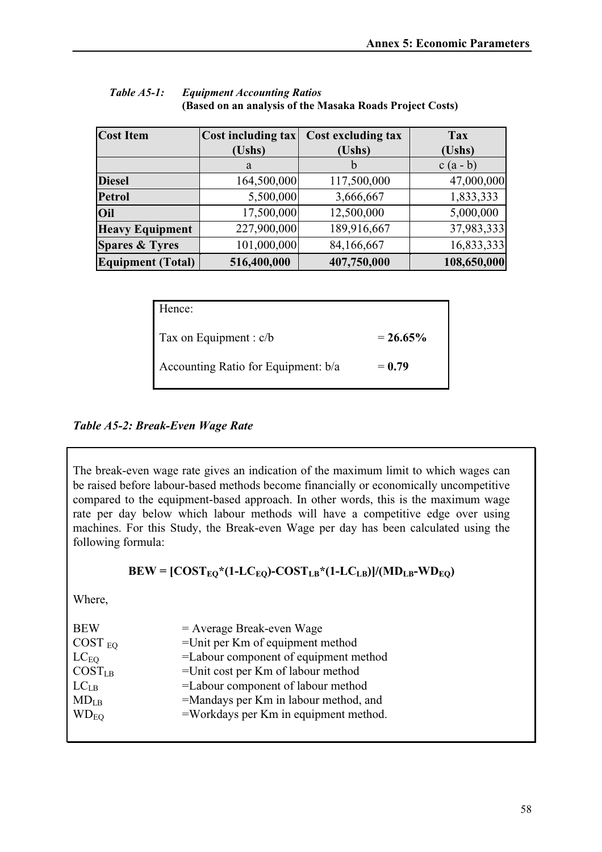| <b>Cost Item</b>          | Cost including tax<br>(Ushs) | Cost excluding tax<br>(Ushs) | <b>Tax</b><br>(Ushs) |
|---------------------------|------------------------------|------------------------------|----------------------|
|                           | a                            | b                            | $c(a-b)$             |
| <b>Diesel</b>             | 164,500,000                  | 117,500,000                  | 47,000,000           |
| <b>Petrol</b>             | 5,500,000                    | 3,666,667                    | 1,833,333            |
| Oil                       | 17,500,000                   | 12,500,000                   | 5,000,000            |
| <b>Heavy Equipment</b>    | 227,900,000                  | 189,916,667                  | 37,983,333           |
| <b>Spares &amp; Tyres</b> | 101,000,000                  | 84,166,667                   | 16,833,333           |
| <b>Equipment (Total)</b>  | 516,400,000                  | 407,750,000                  | 108,650,000          |

| Table A5-1: | <b>Equipment Accounting Ratios</b>                       |
|-------------|----------------------------------------------------------|
|             | (Based on an analysis of the Masaka Roads Project Costs) |

| Hence:                              |             |
|-------------------------------------|-------------|
| Tax on Equipment : c/b              | $= 26.65\%$ |
| Accounting Ratio for Equipment: b/a | $= 0.79$    |

*Table A5-2: Break-Even Wage Rate*

The break-even wage rate gives an indication of the maximum limit to which wages can be raised before labour-based methods become financially or economically uncompetitive compared to the equipment-based approach. In other words, this is the maximum wage rate per day below which labour methods will have a competitive edge over using machines. For this Study, the Break-even Wage per day has been calculated using the following formula:

 $BEW = [COST<sub>EO</sub>*(1-LC<sub>EO</sub>)-COST<sub>LB</sub>*(1-LC<sub>LB</sub>)]/(MD<sub>LB</sub>-WD<sub>EO</sub>)$ 

Where,

| <b>BEW</b>         | $=$ Average Break-even Wage           |
|--------------------|---------------------------------------|
| COST <sub>EO</sub> | $=$ Unit per Km of equipment method   |
| $LC_{EO}$          | =Labour component of equipment method |
| COST <sub>LB</sub> | =Unit cost per Km of labour method    |
| $LC_{LB}$          | =Labour component of labour method    |
| MD <sub>LB</sub>   | =Mandays per Km in labour method, and |
| WD <sub>EO</sub>   | =Workdays per Km in equipment method. |
|                    |                                       |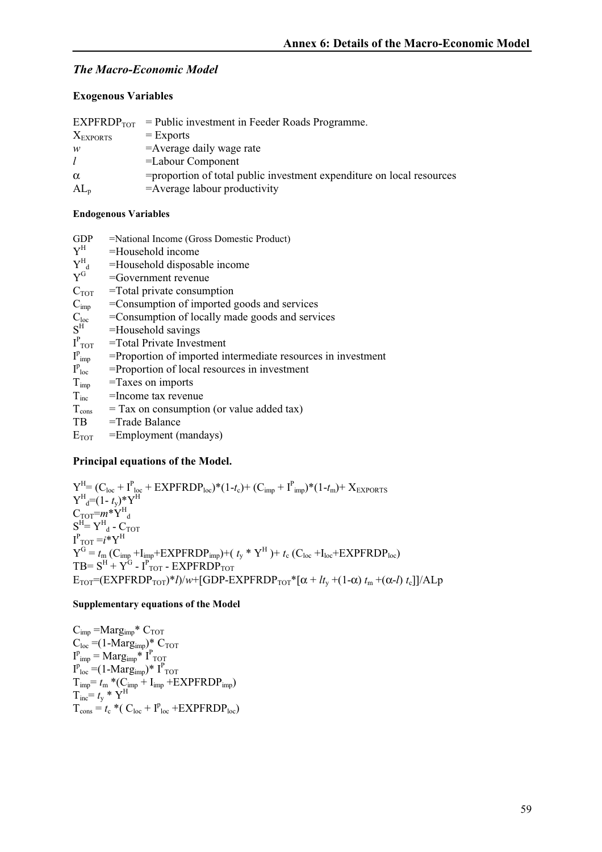### *The Macro-Economic Model*

### **Exogenous Variables**

|                 | $EXPFRDPTOT$ = Public investment in Feeder Roads Programme.           |
|-----------------|-----------------------------------------------------------------------|
| <b>XEXPORTS</b> | $=$ Exports                                                           |
| w               | $=$ Average daily wage rate                                           |
| l               | $=$ Labour Component                                                  |
| $\alpha$        | =proportion of total public investment expenditure on local resources |
| $AL_{p}$        | $=$ Average labour productivity                                       |

### **Endogenous Variables**

| <b>GDP</b>                   | =National Income (Gross Domestic Product)                    |
|------------------------------|--------------------------------------------------------------|
| $V^H$                        | =Household income                                            |
| $Y_{G}^{H}$                  | =Household disposable income                                 |
|                              | $=$ Government revenue                                       |
| $C_{TOT}$                    | $=$ Total private consumption                                |
| $C_{imp}$                    | =Consumption of imported goods and services                  |
| $\frac{C_{\text{loc}}}{S^H}$ | =Consumption of locally made goods and services              |
|                              | =Household savings                                           |
| $I^{P}_{TOT}$                | $=$ Total Private Investment                                 |
| $I^p$ <sub>imp</sub>         | =Proportion of imported intermediate resources in investment |
| $I^p_{\ \,loc}$              | =Proportion of local resources in investment                 |
| $T_{\text{imp}}$             | $=$ Taxes on imports                                         |
| $T_{inc}$                    | $=$ Income tax revenue                                       |
| $T_{\rm cons}$               | $=$ Tax on consumption (or value added tax)                  |
|                              | TB = Trade Balance                                           |
| $E_{TOT}$                    | $=$ Employment (mandays)                                     |
|                              |                                                              |

### **Principal equations of the Model.**

 $\text{Y}^{\text{H}} = (\text{C}_{\text{loc}} + \text{I}_{\text{loc}}^{\text{P}} + \text{EXPFRDP}_{\text{loc}})^*(1\text{-}t_{\text{c}}) + (\text{C}_{\text{imp}} + \text{I}_{\text{imp}}^{\text{P}})^*(1\text{-}t_{\text{m}}) + \text{X}_{\text{EXPORTS}}$  $Y_{d}^{H}$ =(1- *t*<sub>y</sub>)\*</sub>Y<sup>H</sup> C<sub>TOT</sub>=m\*Y<sup>H</sup><sub>d</sub><br>S<sup>H</sup>= Y<sup>H</sup><sub>d</sub> - C<sub>TOT</sub>  $I_{\text{TOT}}^{\text{P}} = i^*Y^{\text{H}}$  $\text{Y}^{\text{G}} = t_{\text{m}} \left( \text{C}_{\text{imp}} + \text{I}_{\text{imp}} + \text{EXPFRDP}_{\text{imp}} \right) + (t_{\text{y}} * \text{Y}^{\text{H}}) + t_{\text{c}} \left( \text{C}_{\text{loc}} + \text{I}_{\text{loc}} + \text{EXPFRDP}_{\text{loc}} \right)$  $TB = S^H + Y^G - I^P_{TOT} - EXPFRDP_{TOT}$  $E_{TOT}=(EXPFRDP_{TOT})*l/w+[GDP-EXPFRDP_{TOT}*[\alpha + lt_v+(1-\alpha) t_m+(\alpha-l) t_c]]/ALp$ 

### **Supplementary equations of the Model**

 $C_{imp} = Marg_{imp} * C_{TOT}$  $\mathrm{C_{loc}}$  =(1-Marg<sub>imp</sub>)\*  $\mathrm{C_{TOT}}$  $I^p_{\text{imp}} = \text{Marg}_{\text{imp}} * I^p_{\text{TOT}}$  $I_{\text{loc}}^{\text{p}} = (1 - \text{Marg}_{\text{imp}})^* I_{\text{TOT}}^{\text{p}}$  $T_{\text{imp}} = t_{\text{m}} * (C_{\text{imp}} + I_{\text{imp}} + EXPFRDP_{\text{imp}})$  $T_{inc} = t_y * Y^H$  $T_{\text{cons}} = t_{\text{c}} * (C_{\text{loc}} + I_{\text{loc}}^{\text{p}} + EXPFRDP_{\text{loc}})$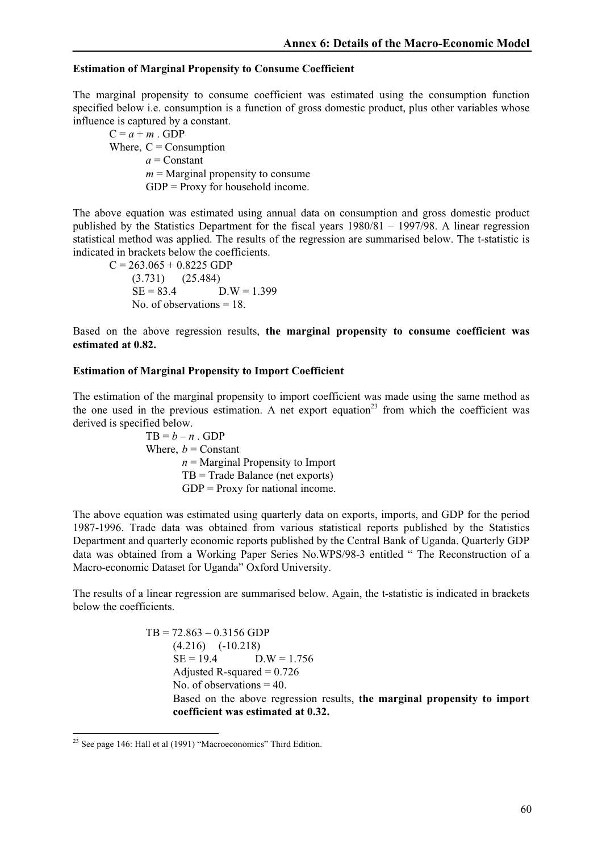### **Estimation of Marginal Propensity to Consume Coefficient**

The marginal propensity to consume coefficient was estimated using the consumption function specified below i.e. consumption is a function of gross domestic product, plus other variables whose influence is captured by a constant.

 $C = a + m$ . GDP Where,  $C =$  Consumption  $a =$ Constant  $m =$ Marginal propensity to consume GDP = Proxy for household income.

The above equation was estimated using annual data on consumption and gross domestic product published by the Statistics Department for the fiscal years 1980/81 – 1997/98. A linear regression statistical method was applied. The results of the regression are summarised below. The t-statistic is indicated in brackets below the coefficients.

 $C = 263.065 + 0.8225$  GDP (3.731) (25.484)  $SE = 83.4$  D.W = 1.399 No. of observations = 18.

Based on the above regression results, **the marginal propensity to consume coefficient was estimated at 0.82.**

### **Estimation of Marginal Propensity to Import Coefficient**

The estimation of the marginal propensity to import coefficient was made using the same method as the one used in the previous estimation. A net export equation<sup>23</sup> from which the coefficient was derived is specified below.

> $TB = b - n$ . GDP Where,  $b =$  Constant  $n =$ Marginal Propensity to Import TB = Trade Balance (net exports)  $GDP = Proxy$  for national income.

The above equation was estimated using quarterly data on exports, imports, and GDP for the period 1987-1996. Trade data was obtained from various statistical reports published by the Statistics Department and quarterly economic reports published by the Central Bank of Uganda. Quarterly GDP data was obtained from a Working Paper Series No.WPS/98-3 entitled " The Reconstruction of a Macro-economic Dataset for Uganda" Oxford University.

The results of a linear regression are summarised below. Again, the t-statistic is indicated in brackets below the coefficients.

> $TB = 72.863 - 0.3156$  GDP (4.216) (-10.218)  $SE = 19.4$  D.W = 1.756 Adjusted R-squared  $= 0.726$ No. of observations  $= 40$ . Based on the above regression results, **the marginal propensity to import coefficient was estimated at 0.32.**

 $23$  See page 146: Hall et al (1991) "Macroeconomics" Third Edition.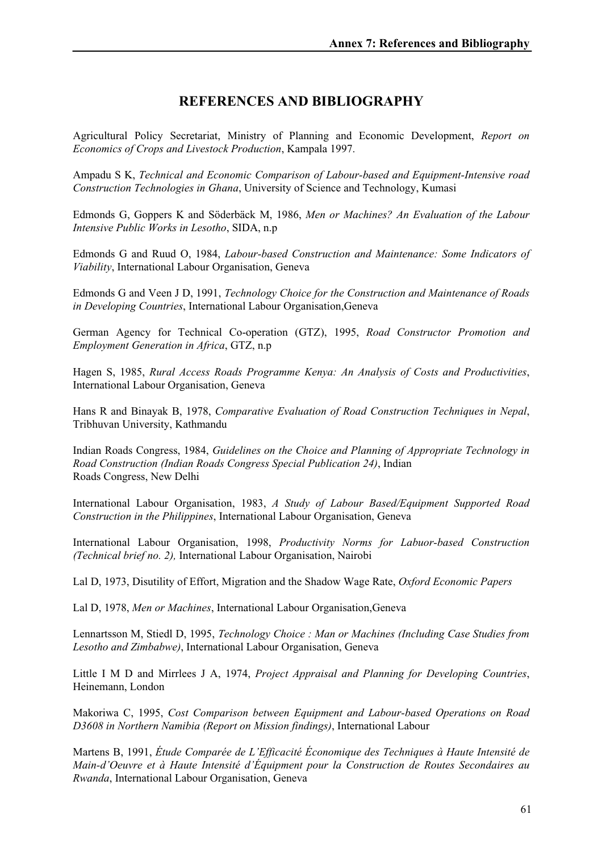### **REFERENCES AND BIBLIOGRAPHY**

Agricultural Policy Secretariat, Ministry of Planning and Economic Development, *Report on Economics of Crops and Livestock Production*, Kampala 1997.

Ampadu S K, *Technical and Economic Comparison of Labour-based and Equipment-Intensive road Construction Technologies in Ghana*, University of Science and Technology, Kumasi

Edmonds G, Goppers K and Söderbäck M, 1986, *Men or Machines? An Evaluation of the Labour Intensive Public Works in Lesotho*, SIDA, n.p

Edmonds G and Ruud O, 1984, *Labour-based Construction and Maintenance: Some Indicators of Viability*, International Labour Organisation, Geneva

Edmonds G and Veen J D, 1991, *Technology Choice for the Construction and Maintenance of Roads in Developing Countries*, International Labour Organisation,Geneva

German Agency for Technical Co-operation (GTZ), 1995, *Road Constructor Promotion and Employment Generation in Africa*, GTZ, n.p

Hagen S, 1985, *Rural Access Roads Programme Kenya: An Analysis of Costs and Productivities*, International Labour Organisation, Geneva

Hans R and Binayak B, 1978, *Comparative Evaluation of Road Construction Techniques in Nepal*, Tribhuvan University, Kathmandu

Indian Roads Congress, 1984, *Guidelines on the Choice and Planning of Appropriate Technology in Road Construction (Indian Roads Congress Special Publication 24)*, Indian Roads Congress, New Delhi

International Labour Organisation, 1983, *A Study of Labour Based/Equipment Supported Road Construction in the Philippines*, International Labour Organisation, Geneva

International Labour Organisation, 1998, *Productivity Norms for Labuor-based Construction (Technical brief no. 2),* International Labour Organisation, Nairobi

Lal D, 1973, Disutility of Effort, Migration and the Shadow Wage Rate, *Oxford Economic Papers*

Lal D, 1978, *Men or Machines*, International Labour Organisation,Geneva

Lennartsson M, Stiedl D, 1995, *Technology Choice : Man or Machines (Including Case Studies from Lesotho and Zimbabwe)*, International Labour Organisation, Geneva

Little I M D and Mirrlees J A, 1974, *Project Appraisal and Planning for Developing Countries*, Heinemann, London

Makoriwa C, 1995, *Cost Comparison between Equipment and Labour-based Operations on Road D3608 in Northern Namibia (Report on Mission findings)*, International Labour

Martens B, 1991, *Étude Comparée de L'Efficacité Économique des Techniques à Haute Intensité de Main-d'Oeuvre et à Haute Intensité d'Équipment pour la Construction de Routes Secondaires au Rwanda*, International Labour Organisation, Geneva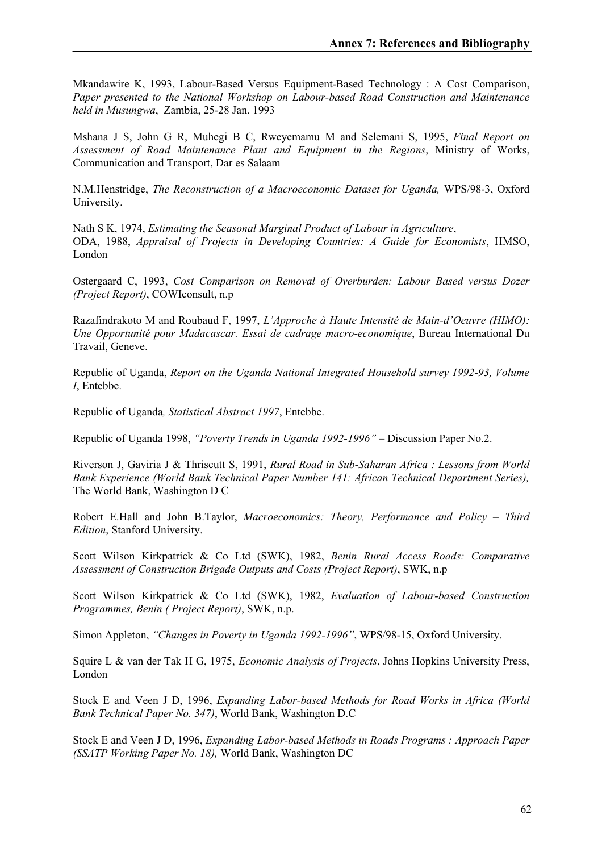Mkandawire K, 1993, Labour-Based Versus Equipment-Based Technology : A Cost Comparison, *Paper presented to the National Workshop on Labour-based Road Construction and Maintenance held in Musungwa*, Zambia, 25-28 Jan. 1993

Mshana J S, John G R, Muhegi B C, Rweyemamu M and Selemani S, 1995, *Final Report on Assessment of Road Maintenance Plant and Equipment in the Regions*, Ministry of Works, Communication and Transport, Dar es Salaam

N.M.Henstridge, *The Reconstruction of a Macroeconomic Dataset for Uganda,* WPS/98-3, Oxford University.

Nath S K, 1974, *Estimating the Seasonal Marginal Product of Labour in Agriculture*, ODA, 1988, *Appraisal of Projects in Developing Countries: A Guide for Economists*, HMSO, London

Ostergaard C, 1993, *Cost Comparison on Removal of Overburden: Labour Based versus Dozer (Project Report)*, COWIconsult, n.p

Razafindrakoto M and Roubaud F, 1997, *L'Approche à Haute Intensité de Main-d'Oeuvre (HIMO): Une Opportunité pour Madacascar. Essai de cadrage macro-economique*, Bureau International Du Travail, Geneve.

Republic of Uganda, *Report on the Uganda National Integrated Household survey 1992-93, Volume I*, Entebbe.

Republic of Uganda*, Statistical Abstract 1997*, Entebbe.

Republic of Uganda 1998, *"Poverty Trends in Uganda 1992-1996"* – Discussion Paper No.2.

Riverson J, Gaviria J & Thriscutt S, 1991, *Rural Road in Sub-Saharan Africa : Lessons from World Bank Experience (World Bank Technical Paper Number 141: African Technical Department Series),*  The World Bank, Washington D C

Robert E.Hall and John B.Taylor, *Macroeconomics: Theory, Performance and Policy – Third Edition*, Stanford University.

Scott Wilson Kirkpatrick & Co Ltd (SWK), 1982, *Benin Rural Access Roads: Comparative Assessment of Construction Brigade Outputs and Costs (Project Report)*, SWK, n.p

Scott Wilson Kirkpatrick & Co Ltd (SWK), 1982, *Evaluation of Labour-based Construction Programmes, Benin ( Project Report)*, SWK, n.p.

Simon Appleton, *"Changes in Poverty in Uganda 1992-1996"*, WPS/98-15, Oxford University.

Squire L & van der Tak H G, 1975, *Economic Analysis of Projects*, Johns Hopkins University Press, London

Stock E and Veen J D, 1996, *Expanding Labor-based Methods for Road Works in Africa (World Bank Technical Paper No. 347)*, World Bank, Washington D.C

Stock E and Veen J D, 1996, *Expanding Labor-based Methods in Roads Programs : Approach Paper (SSATP Working Paper No. 18),* World Bank, Washington DC